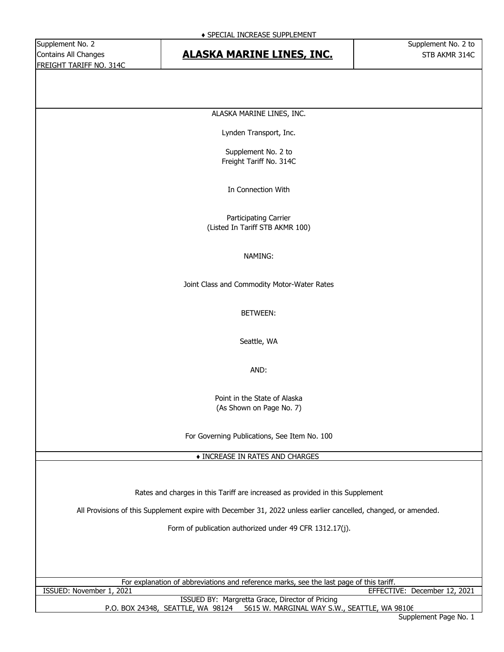# Contains All Changes **STB ALASKA MARINE LINES, INC.** STB AKMR 314C

ALASKA MARINE LINES, INC.

Lynden Transport, Inc.

Supplement No. 2 to Freight Tariff No. 314C

In Connection With

Participating Carrier (Listed In Tariff STB AKMR 100)

### NAMING:

Joint Class and Commodity Motor-Water Rates

BETWEEN:

Seattle, WA

AND:

Point in the State of Alaska (As Shown on Page No. 7)

For Governing Publications, See Item No. 100

♦ INCREASE IN RATES AND CHARGES

Rates and charges in this Tariff are increased as provided in this Supplement

All Provisions of this Supplement expire with December 31, 2022 unless earlier cancelled, changed, or amended.

Form of publication authorized under 49 CFR 1312.17(j).

For explanation of abbreviations and reference marks, see the last page of this tariff. ISSUED: November 1, 2021 EFFECTIVE: December 12, 2021

ISSUED BY: Margretta Grace, Director of Pricing P.O. BOX 24348, SEATTLE, WA 98124 5615 W. MARGINAL WAY S.W., SEATTLE, WA 98106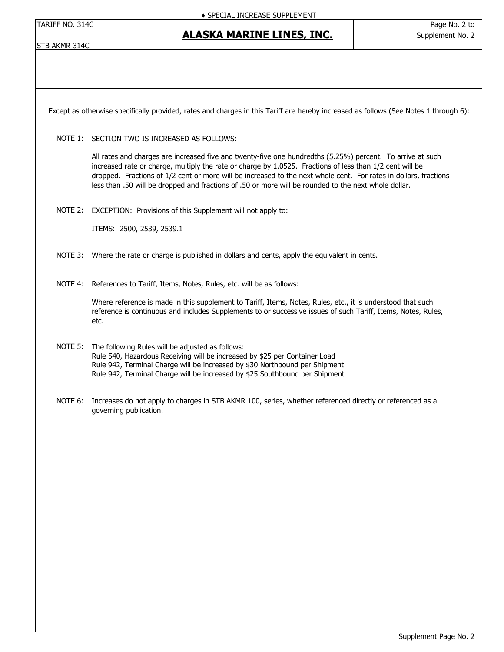TARIFF NO. 314C Page No. 2 to

STB AKMR 314C

Except as otherwise specifically provided, rates and charges in this Tariff are hereby increased as follows (See Notes 1 through 6):

### NOTE 1: SECTION TWO IS INCREASED AS FOLLOWS:

All rates and charges are increased five and twenty-five one hundredths (5.25%) percent. To arrive at such increased rate or charge, multiply the rate or charge by 1.0525. Fractions of less than 1/2 cent will be dropped. Fractions of 1/2 cent or more will be increased to the next whole cent. For rates in dollars, fractions less than .50 will be dropped and fractions of .50 or more will be rounded to the next whole dollar.

NOTE 2: EXCEPTION: Provisions of this Supplement will not apply to:

ITEMS: 2500, 2539, 2539.1

- NOTE 3: Where the rate or charge is published in dollars and cents, apply the equivalent in cents.
- NOTE 4: References to Tariff, Items, Notes, Rules, etc. will be as follows:

Where reference is made in this supplement to Tariff, Items, Notes, Rules, etc., it is understood that such reference is continuous and includes Supplements to or successive issues of such Tariff, Items, Notes, Rules, etc.

- NOTE 5: The following Rules will be adjusted as follows: Rule 540, Hazardous Receiving will be increased by \$25 per Container Load Rule 942, Terminal Charge will be increased by \$30 Northbound per Shipment Rule 942, Terminal Charge will be increased by \$25 Southbound per Shipment
- NOTE 6: Increases do not apply to charges in STB AKMR 100, series, whether referenced directly or referenced as a governing publication.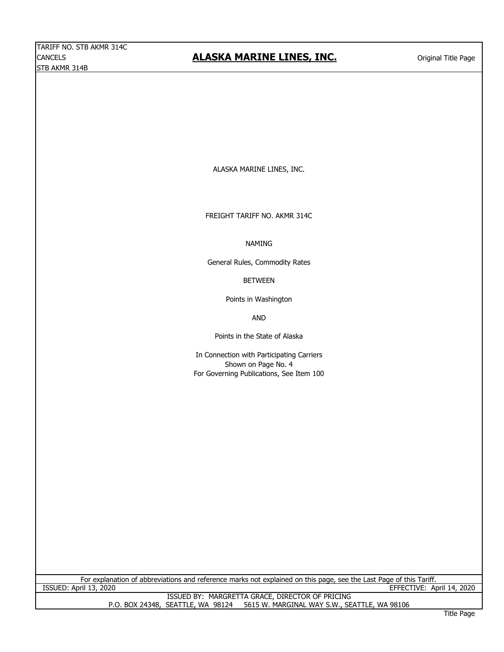ALASKA MARINE LINES, INC.

FREIGHT TARIFF NO. AKMR 314C

NAMING

General Rules, Commodity Rates

BETWEEN

Points in Washington

AND

Points in the State of Alaska

In Connection with Participating Carriers Shown on Page No. 4 For Governing Publications, See Item 100

For explanation of abbreviations and reference marks not explained on this page, see the Last Page of this Tariff. ISSUED: April 13, 2020 EFFECTIVE: April 14, 2020

> ISSUED BY: MARGRETTA GRACE, DIRECTOR OF PRICING<br>P.O. BOX 24348, SEATTLE, WA 98124 5615 W. MARGINAL WAY S.W., SE 5615 W. MARGINAL WAY S.W., SEATTLE, WA 98106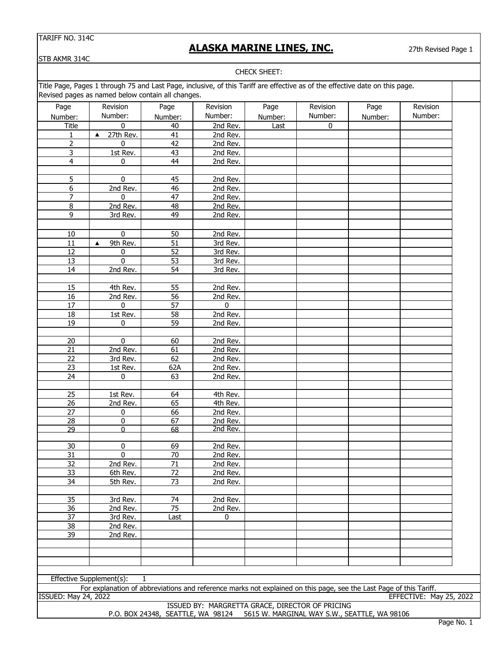# **ALASKA MARINE LINES, INC.**

27th Revised Page 1

STB AKMR 314C

#### CHECK SHEET:

Title Page, Pages 1 through 75 and Last Page, inclusive, of this Tariff are effective as of the effective date on this page. Revised pages as named below contain all changes.

| Page                        | Revision                                                                                                           | Page            | Revision     | Page    | Revision  | Page    | Revision                |
|-----------------------------|--------------------------------------------------------------------------------------------------------------------|-----------------|--------------|---------|-----------|---------|-------------------------|
| Number:                     | Number:                                                                                                            | Number:         | Number:      | Number: | Number:   | Number: | Number:                 |
| Title                       | 0                                                                                                                  | 40              | 2nd Rev.     | Last    | $\pmb{0}$ |         |                         |
| 1                           | 27th Rev.<br>$\blacktriangle$                                                                                      | 41              | 2nd Rev.     |         |           |         |                         |
| $\overline{2}$              | 0                                                                                                                  | $\overline{42}$ | 2nd Rev.     |         |           |         |                         |
| 3                           | 1st Rev.                                                                                                           | 43              | 2nd Rev.     |         |           |         |                         |
| $\overline{4}$              | 0                                                                                                                  | 44              | 2nd Rev.     |         |           |         |                         |
|                             |                                                                                                                    |                 |              |         |           |         |                         |
| 5                           | 0                                                                                                                  | 45              | 2nd Rev.     |         |           |         |                         |
| 6                           | 2nd Rev.                                                                                                           | 46              | 2nd Rev.     |         |           |         |                         |
| $\overline{7}$              | 0                                                                                                                  | 47              | 2nd Rev.     |         |           |         |                         |
| $\bf 8$                     | 2nd Rev.                                                                                                           | 48              | 2nd Rev.     |         |           |         |                         |
| 9                           | 3rd Rev.                                                                                                           | 49              | 2nd Rev.     |         |           |         |                         |
|                             |                                                                                                                    |                 |              |         |           |         |                         |
| 10                          | $\pmb{0}$                                                                                                          | 50              | 2nd Rev.     |         |           |         |                         |
| $11\,$                      | 9th Rev.<br>▲                                                                                                      | 51              | 3rd Rev.     |         |           |         |                         |
| $\overline{12}$             | 0                                                                                                                  | 52              | 3rd Rev.     |         |           |         |                         |
| 13                          | 0                                                                                                                  | 53              | 3rd Rev.     |         |           |         |                         |
| 14                          | 2nd Rev.                                                                                                           | 54              | 3rd Rev.     |         |           |         |                         |
|                             |                                                                                                                    |                 |              |         |           |         |                         |
| 15                          | 4th Rev.                                                                                                           | 55              | 2nd Rev.     |         |           |         |                         |
| $\overline{16}$             | 2nd Rev.                                                                                                           | 56              | 2nd Rev.     |         |           |         |                         |
| $\overline{17}$             | 0                                                                                                                  | 57              | $\mathbf{0}$ |         |           |         |                         |
| 18                          | 1st Rev.                                                                                                           | 58              | 2nd Rev.     |         |           |         |                         |
| 19                          | 0                                                                                                                  | 59              | 2nd Rev.     |         |           |         |                         |
|                             |                                                                                                                    |                 |              |         |           |         |                         |
| 20                          | $\overline{0}$                                                                                                     | 60              | 2nd Rev.     |         |           |         |                         |
| 21                          | 2nd Rev.                                                                                                           | 61              | 2nd Rev.     |         |           |         |                         |
| 22                          | 3rd Rev.                                                                                                           | 62              | 2nd Rev.     |         |           |         |                         |
| 23                          | $1st$ Rev.                                                                                                         | 62A             | 2nd Rev.     |         |           |         |                         |
| 24                          |                                                                                                                    | 63              | 2nd Rev.     |         |           |         |                         |
|                             | 0                                                                                                                  |                 |              |         |           |         |                         |
|                             |                                                                                                                    |                 |              |         |           |         |                         |
| 25                          | 1st Rev.                                                                                                           | 64              | 4th Rev.     |         |           |         |                         |
| 26                          | 2nd Rev.                                                                                                           | 65              | 4th Rev.     |         |           |         |                         |
| 27                          | 0                                                                                                                  | 66              | 2nd Rev.     |         |           |         |                         |
| 28<br>$\overline{29}$       | $\overline{0}$<br>$\overline{0}$                                                                                   | 67              | 2nd Rev.     |         |           |         |                         |
|                             |                                                                                                                    | 68              | 2nd Rev.     |         |           |         |                         |
| 30                          | 0                                                                                                                  | 69              | 2nd Rev.     |         |           |         |                         |
| $\overline{31}$             | 0                                                                                                                  | $\overline{70}$ | 2nd Rev.     |         |           |         |                         |
| $\overline{32}$             | 2nd Rev.                                                                                                           | $\overline{71}$ |              |         |           |         |                         |
|                             |                                                                                                                    |                 | 2nd Rev.     |         |           |         |                         |
| 33                          | 6th Rev.                                                                                                           | 72              | 2nd Rev.     |         |           |         |                         |
| 34                          | 5th Rev.                                                                                                           | 73              | 2nd Rev.     |         |           |         |                         |
|                             |                                                                                                                    |                 |              |         |           |         |                         |
| 35                          | 3rd Rev.                                                                                                           | 74              | 2nd Rev.     |         |           |         |                         |
| 36                          | 2nd Rev.                                                                                                           | $\overline{75}$ | 2nd Rev.     |         |           |         |                         |
| 37                          | 3rd Rev.                                                                                                           | Last            | $\mathbf 0$  |         |           |         |                         |
| 38                          | 2nd Rev.                                                                                                           |                 |              |         |           |         |                         |
| 39                          | 2nd Rev.                                                                                                           |                 |              |         |           |         |                         |
|                             |                                                                                                                    |                 |              |         |           |         |                         |
|                             |                                                                                                                    |                 |              |         |           |         |                         |
|                             |                                                                                                                    |                 |              |         |           |         |                         |
|                             |                                                                                                                    |                 |              |         |           |         |                         |
|                             | Effective Supplement(s):<br>1                                                                                      |                 |              |         |           |         |                         |
| <b>ISSUED: May 24, 2022</b> | For explanation of abbreviations and reference marks not explained on this page, see the Last Page of this Tariff. |                 |              |         |           |         |                         |
|                             |                                                                                                                    |                 |              |         |           |         | EFFECTIVE: May 25, 2022 |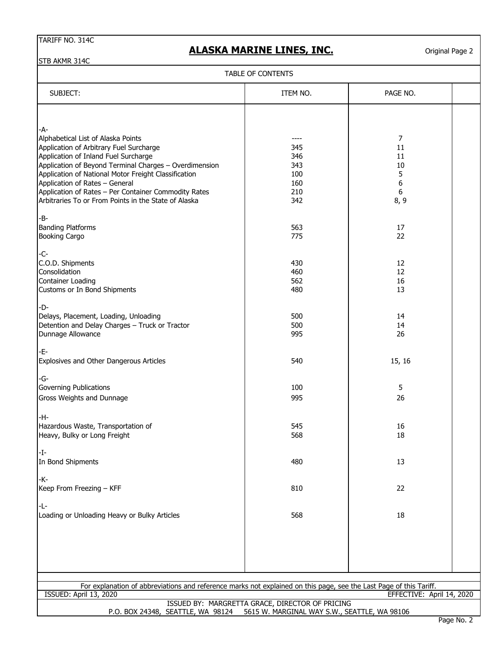# **ALASKA MARINE LINES, INC.**

Original Page 2

STB AKMR 314C

| TABLE OF CONTENTS |  |
|-------------------|--|
|-------------------|--|

| <b>I ADLE UF CUNTENTS</b>                                                                                          |                                                                                                 |                           |  |  |  |
|--------------------------------------------------------------------------------------------------------------------|-------------------------------------------------------------------------------------------------|---------------------------|--|--|--|
| SUBJECT:                                                                                                           | ITEM NO.                                                                                        | PAGE NO.                  |  |  |  |
|                                                                                                                    |                                                                                                 |                           |  |  |  |
| -A-                                                                                                                |                                                                                                 |                           |  |  |  |
| Alphabetical List of Alaska Points                                                                                 |                                                                                                 | $\overline{7}$            |  |  |  |
| Application of Arbitrary Fuel Surcharge                                                                            | 345                                                                                             | 11                        |  |  |  |
| Application of Inland Fuel Surcharge                                                                               | 346                                                                                             | 11                        |  |  |  |
| Application of Beyond Terminal Charges - Overdimension                                                             | 343                                                                                             | 10                        |  |  |  |
| Application of National Motor Freight Classification                                                               | 100                                                                                             | 5                         |  |  |  |
| Application of Rates - General                                                                                     | 160                                                                                             | 6                         |  |  |  |
| Application of Rates - Per Container Commodity Rates                                                               | 210                                                                                             | $\boldsymbol{6}$          |  |  |  |
| Arbitraries To or From Points in the State of Alaska                                                               | 342                                                                                             | 8,9                       |  |  |  |
| -B-                                                                                                                |                                                                                                 |                           |  |  |  |
| <b>Banding Platforms</b>                                                                                           | 563                                                                                             | 17                        |  |  |  |
| <b>Booking Cargo</b>                                                                                               | 775                                                                                             | 22                        |  |  |  |
|                                                                                                                    |                                                                                                 |                           |  |  |  |
| -C-<br>C.O.D. Shipments                                                                                            | 430                                                                                             | 12                        |  |  |  |
| Consolidation                                                                                                      | 460                                                                                             | 12                        |  |  |  |
| <b>Container Loading</b>                                                                                           | 562                                                                                             | 16                        |  |  |  |
| Customs or In Bond Shipments                                                                                       | 480                                                                                             | 13                        |  |  |  |
| -D-                                                                                                                |                                                                                                 |                           |  |  |  |
| Delays, Placement, Loading, Unloading                                                                              | 500                                                                                             | 14                        |  |  |  |
| Detention and Delay Charges - Truck or Tractor                                                                     | 500                                                                                             | 14                        |  |  |  |
| Dunnage Allowance                                                                                                  | 995                                                                                             | 26                        |  |  |  |
|                                                                                                                    |                                                                                                 |                           |  |  |  |
| -E-                                                                                                                |                                                                                                 |                           |  |  |  |
| Explosives and Other Dangerous Articles                                                                            | 540                                                                                             | 15, 16                    |  |  |  |
| -G-                                                                                                                |                                                                                                 |                           |  |  |  |
| Governing Publications                                                                                             | 100                                                                                             | 5                         |  |  |  |
| Gross Weights and Dunnage                                                                                          | 995                                                                                             | 26                        |  |  |  |
| -H-                                                                                                                |                                                                                                 |                           |  |  |  |
| Hazardous Waste, Transportation of                                                                                 | 545                                                                                             | 16                        |  |  |  |
| Heavy, Bulky or Long Freight                                                                                       | 568                                                                                             | 18                        |  |  |  |
|                                                                                                                    |                                                                                                 |                           |  |  |  |
| $-I$ -                                                                                                             |                                                                                                 |                           |  |  |  |
| In Bond Shipments                                                                                                  | 480                                                                                             | 13                        |  |  |  |
| -K-                                                                                                                |                                                                                                 |                           |  |  |  |
| Keep From Freezing - KFF                                                                                           | 810                                                                                             | 22                        |  |  |  |
|                                                                                                                    |                                                                                                 |                           |  |  |  |
| -L-<br>Loading or Unloading Heavy or Bulky Articles                                                                | 568                                                                                             | 18                        |  |  |  |
|                                                                                                                    |                                                                                                 |                           |  |  |  |
|                                                                                                                    |                                                                                                 |                           |  |  |  |
|                                                                                                                    |                                                                                                 |                           |  |  |  |
|                                                                                                                    |                                                                                                 |                           |  |  |  |
|                                                                                                                    |                                                                                                 |                           |  |  |  |
| For explanation of abbreviations and reference marks not explained on this page, see the Last Page of this Tariff. |                                                                                                 |                           |  |  |  |
| <b>ISSUED: April 13, 2020</b>                                                                                      |                                                                                                 | EFFECTIVE: April 14, 2020 |  |  |  |
| P.O. BOX 24348, SEATTLE, WA 98124                                                                                  | ISSUED BY: MARGRETTA GRACE, DIRECTOR OF PRICING<br>5615 W. MARGINAL WAY S.W., SEATTLE, WA 98106 |                           |  |  |  |
|                                                                                                                    |                                                                                                 |                           |  |  |  |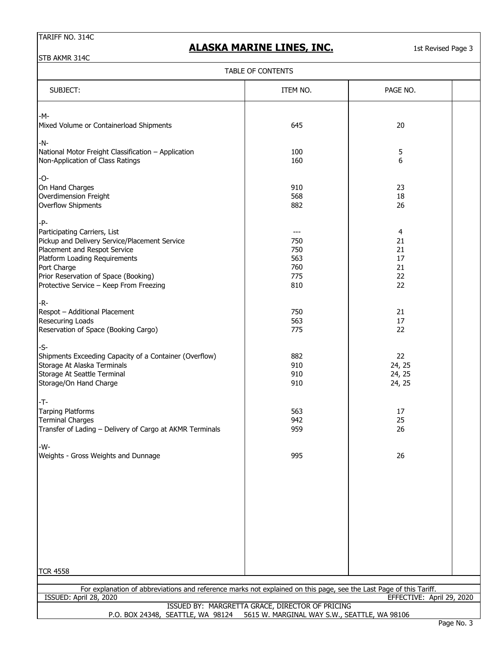# **ALASKA MARINE LINES, INC.**

1st Revised Page 3

STB AKMR 314C

### TABLE OF CONTENTS

| SUBJECT:                                                                                                                                     | ITEM NO.                                        | PAGE NO.                  |  |
|----------------------------------------------------------------------------------------------------------------------------------------------|-------------------------------------------------|---------------------------|--|
|                                                                                                                                              |                                                 |                           |  |
| -M-<br>Mixed Volume or Containerload Shipments                                                                                               | 645                                             | 20                        |  |
| -N-                                                                                                                                          |                                                 |                           |  |
| National Motor Freight Classification - Application                                                                                          | 100                                             | 5                         |  |
| Non-Application of Class Ratings                                                                                                             | 160                                             | 6                         |  |
| -0-                                                                                                                                          |                                                 |                           |  |
| On Hand Charges                                                                                                                              | 910                                             | 23                        |  |
| Overdimension Freight                                                                                                                        | 568                                             | 18                        |  |
| <b>Overflow Shipments</b>                                                                                                                    | 882                                             | 26                        |  |
| -P-                                                                                                                                          |                                                 |                           |  |
| Participating Carriers, List                                                                                                                 | $---$                                           | 4                         |  |
| Pickup and Delivery Service/Placement Service                                                                                                | 750                                             | 21                        |  |
| Placement and Respot Service                                                                                                                 | 750                                             | 21                        |  |
| Platform Loading Requirements                                                                                                                | 563                                             | 17                        |  |
| Port Charge                                                                                                                                  | 760                                             | 21                        |  |
| Prior Reservation of Space (Booking)                                                                                                         | 775                                             | 22                        |  |
| Protective Service - Keep From Freezing                                                                                                      | 810                                             | 22                        |  |
| -R-                                                                                                                                          |                                                 |                           |  |
| Respot - Additional Placement                                                                                                                | 750                                             | 21                        |  |
| Resecuring Loads                                                                                                                             | 563                                             | 17                        |  |
| Reservation of Space (Booking Cargo)                                                                                                         | 775                                             | 22                        |  |
| -S-                                                                                                                                          |                                                 |                           |  |
| Shipments Exceeding Capacity of a Container (Overflow)                                                                                       | 882                                             | 22                        |  |
| Storage At Alaska Terminals                                                                                                                  | 910                                             | 24, 25                    |  |
| Storage At Seattle Terminal                                                                                                                  | 910                                             | 24, 25                    |  |
| Storage/On Hand Charge                                                                                                                       | 910                                             | 24, 25                    |  |
| -T-                                                                                                                                          |                                                 |                           |  |
| <b>Tarping Platforms</b>                                                                                                                     | 563                                             | 17                        |  |
| <b>Terminal Charges</b>                                                                                                                      | 942                                             | 25                        |  |
| Transfer of Lading - Delivery of Cargo at AKMR Terminals                                                                                     | 959                                             | 26                        |  |
| -W-                                                                                                                                          |                                                 |                           |  |
| Weights - Gross Weights and Dunnage                                                                                                          | 995                                             | 26                        |  |
|                                                                                                                                              |                                                 |                           |  |
|                                                                                                                                              |                                                 |                           |  |
|                                                                                                                                              |                                                 |                           |  |
|                                                                                                                                              |                                                 |                           |  |
|                                                                                                                                              |                                                 |                           |  |
|                                                                                                                                              |                                                 |                           |  |
|                                                                                                                                              |                                                 |                           |  |
| <b>TCR 4558</b>                                                                                                                              |                                                 |                           |  |
|                                                                                                                                              |                                                 |                           |  |
| For explanation of abbreviations and reference marks not explained on this page, see the Last Page of this Tariff.<br>ISSUED: April 28, 2020 |                                                 | EFFECTIVE: April 29, 2020 |  |
|                                                                                                                                              | ISSUED BY: MARGRETTA GRACE, DIRECTOR OF PRICING |                           |  |
| P.O. BOX 24348, SEATTLE, WA 98124                                                                                                            | 5615 W. MARGINAL WAY S.W., SEATTLE, WA 98106    |                           |  |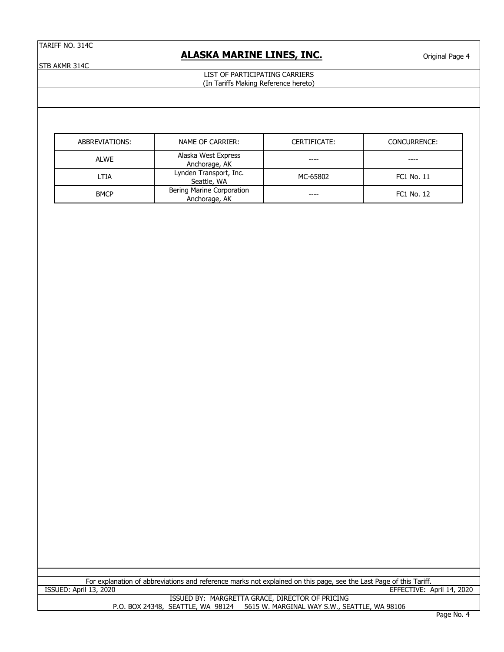### **ALASKA MARINE LINES, INC.**

Original Page 4

STB AKMR 314C

#### LIST OF PARTICIPATING CARRIERS (In Tariffs Making Reference hereto)

| ABBREVIATIONS: | NAME OF CARRIER:                           | CERTIFICATE: | CONCURRENCE: |
|----------------|--------------------------------------------|--------------|--------------|
| ALWE           | Alaska West Express<br>Anchorage, AK       |              |              |
| LTIA           | Lynden Transport, Inc.<br>Seattle, WA      | MC-65802     | FC1 No. 11   |
| <b>BMCP</b>    | Bering Marine Corporation<br>Anchorage, AK |              | FC1 No. 12   |

For explanation of abbreviations and reference marks not explained on this page, see the Last Page of this Tariff.<br>ISSUED: April 13, 2020 EFFECTIVE:

EFFECTIVE: April 14, 2020

ISSUED BY: MARGRETTA GRACE, DIRECTOR OF PRICING P.O. BOX 24348, SEATTLE, WA 98124 5615 W. MARGINAL WAY S.W., SEATTLE, WA 98106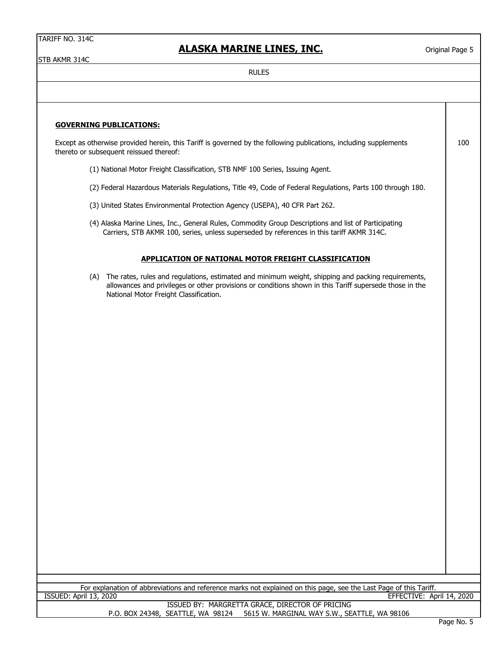### **ALASKA MARINE LINES, INC.**

Except as otherwise provided herein, this Tariff is governed by the following publications, including supplements

Original Page 5

100

STB AKMR 314C

**GOVERNING PUBLICATIONS:**

RULES

# (1) National Motor Freight Classification, STB NMF 100 Series, Issuing Agent. (2) Federal Hazardous Materials Regulations, Title 49, Code of Federal Regulations, Parts 100 through 180. (3) United States Environmental Protection Agency (USEPA), 40 CFR Part 262. (4) Alaska Marine Lines, Inc., General Rules, Commodity Group Descriptions and list of Participating Carriers, STB AKMR 100, series, unless superseded by references in this tariff AKMR 314C. **APPLICATION OF NATIONAL MOTOR FREIGHT CLASSIFICATION** (A) The rates, rules and regulations, estimated and minimum weight, shipping and packing requirements, allowances and privileges or other provisions or conditions shown in this Tariff supersede those in the National Motor Freight Classification. thereto or subsequent reissued thereof:

For explanation of abbreviations and reference marks not explained on this page, see the Last Page of this Tariff. ISSUED: April 13, 2020 EFFECTIVE: April 14, 2020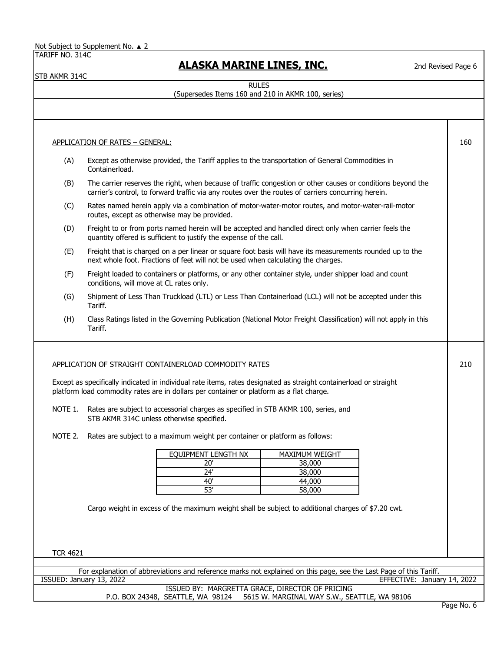Not Subject to Supplement No. ▲ 2

TARIFF NO. 314C

STB AKMR 314C

# **ALASKA MARINE LINES, INC.**

2nd Revised Page 6

RULES

### (Supersedes Items 160 and 210 in AKMR 100, series)

APPLICATION OF RATES – GENERAL:

(A) Containerload. (B) (C) Rates named herein apply via a combination of motor-water-motor routes, and motor-water-rail-motor routes, except as otherwise may be provided. (D) Freight to or from ports named herein will be accepted and handled direct only when carrier feels the quantity offered is sufficient to justify the expense of the call. (E) Freight that is charged on a per linear or square foot basis will have its measurements rounded up to the next whole foot. Fractions of feet will not be used when calculating the charges. (F) Freight loaded to containers or platforms, or any other container style, under shipper load and count conditions, will move at CL rates only. (G) Shipment of Less Than Truckload (LTL) or Less Than Containerload (LCL) will not be accepted under this Tariff. (H) Class Ratings listed in the Governing Publication (National Motor Freight Classification) will not apply in this Tariff. APPLICATION OF STRAIGHT CONTAINERLOAD COMMODITY RATES Except as specifically indicated in individual rate items, rates designated as straight containerload or straight platform load commodity rates are in dollars per container or platform as a flat charge. NOTE 1. Rates are subject to accessorial charges as specified in STB AKMR 100, series, and NOTE 2. Rates are subject to a maximum weight per container or platform as follows: Cargo weight in excess of the maximum weight shall be subject to additional charges of \$7.20 cwt. TCR 4621 For explanation of abbreviations and reference marks not explained on this page, see the Last Page of this Tariff. 20'  $\overline{24'}$ 40' 160 Except as otherwise provided, the Tariff applies to the transportation of General Commodities in The carrier reserves the right, when because of traffic congestion or other causes or conditions beyond the carrier's control, to forward traffic via any routes over the routes of carriers concurring herein. STB AKMR 314C unless otherwise specified. 210 53' 38,000 38,000 44,000 58,000 EOUIPMENT LENGTH NX | MAXIMUM WEIGHT

ISSUED: January 13, 2022 EFFECTIVE: January 14, 2022 ISSUED BY: MARGRETTA GRACE, DIRECTOR OF PRICING

### P.O. BOX 24348, SEATTLE, WA 98124 5615 W. MARGINAL WAY S.W., SEATTLE, WA 98106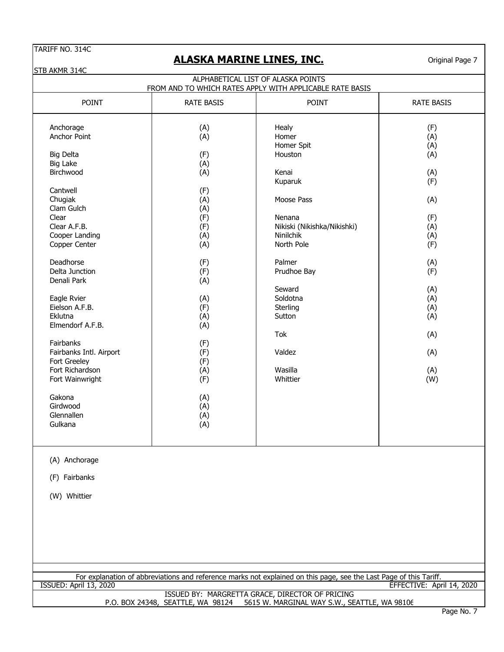# **ALASKA MARINE LINES, INC.**

Original Page 7

STB AKMR 314C

| ALPHABETICAL LIST OF ALASKA POINTS<br>FROM AND TO WHICH RATES APPLY WITH APPLICABLE RATE BASIS                                                                                                                                                                                                                                                                                                                                            |                                                                                                                                                                                                  |                                                                                                                                                                                                                                                            |                                                                                                                                                 |  |
|-------------------------------------------------------------------------------------------------------------------------------------------------------------------------------------------------------------------------------------------------------------------------------------------------------------------------------------------------------------------------------------------------------------------------------------------|--------------------------------------------------------------------------------------------------------------------------------------------------------------------------------------------------|------------------------------------------------------------------------------------------------------------------------------------------------------------------------------------------------------------------------------------------------------------|-------------------------------------------------------------------------------------------------------------------------------------------------|--|
| POINT                                                                                                                                                                                                                                                                                                                                                                                                                                     | <b>RATE BASIS</b>                                                                                                                                                                                | POINT                                                                                                                                                                                                                                                      | <b>RATE BASIS</b>                                                                                                                               |  |
| Anchorage<br>Anchor Point<br><b>Big Delta</b><br><b>Big Lake</b><br>Birchwood<br>Cantwell<br>Chugiak<br>Clam Gulch<br>Clear<br>Clear A.F.B.<br>Cooper Landing<br>Copper Center<br>Deadhorse<br>Delta Junction<br>Denali Park<br>Eagle Rvier<br>Eielson A.F.B.<br>Eklutna<br>Elmendorf A.F.B.<br>Fairbanks<br>Fairbanks Intl. Airport<br>Fort Greeley<br>Fort Richardson<br>Fort Wainwright<br>Gakona<br>Girdwood<br>Glennallen<br>Gulkana | (A)<br>(A)<br>(F)<br>(A)<br>(A)<br>(F)<br>(A)<br>(A)<br>(F)<br>(F)<br>(A)<br>(A)<br>(F)<br>(F)<br>(A)<br>(A)<br>(F)<br>(A)<br>(A)<br>(F)<br>(F)<br>(F)<br>(A)<br>(F)<br>(A)<br>(A)<br>(A)<br>(A) | Healy<br>Homer<br>Homer Spit<br>Houston<br>Kenai<br>Kuparuk<br>Moose Pass<br>Nenana<br>Nikiski (Nikishka/Nikishki)<br>Ninilchik<br>North Pole<br>Palmer<br>Prudhoe Bay<br>Seward<br>Soldotna<br>Sterling<br>Sutton<br>Tok<br>Valdez<br>Wasilla<br>Whittier | (F)<br>(A)<br>(A)<br>(A)<br>(A)<br>(F)<br>(A)<br>(F)<br>(A)<br>(A)<br>(F)<br>(A)<br>(F)<br>(A)<br>(A)<br>(A)<br>(A)<br>(A)<br>(A)<br>(A)<br>(W) |  |
| (A) Anchorage<br>(F) Fairbanks<br>(W) Whittier                                                                                                                                                                                                                                                                                                                                                                                            |                                                                                                                                                                                                  |                                                                                                                                                                                                                                                            |                                                                                                                                                 |  |
|                                                                                                                                                                                                                                                                                                                                                                                                                                           |                                                                                                                                                                                                  | For explanation of abbreviations and reference marks not explained on this page, see the Last Page of this Tariff.                                                                                                                                         |                                                                                                                                                 |  |
| <b>ISSUED: April 13, 2020</b>                                                                                                                                                                                                                                                                                                                                                                                                             |                                                                                                                                                                                                  | ISSUED BY: MARGRETTA GRACE, DIRECTOR OF PRICING                                                                                                                                                                                                            | EFFECTIVE: April 14, 2020                                                                                                                       |  |
|                                                                                                                                                                                                                                                                                                                                                                                                                                           | P.O. BOX 24348, SEATTLE, WA 98124                                                                                                                                                                | 5615 W. MARGINAL WAY S.W., SEATTLE, WA 98106                                                                                                                                                                                                               |                                                                                                                                                 |  |
|                                                                                                                                                                                                                                                                                                                                                                                                                                           |                                                                                                                                                                                                  |                                                                                                                                                                                                                                                            | Page No. 7                                                                                                                                      |  |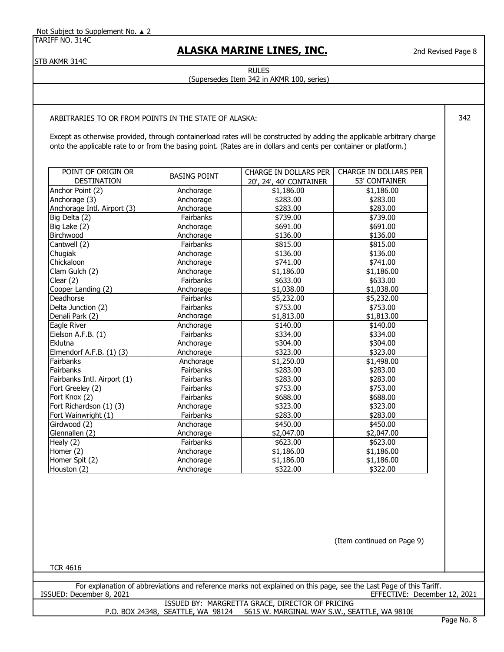### **ALASKA MARINE LINES, INC.**

STB AKMR 314C

# RULES

2nd Revised Page 8

342

(Supersedes Item 342 in AKMR 100, series)

### ARBITRARIES TO OR FROM POINTS IN THE STATE OF ALASKA:

Except as otherwise provided, through containerload rates will be constructed by adding the applicable arbitrary charge onto the applicable rate to or from the basing point. (Rates are in dollars and cents per container or platform.)

| POINT OF ORIGIN OR          | <b>BASING POINT</b> | CHARGE IN DOLLARS PER   | <b>CHARGE IN DOLLARS PER</b> |
|-----------------------------|---------------------|-------------------------|------------------------------|
| <b>DESTINATION</b>          |                     | 20', 24', 40' CONTAINER | 53' CONTAINER                |
| Anchor Point (2)            | Anchorage           | \$1,186.00              | \$1,186.00                   |
| Anchorage (3)               | Anchorage           | \$283.00                | \$283.00                     |
| Anchorage Intl. Airport (3) | Anchorage           | \$283.00                | \$283.00                     |
| Big Delta (2)               | Fairbanks           | \$739.00                | \$739.00                     |
| Big Lake (2)                | Anchorage           | \$691.00                | \$691.00                     |
| Birchwood                   | Anchorage           | \$136.00                | \$136.00                     |
| Cantwell (2)                | Fairbanks           | \$815.00                | \$815.00                     |
| Chugiak                     | Anchorage           | \$136.00                | \$136.00                     |
| Chickaloon                  | Anchorage           | \$741.00                | \$741.00                     |
| Clam Gulch (2)              | Anchorage           | \$1,186.00              | \$1,186.00                   |
| Clear (2)                   | Fairbanks           | \$633.00                | \$633.00                     |
| Cooper Landing (2)          | Anchorage           | \$1,038.00              | \$1,038.00                   |
| Deadhorse                   | Fairbanks           | \$5,232.00              | \$5,232.00                   |
| Delta Junction (2)          | Fairbanks           | \$753.00                | \$753.00                     |
| Denali Park (2)             | Anchorage           | \$1,813.00              | \$1,813.00                   |
| Eagle River                 | Anchorage           | \$140.00                | \$140.00                     |
| Eielson A.F.B. (1)          | Fairbanks           | \$334.00                | \$334.00                     |
| Eklutna                     | Anchorage           | \$304.00                | \$304.00                     |
| Elmendorf A.F.B. (1) (3)    | Anchorage           | \$323.00                | \$323.00                     |
| Fairbanks                   | Anchorage           | \$1,250.00              | \$1,498.00                   |
| Fairbanks                   | Fairbanks           | \$283.00                | \$283.00                     |
| Fairbanks Intl. Airport (1) | Fairbanks           | \$283.00                | \$283.00                     |
| Fort Greeley (2)            | Fairbanks           | \$753.00                | \$753.00                     |
| Fort Knox (2)               | Fairbanks           | \$688.00                | \$688.00                     |
| Fort Richardson (1) (3)     | Anchorage           | \$323.00                | \$323.00                     |
| Fort Wainwright (1)         | Fairbanks           | \$283.00                | \$283.00                     |
| Girdwood (2)                | Anchorage           | \$450.00                | \$450.00                     |
| Glennallen (2)              | Anchorage           | \$2,047.00              | \$2,047.00                   |
| Healy $(2)$                 | Fairbanks           | \$623.00                | \$623.00                     |
| Homer (2)                   | Anchorage           | \$1,186.00              | \$1,186.00                   |
| Homer Spit (2)              | Anchorage           | \$1,186.00              | \$1,186.00                   |
| Houston (2)                 | Anchorage           | \$322.00                | \$322.00                     |

(Item continued on Page 9)

TCR 4616

For explanation of abbreviations and reference marks not explained on this page, see the Last Page of this Tariff.<br>EFFECTIVE: December 8, 2021 EFFECTIVE: December 12, 2021

> P.O. BOX 24348, SEATTLE, WA 98124 5615 W. MARGINAL WAY S.W., SEATTLE, WA 98106 ISSUED BY: MARGRETTA GRACE, DIRECTOR OF PRICING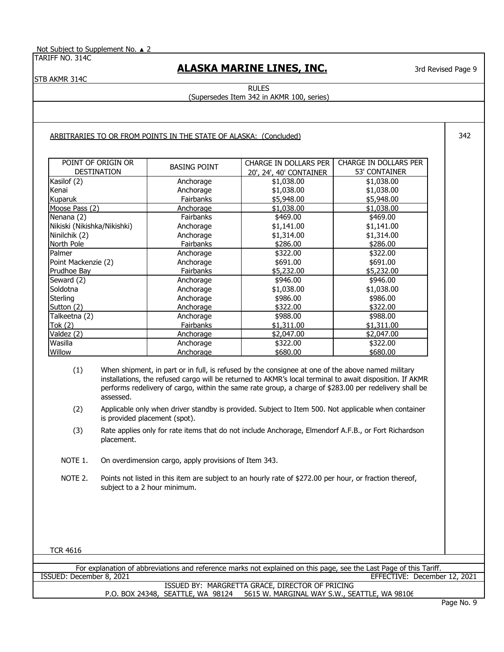Not Subject to Supplement No. ▲ 2

TARIFF NO. 314C

# **ALASKA MARINE LINES, INC.**

3rd Revised Page 9

342

STB AKMR 314C

RULES (Supersedes Item 342 in AKMR 100, series)

### ARBITRARIES TO OR FROM POINTS IN THE STATE OF ALASKA: (Concluded)

| POINT OF ORIGIN OR          | <b>BASING POINT</b> | CHARGE IN DOLLARS PER   | CHARGE IN DOLLARS PER |
|-----------------------------|---------------------|-------------------------|-----------------------|
| <b>DESTINATION</b>          |                     | 20', 24', 40' CONTAINER | <b>53' CONTAINER</b>  |
| Kasilof (2)                 | Anchorage           | \$1,038.00              | \$1,038.00            |
| Kenai                       | Anchorage           | \$1,038.00              | \$1,038.00            |
| Kuparuk                     | Fairbanks           | \$5,948.00              | \$5,948.00            |
| Moose Pass (2)              | Anchorage           | \$1,038.00              | \$1,038.00            |
| Nenana (2)                  | <b>Fairbanks</b>    | \$469.00                | \$469.00              |
| Nikiski (Nikishka/Nikishki) | Anchorage           | \$1,141.00              | \$1,141.00            |
| Ninilchik (2)               | Anchorage           | \$1,314.00              | \$1,314.00            |
| North Pole                  | Fairbanks           | \$286.00                | \$286.00              |
| Palmer                      | Anchorage           | \$322.00                | \$322.00              |
| Point Mackenzie (2)         | Anchorage           | \$691.00                | \$691.00              |
| Prudhoe Bay                 | Fairbanks           | \$5,232.00              | \$5,232.00            |
| Seward (2)                  | Anchorage           | \$946.00                | \$946.00              |
| Soldotna                    | Anchorage           | \$1,038.00              | \$1,038.00            |
| <b>Sterling</b>             | Anchorage           | \$986.00                | \$986.00              |
| Sutton (2)                  | Anchorage           | \$322.00                | \$322.00              |
| Talkeetna (2)               | Anchorage           | \$988.00                | \$988.00              |
| Tok (2)                     | Fairbanks           | \$1,311.00              | \$1,311.00            |
| Valdez (2)                  | Anchorage           | \$2,047.00              | \$2,047.00            |
| Wasilla                     | Anchorage           | \$322.00                | \$322.00              |
| Willow                      | Anchorage           | \$680.00                | \$680,00              |

(1) When shipment, in part or in full, is refused by the consignee at one of the above named military installations, the refused cargo will be returned to AKMR's local terminal to await disposition. If AKMR performs redelivery of cargo, within the same rate group, a charge of \$283.00 per redelivery shall be assessed.

- (2) Applicable only when driver standby is provided. Subject to Item 500. Not applicable when container is provided placement (spot).
- (3) Rate applies only for rate items that do not include Anchorage, Elmendorf A.F.B., or Fort Richardson placement.
- On overdimension cargo, apply provisions of Item 343. NOTE 1.
- Points not listed in this item are subject to an hourly rate of \$272.00 per hour, or fraction thereof, subject to a 2 hour minimum. NOTE 2.

TCR 4616

ISSUED BY: MARGRETTA GRACE, DIRECTOR OF PRICING P.O. BOX 24348, SEATTLE, WA 98124 5615 W. MARGINAL WAY S.W., SEATTLE, WA 98106 For explanation of abbreviations and reference marks not explained on this page, see the Last Page of this Tariff.<br>ISSUED: December 8, 2021 EFFECTIVE: December 12, 2021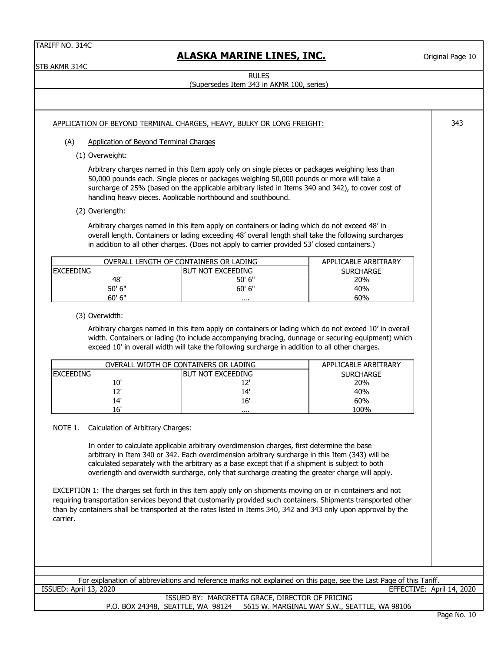STB AKMR 314C

# **ALASKA MARINE LINES, INC.**

Original Page 10

343

RULES

(Supersedes Item 343 in AKMR 100, series)

### APPLICATION OF BEYOND TERMINAL CHARGES, HEAVY, BULKY OR LONG FREIGHT:

- (A) Application of Beyond Terminal Charges
	- (1) Overweight:

Arbitrary charges named in this Item apply only on single pieces or packages weighing less than 50,000 pounds each. Single pieces or packages weighing 50,000 pounds or more will take a surcharge of 25% (based on the applicable arbitrary listed in Items 340 and 342), to cover cost of handling heavy pieces. Applicable northbound and southbound.

(2) Overlength:

Arbitrary charges named in this item apply on containers or lading which do not exceed 48' in overall length. Containers or lading exceeding 48' overall length shall take the following surcharges in addition to all other charges. (Does not apply to carrier provided 53' closed containers.)

| OVERALL LENGTH OF CONTAINERS OR LADING | APPLICABLE ARBITRARY |     |
|----------------------------------------|----------------------|-----|
| <b>EXCEEDING</b>                       | <b>SURCHARGE</b>     |     |
| 48'                                    | 50' 6"               | 20% |
| 50' 6"                                 | $60'$ 6"             | 40% |
| 60' 6"                                 |                      | 60% |

(3) Overwidth:

Arbitrary charges named in this item apply on containers or lading which do not exceed 10' in overall width. Containers or lading (to include accompanying bracing, dunnage or securing equipment) which exceed 10' in overall width will take the following surcharge in addition to all other charges.

| OVERALL WIDTH OF CONTAINERS OR LADING | APPLICABLE ARBITRARY |                  |
|---------------------------------------|----------------------|------------------|
| <b>IEXCEEDING</b>                     | BUT NOT EXCEEDING    | <b>SURCHARGE</b> |
| 10'                                   |                      | 20%              |
| יכו                                   | 14'                  | 40%              |
| 14'                                   | 16'                  | 60%              |
| 16'                                   |                      | 100%             |

#### NOTE 1. Calculation of Arbitrary Charges:

In order to calculate applicable arbitrary overdimension charges, first determine the base arbitrary in Item 340 or 342. Each overdimension arbitrary surcharge in this Item (343) will be calculated separately with the arbitrary as a base except that if a shipment is subject to both overlength and overwidth surcharge, only that surcharge creating the greater charge will apply.

EXCEPTION 1: The charges set forth in this item apply only on shipments moving on or in containers and not requiring transportation services beyond that customarily provided such containers. Shipments transported other than by containers shall be transported at the rates listed in Items 340, 342 and 343 only upon approval by the carrier.

For explanation of abbreviations and reference marks not explained on this page, see the Last Page of this Tariff. ISSUED: April 13, 2020 EFFECTIVE: April 14, 2020

ISSUED BY: MARGRETTA GRACE, DIRECTOR OF PRICING P.O. BOX 24348, SEATTLE, WA 98124 5615 W. MARGINAL WAY S.W., SEATTLE, WA 98106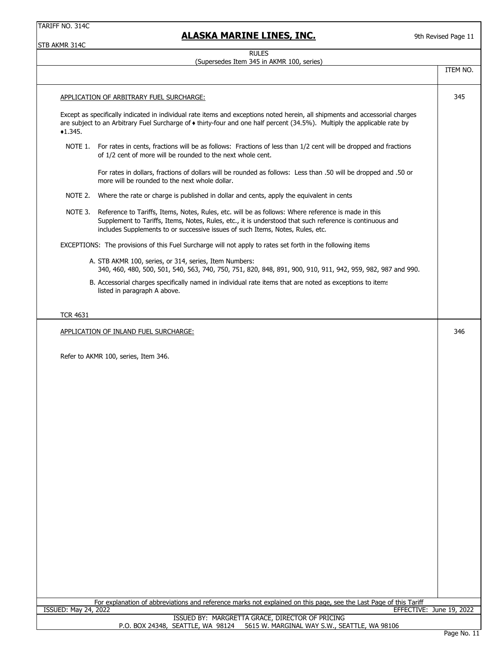### **ALASKA MARINE LINES, INC.**

STB AKMR 314C

#### RULES (Supersedes Item 345 in AKMR 100, series)

|                             | <b>SUPERSOLS TUBILITY III AN'IN 100, SERIES</b>                                                                                                                                                                                                                                                           |          |
|-----------------------------|-----------------------------------------------------------------------------------------------------------------------------------------------------------------------------------------------------------------------------------------------------------------------------------------------------------|----------|
|                             |                                                                                                                                                                                                                                                                                                           | ITEM NO. |
|                             | APPLICATION OF ARBITRARY FUEL SURCHARGE:                                                                                                                                                                                                                                                                  | 345      |
| $*1.345.$                   | Except as specifically indicated in individual rate items and exceptions noted herein, all shipments and accessorial charges<br>are subject to an Arbitrary Fuel Surcharge of ◆ thirty-four and one half percent (34.5%). Multiply the applicable rate by                                                 |          |
|                             | NOTE 1. For rates in cents, fractions will be as follows: Fractions of less than 1/2 cent will be dropped and fractions<br>of 1/2 cent of more will be rounded to the next whole cent.                                                                                                                    |          |
|                             | For rates in dollars, fractions of dollars will be rounded as follows: Less than .50 will be dropped and .50 or<br>more will be rounded to the next whole dollar.                                                                                                                                         |          |
| NOTE 2.                     | Where the rate or charge is published in dollar and cents, apply the equivalent in cents                                                                                                                                                                                                                  |          |
|                             | NOTE 3. Reference to Tariffs, Items, Notes, Rules, etc. will be as follows: Where reference is made in this<br>Supplement to Tariffs, Items, Notes, Rules, etc., it is understood that such reference is continuous and<br>includes Supplements to or successive issues of such Items, Notes, Rules, etc. |          |
|                             | EXCEPTIONS: The provisions of this Fuel Surcharge will not apply to rates set forth in the following items                                                                                                                                                                                                |          |
|                             | A. STB AKMR 100, series, or 314, series, Item Numbers:<br>340, 460, 480, 500, 501, 540, 563, 740, 750, 751, 820, 848, 891, 900, 910, 911, 942, 959, 982, 987 and 990.                                                                                                                                     |          |
|                             | B. Accessorial charges specifically named in individual rate items that are noted as exceptions to items<br>listed in paragraph A above.                                                                                                                                                                  |          |
| <b>TCR 4631</b>             |                                                                                                                                                                                                                                                                                                           |          |
|                             | APPLICATION OF INLAND FUEL SURCHARGE:                                                                                                                                                                                                                                                                     | 346      |
|                             | Refer to AKMR 100, series, Item 346.                                                                                                                                                                                                                                                                      |          |
|                             |                                                                                                                                                                                                                                                                                                           |          |
|                             |                                                                                                                                                                                                                                                                                                           |          |
|                             |                                                                                                                                                                                                                                                                                                           |          |
|                             |                                                                                                                                                                                                                                                                                                           |          |
|                             |                                                                                                                                                                                                                                                                                                           |          |
|                             |                                                                                                                                                                                                                                                                                                           |          |
|                             |                                                                                                                                                                                                                                                                                                           |          |
|                             |                                                                                                                                                                                                                                                                                                           |          |
|                             |                                                                                                                                                                                                                                                                                                           |          |
|                             |                                                                                                                                                                                                                                                                                                           |          |
|                             |                                                                                                                                                                                                                                                                                                           |          |
| <b>ISSUED: May 24, 2022</b> | For explanation of abbreviations and reference marks not explained on this page, see the Last Page of this Tariff<br>EFFECTIVE: June 19, 2022                                                                                                                                                             |          |
|                             | ISSUED BY: MARGRETTA GRACE, DIRECTOR OF PRICING                                                                                                                                                                                                                                                           |          |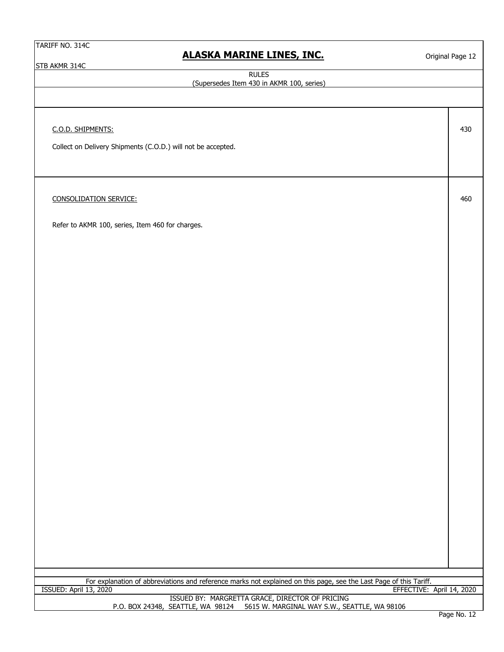STB AKMR 314C

### **ALASKA MARINE LINES, INC.**

Original Page 12

430

460

RULES

(Supersedes Item 430 in AKMR 100, series)

C.O.D. SHIPMENTS:

Collect on Delivery Shipments (C.O.D.) will not be accepted.

CONSOLIDATION SERVICE:

Refer to AKMR 100, series, Item 460 for charges.

For explanation of abbreviations and reference marks not explained on this page, see the Last Page of this Tariff.<br>EFFECTIVE:

EFFECTIVE: April 14, 2020

ISSUED BY: MARGRETTA GRACE, DIRECTOR OF PRICING<br>P.O. BOX 24348, SEATTLE, WA 98124 5615 W. MARGINAL WAY S.W., SE 5615 W. MARGINAL WAY S.W., SEATTLE, WA 98106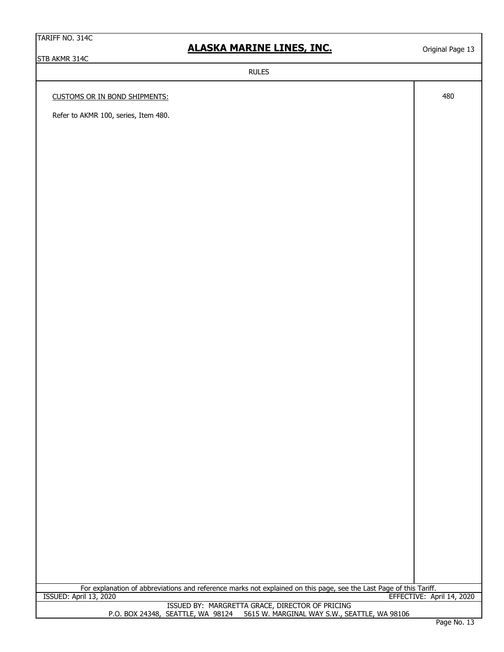### **ALASKA MARINE LINES, INC.**

Original Page 13

STB AKMR 314C CUSTOMS OR IN BOND SHIPMENTS: ISSUED BY: MARGRETTA GRACE, DIRECTOR OF PRICING P.O. BOX 24348, SEATTLE, WA 98124 5615 W. MARGINAL WAY S.W., SEATTLE, WA 98106 For explanation of abbreviations and reference marks not explained on this page, see the Last Page of this Tariff. RULES 480 ISSUED: April 13, 2020 EFFECTIVE: April 14, 2020 Refer to AKMR 100, series, Item 480.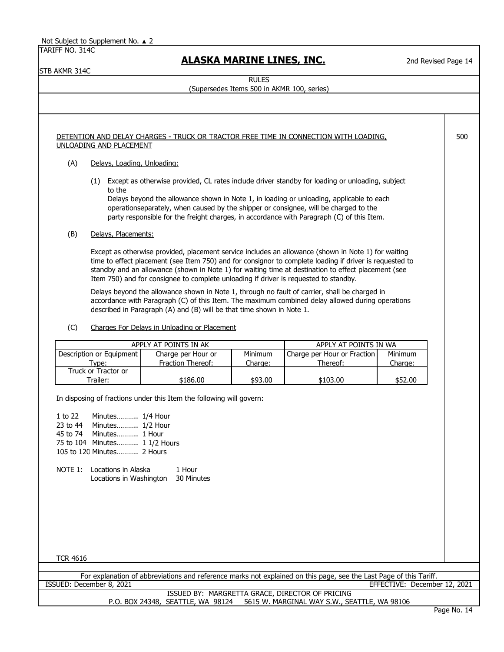STB AKMR 314C

 **ALASKA MARINE LINES, INC.**

2nd Revised Page 14

500

RULES

(Supersedes Items 500 in AKMR 100, series)

### DETENTION AND DELAY CHARGES - TRUCK OR TRACTOR FREE TIME IN CONNECTION WITH LOADING, UNLOADING AND PLACEMENT

### (A) Delays, Loading, Unloading:

(1) Except as otherwise provided, CL rates include driver standby for loading or unloading, subject to the

Delays beyond the allowance shown in Note 1, in loading or unloading, applicable to each operationseparately, when caused by the shipper or consignee, will be charged to the party responsible for the freight charges, in accordance with Paragraph (C) of this Item.

### (B) Delays, Placements:

Except as otherwise provided, placement service includes an allowance (shown in Note 1) for waiting time to effect placement (see Item 750) and for consignor to complete loading if driver is requested to standby and an allowance (shown in Note 1) for waiting time at destination to effect placement (see Item 750) and for consignee to complete unloading if driver is requested to standby.

Delays beyond the allowance shown in Note 1, through no fault of carrier, shall be charged in accordance with Paragraph (C) of this Item. The maximum combined delay allowed during operations described in Paragraph (A) and (B) will be that time shown in Note 1.

(C) Charges For Delays in Unloading or Placement

|                          | APPLY AT POINTS IN AK | APPLY AT POINTS IN WA |                             |         |
|--------------------------|-----------------------|-----------------------|-----------------------------|---------|
| Description or Equipment | Charge per Hour or    | Minimum               | Charge per Hour or Fraction | Minimum |
| Tvpe:                    | Fraction Thereof:     | Charge:               | Thereof:                    | Charge: |
| Truck or Tractor or      |                       |                       |                             |         |
| Trailer:                 | \$186.00              | \$93.00               | \$103.00                    | \$52.00 |

In disposing of fractions under this Item the following will govern:

1 to 22 Minutes........... 1/4 Hour 23 to 44 Minutes........... 1/2 Hour 45 to 74 Minutes........... 1 Hour 75 to 104 Minutes........... 1 1/2 Hours 105 to 120 Minutes........... 2 Hours NOTE 1: Locations in Alaska 1 Hour Locations in Washington 30 Minutes

TCR 4616

ISSUED: December 8, 2021 EFFECTIVE: December 12, 2021 For explanation of abbreviations and reference marks not explained on this page, see the Last Page of this Tariff.

> P.O. BOX 24348, SEATTLE, WA 98124 5615 W. MARGINAL WAY S.W., SEATTLE, WA 98106 ISSUED BY: MARGRETTA GRACE, DIRECTOR OF PRICING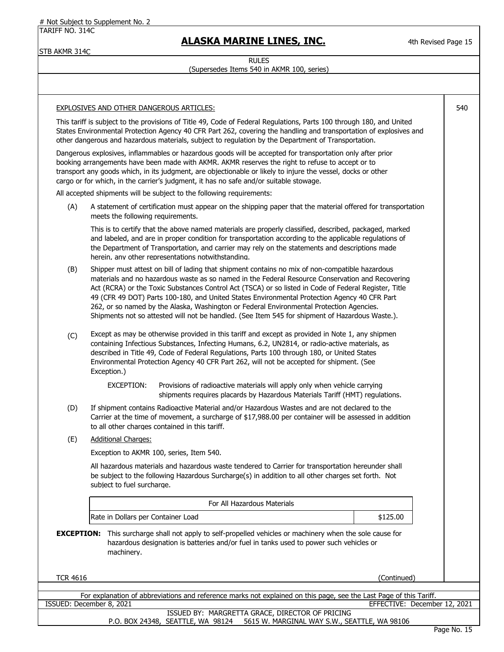# Not Subject to Supplement No. 2

TARIFF NO. 314C

# **ALASKA MARINE LINES, INC.**

4th Revised Page 15

STB AKMR 314C

### RULES (Supersedes Items 540 in AKMR 100, series)

|                 | <b>EXPLOSIVES AND OTHER DANGEROUS ARTICLES:</b>                                                                                                                                                                                                                                                                                                                                                                                                                                                                                                                                                             | 540 |
|-----------------|-------------------------------------------------------------------------------------------------------------------------------------------------------------------------------------------------------------------------------------------------------------------------------------------------------------------------------------------------------------------------------------------------------------------------------------------------------------------------------------------------------------------------------------------------------------------------------------------------------------|-----|
|                 | This tariff is subject to the provisions of Title 49, Code of Federal Regulations, Parts 100 through 180, and United<br>States Environmental Protection Agency 40 CFR Part 262, covering the handling and transportation of explosives and<br>other dangerous and hazardous materials, subject to regulation by the Department of Transportation.                                                                                                                                                                                                                                                           |     |
|                 | Dangerous explosives, inflammables or hazardous goods will be accepted for transportation only after prior<br>booking arrangements have been made with AKMR. AKMR reserves the right to refuse to accept or to<br>transport any goods which, in its judgment, are objectionable or likely to injure the vessel, docks or other<br>cargo or for which, in the carrier's judgment, it has no safe and/or suitable stowage.                                                                                                                                                                                    |     |
|                 | All accepted shipments will be subject to the following requirements:                                                                                                                                                                                                                                                                                                                                                                                                                                                                                                                                       |     |
| (A)             | A statement of certification must appear on the shipping paper that the material offered for transportation<br>meets the following requirements.                                                                                                                                                                                                                                                                                                                                                                                                                                                            |     |
|                 | This is to certify that the above named materials are properly classified, described, packaged, marked<br>and labeled, and are in proper condition for transportation according to the applicable regulations of<br>the Department of Transportation, and carrier may rely on the statements and descriptions made<br>herein, any other representations notwithstanding.                                                                                                                                                                                                                                    |     |
| (B)             | Shipper must attest on bill of lading that shipment contains no mix of non-compatible hazardous<br>materials and no hazardous waste as so named in the Federal Resource Conservation and Recovering<br>Act (RCRA) or the Toxic Substances Control Act (TSCA) or so listed in Code of Federal Register, Title<br>49 (CFR 49 DOT) Parts 100-180, and United States Environmental Protection Agency 40 CFR Part<br>262, or so named by the Alaska, Washington or Federal Environmental Protection Agencies.<br>Shipments not so attested will not be handled. (See Item 545 for shipment of Hazardous Waste.). |     |
| (C)             | Except as may be otherwise provided in this tariff and except as provided in Note 1, any shipmen<br>containing Infectious Substances, Infecting Humans, 6.2, UN2814, or radio-active materials, as<br>described in Title 49, Code of Federal Regulations, Parts 100 through 180, or United States<br>Environmental Protection Agency 40 CFR Part 262, will not be accepted for shipment. (See<br>Exception.)                                                                                                                                                                                                |     |
|                 | EXCEPTION:<br>Provisions of radioactive materials will apply only when vehicle carrying<br>shipments requires placards by Hazardous Materials Tariff (HMT) regulations.                                                                                                                                                                                                                                                                                                                                                                                                                                     |     |
| (D)             | If shipment contains Radioactive Material and/or Hazardous Wastes and are not declared to the<br>Carrier at the time of movement, a surcharge of \$17,988.00 per container will be assessed in addition<br>to all other charges contained in this tariff.                                                                                                                                                                                                                                                                                                                                                   |     |
| (E)             | <b>Additional Charges:</b>                                                                                                                                                                                                                                                                                                                                                                                                                                                                                                                                                                                  |     |
|                 | Exception to AKMR 100, series, Item 540.                                                                                                                                                                                                                                                                                                                                                                                                                                                                                                                                                                    |     |
|                 | All hazardous materials and hazardous waste tendered to Carrier for transportation hereunder shall<br>be subject to the following Hazardous Surcharge(s) in addition to all other charges set forth. Not<br>subject to fuel surcharge.                                                                                                                                                                                                                                                                                                                                                                      |     |
|                 | For All Hazardous Materials                                                                                                                                                                                                                                                                                                                                                                                                                                                                                                                                                                                 |     |
|                 | Rate in Dollars per Container Load<br>\$125.00                                                                                                                                                                                                                                                                                                                                                                                                                                                                                                                                                              |     |
|                 | <b>EXCEPTION:</b> This surcharge shall not apply to self-propelled vehicles or machinery when the sole cause for<br>hazardous designation is batteries and/or fuel in tanks used to power such vehicles or<br>machinery.                                                                                                                                                                                                                                                                                                                                                                                    |     |
| <b>TCR 4616</b> | (Continued)                                                                                                                                                                                                                                                                                                                                                                                                                                                                                                                                                                                                 |     |
|                 |                                                                                                                                                                                                                                                                                                                                                                                                                                                                                                                                                                                                             |     |
|                 | For explanation of abbreviations and reference marks not explained on this page, see the Last Page of this Tariff.<br>EFFECTIVE: December 12, 2021<br>ISSUED: December 8, 2021                                                                                                                                                                                                                                                                                                                                                                                                                              |     |
|                 | ISSUED BY: MARGRETTA GRACE, DIRECTOR OF PRICING<br>P.O. BOX 24348, SEATTLE, WA 98124 5615 W. MARGINAL WAY S.W., SEATTLE, WA 98106                                                                                                                                                                                                                                                                                                                                                                                                                                                                           |     |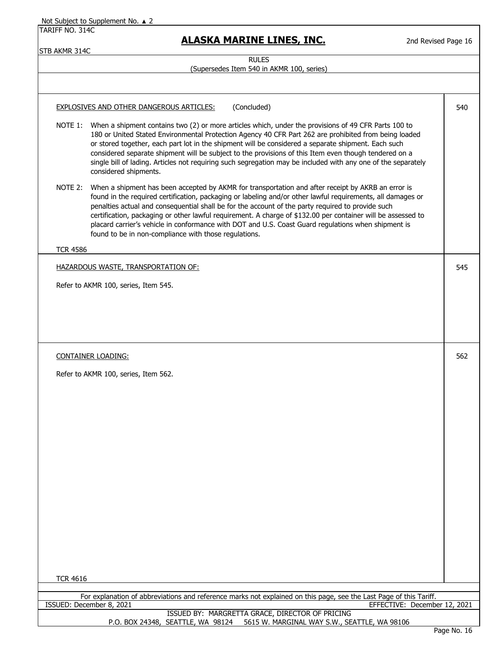| TARIFF NO. 314C | <b>ALASKA MARINE LINES, INC.</b>                                                                                                                                                                                                                                                                                                                                                                                                                                                                                                                                                                       | 2nd Revised Page 16          |
|-----------------|--------------------------------------------------------------------------------------------------------------------------------------------------------------------------------------------------------------------------------------------------------------------------------------------------------------------------------------------------------------------------------------------------------------------------------------------------------------------------------------------------------------------------------------------------------------------------------------------------------|------------------------------|
| STB AKMR 314C   | <b>RULES</b>                                                                                                                                                                                                                                                                                                                                                                                                                                                                                                                                                                                           |                              |
|                 | (Supersedes Item 540 in AKMR 100, series)                                                                                                                                                                                                                                                                                                                                                                                                                                                                                                                                                              |                              |
|                 | (Concluded)<br>EXPLOSIVES AND OTHER DANGEROUS ARTICLES:                                                                                                                                                                                                                                                                                                                                                                                                                                                                                                                                                | 540                          |
|                 | NOTE 1: When a shipment contains two (2) or more articles which, under the provisions of 49 CFR Parts 100 to<br>180 or United Stated Environmental Protection Agency 40 CFR Part 262 are prohibited from being loaded<br>or stored together, each part lot in the shipment will be considered a separate shipment. Each such<br>considered separate shipment will be subject to the provisions of this Item even though tendered on a<br>single bill of lading. Articles not requiring such segregation may be included with any one of the separately<br>considered shipments.                        |                              |
| NOTE 2:         | When a shipment has been accepted by AKMR for transportation and after receipt by AKRB an error is<br>found in the required certification, packaging or labeling and/or other lawful requirements, all damages or<br>penalties actual and consequential shall be for the account of the party required to provide such<br>certification, packaging or other lawful requirement. A charge of \$132.00 per container will be assessed to<br>placard carrier's vehicle in conformance with DOT and U.S. Coast Guard regulations when shipment is<br>found to be in non-compliance with those regulations. |                              |
| <b>TCR 4586</b> |                                                                                                                                                                                                                                                                                                                                                                                                                                                                                                                                                                                                        |                              |
|                 | <b>HAZARDOUS WASTE, TRANSPORTATION OF:</b>                                                                                                                                                                                                                                                                                                                                                                                                                                                                                                                                                             | 545                          |
|                 | Refer to AKMR 100, series, Item 545.                                                                                                                                                                                                                                                                                                                                                                                                                                                                                                                                                                   |                              |
|                 |                                                                                                                                                                                                                                                                                                                                                                                                                                                                                                                                                                                                        |                              |
|                 |                                                                                                                                                                                                                                                                                                                                                                                                                                                                                                                                                                                                        |                              |
|                 |                                                                                                                                                                                                                                                                                                                                                                                                                                                                                                                                                                                                        |                              |
|                 |                                                                                                                                                                                                                                                                                                                                                                                                                                                                                                                                                                                                        |                              |
|                 | <b>CONTAINER LOADING:</b>                                                                                                                                                                                                                                                                                                                                                                                                                                                                                                                                                                              | 562                          |
|                 | Refer to AKMR 100, series, Item 562.                                                                                                                                                                                                                                                                                                                                                                                                                                                                                                                                                                   |                              |
|                 |                                                                                                                                                                                                                                                                                                                                                                                                                                                                                                                                                                                                        |                              |
|                 |                                                                                                                                                                                                                                                                                                                                                                                                                                                                                                                                                                                                        |                              |
|                 |                                                                                                                                                                                                                                                                                                                                                                                                                                                                                                                                                                                                        |                              |
|                 |                                                                                                                                                                                                                                                                                                                                                                                                                                                                                                                                                                                                        |                              |
|                 |                                                                                                                                                                                                                                                                                                                                                                                                                                                                                                                                                                                                        |                              |
|                 |                                                                                                                                                                                                                                                                                                                                                                                                                                                                                                                                                                                                        |                              |
|                 |                                                                                                                                                                                                                                                                                                                                                                                                                                                                                                                                                                                                        |                              |
|                 |                                                                                                                                                                                                                                                                                                                                                                                                                                                                                                                                                                                                        |                              |
|                 |                                                                                                                                                                                                                                                                                                                                                                                                                                                                                                                                                                                                        |                              |
|                 |                                                                                                                                                                                                                                                                                                                                                                                                                                                                                                                                                                                                        |                              |
|                 |                                                                                                                                                                                                                                                                                                                                                                                                                                                                                                                                                                                                        |                              |
|                 |                                                                                                                                                                                                                                                                                                                                                                                                                                                                                                                                                                                                        |                              |
|                 |                                                                                                                                                                                                                                                                                                                                                                                                                                                                                                                                                                                                        |                              |
|                 |                                                                                                                                                                                                                                                                                                                                                                                                                                                                                                                                                                                                        |                              |
| <b>TCR 4616</b> |                                                                                                                                                                                                                                                                                                                                                                                                                                                                                                                                                                                                        |                              |
|                 | For explanation of abbreviations and reference marks not explained on this page, see the Last Page of this Tariff.                                                                                                                                                                                                                                                                                                                                                                                                                                                                                     |                              |
|                 | ISSUED: December 8, 2021                                                                                                                                                                                                                                                                                                                                                                                                                                                                                                                                                                               | EFFECTIVE: December 12, 2021 |
|                 | ISSUED BY: MARGRETTA GRACE, DIRECTOR OF PRICING<br>5615 W. MARGINAL WAY S.W., SEATTLE, WA 98106<br>P.O. BOX 24348, SEATTLE, WA 98124                                                                                                                                                                                                                                                                                                                                                                                                                                                                   |                              |
|                 |                                                                                                                                                                                                                                                                                                                                                                                                                                                                                                                                                                                                        |                              |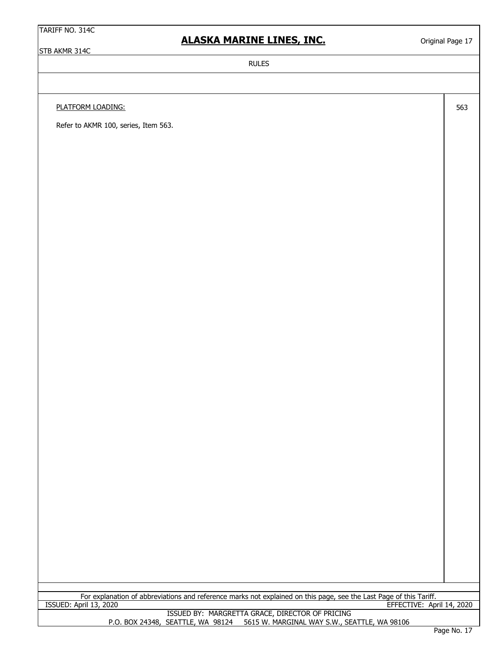### **ALASKA MARINE LINES, INC.**

STB AKMR 314C

Original Page 17

563

RULES

PLATFORM LOADING:

Refer to AKMR 100, series, Item 563.

For explanation of abbreviations and reference marks not explained on this page, see the Last Page of this Tariff. ISSUED: April 13, 2020 EFFECTIVE: April 14, 2020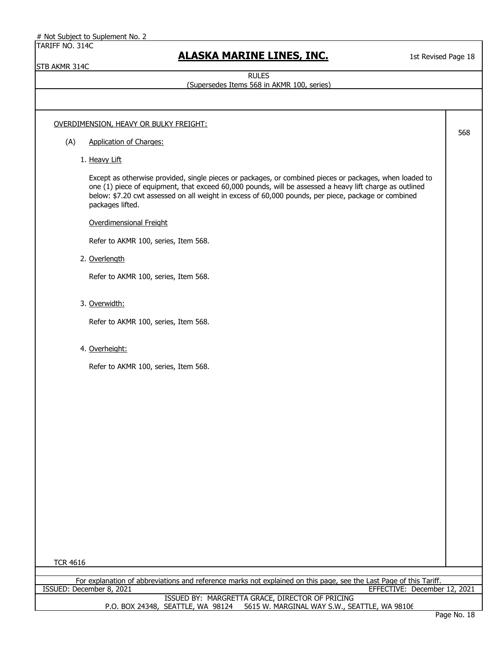|  |  |  |  |  |  |  | # Not Subject to Suplement No. 2 |  |  |  |
|--|--|--|--|--|--|--|----------------------------------|--|--|--|
|--|--|--|--|--|--|--|----------------------------------|--|--|--|

STB AKMR 314C

# **ALASKA MARINE LINES, INC.**

1st Revised Page 18

RULES

### (Supersedes Items 568 in AKMR 100, series)

| OVERDIMENSION, HEAVY OR BULKY FREIGHT:<br>568<br><b>Application of Charges:</b><br>(A)<br>1. Heavy Lift<br>Except as otherwise provided, single pieces or packages, or combined pieces or packages, when loaded to<br>one (1) piece of equipment, that exceed 60,000 pounds, will be assessed a heavy lift charge as outlined<br>below: \$7.20 cwt assessed on all weight in excess of 60,000 pounds, per piece, package or combined<br>packages lifted.<br>Overdimensional Freight<br>Refer to AKMR 100, series, Item 568.<br>2. Overlength<br>Refer to AKMR 100, series, Item 568.<br>3. Overwidth:<br>Refer to AKMR 100, series, Item 568.<br>4. Overheight:<br>Refer to AKMR 100, series, Item 568. |  |  |
|---------------------------------------------------------------------------------------------------------------------------------------------------------------------------------------------------------------------------------------------------------------------------------------------------------------------------------------------------------------------------------------------------------------------------------------------------------------------------------------------------------------------------------------------------------------------------------------------------------------------------------------------------------------------------------------------------------|--|--|
|                                                                                                                                                                                                                                                                                                                                                                                                                                                                                                                                                                                                                                                                                                         |  |  |
|                                                                                                                                                                                                                                                                                                                                                                                                                                                                                                                                                                                                                                                                                                         |  |  |
|                                                                                                                                                                                                                                                                                                                                                                                                                                                                                                                                                                                                                                                                                                         |  |  |
|                                                                                                                                                                                                                                                                                                                                                                                                                                                                                                                                                                                                                                                                                                         |  |  |
|                                                                                                                                                                                                                                                                                                                                                                                                                                                                                                                                                                                                                                                                                                         |  |  |
|                                                                                                                                                                                                                                                                                                                                                                                                                                                                                                                                                                                                                                                                                                         |  |  |
|                                                                                                                                                                                                                                                                                                                                                                                                                                                                                                                                                                                                                                                                                                         |  |  |
|                                                                                                                                                                                                                                                                                                                                                                                                                                                                                                                                                                                                                                                                                                         |  |  |
|                                                                                                                                                                                                                                                                                                                                                                                                                                                                                                                                                                                                                                                                                                         |  |  |
|                                                                                                                                                                                                                                                                                                                                                                                                                                                                                                                                                                                                                                                                                                         |  |  |
|                                                                                                                                                                                                                                                                                                                                                                                                                                                                                                                                                                                                                                                                                                         |  |  |
|                                                                                                                                                                                                                                                                                                                                                                                                                                                                                                                                                                                                                                                                                                         |  |  |
|                                                                                                                                                                                                                                                                                                                                                                                                                                                                                                                                                                                                                                                                                                         |  |  |
|                                                                                                                                                                                                                                                                                                                                                                                                                                                                                                                                                                                                                                                                                                         |  |  |
|                                                                                                                                                                                                                                                                                                                                                                                                                                                                                                                                                                                                                                                                                                         |  |  |
|                                                                                                                                                                                                                                                                                                                                                                                                                                                                                                                                                                                                                                                                                                         |  |  |
|                                                                                                                                                                                                                                                                                                                                                                                                                                                                                                                                                                                                                                                                                                         |  |  |
|                                                                                                                                                                                                                                                                                                                                                                                                                                                                                                                                                                                                                                                                                                         |  |  |
|                                                                                                                                                                                                                                                                                                                                                                                                                                                                                                                                                                                                                                                                                                         |  |  |
|                                                                                                                                                                                                                                                                                                                                                                                                                                                                                                                                                                                                                                                                                                         |  |  |
|                                                                                                                                                                                                                                                                                                                                                                                                                                                                                                                                                                                                                                                                                                         |  |  |
| <b>TCR 4616</b>                                                                                                                                                                                                                                                                                                                                                                                                                                                                                                                                                                                                                                                                                         |  |  |
| For explanation of abbreviations and reference marks not explained on this page, see the Last Page of this Tariff.                                                                                                                                                                                                                                                                                                                                                                                                                                                                                                                                                                                      |  |  |
| EFFECTIVE: December 12, 2021<br>ISSUED: December 8, 2021<br>ISSUED BY: MARGRETTA GRACE, DIRECTOR OF PRICING<br>5615 W. MARGINAL WAY S.W., SEATTLE, WA 98106<br>P.O. BOX 24348, SEATTLE, WA 98124                                                                                                                                                                                                                                                                                                                                                                                                                                                                                                        |  |  |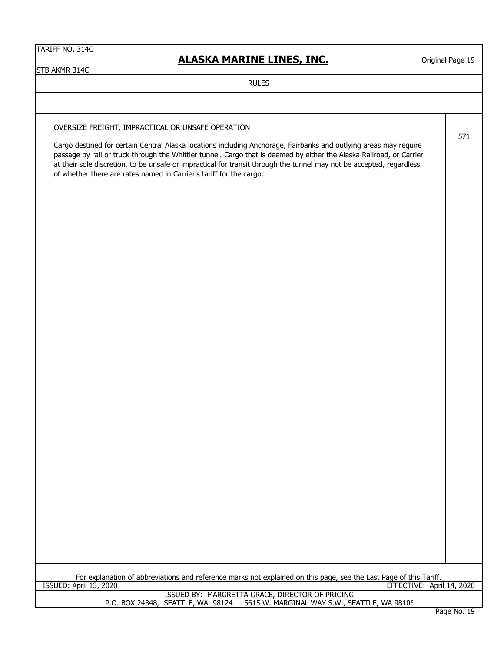# **ALASKA MARINE LINES, INC.**

Original Page 19

571

STB AKMR 314C

RULES

### OVERSIZE FREIGHT, IMPRACTICAL OR UNSAFE OPERATION

Cargo destined for certain Central Alaska locations including Anchorage, Fairbanks and outlying areas may require passage by rail or truck through the Whittier tunnel. Cargo that is deemed by either the Alaska Railroad, or Carrier at their sole discretion, to be unsafe or impractical for transit through the tunnel may not be accepted, regardless of whether there are rates named in Carrier's tariff for the cargo.

For explanation of abbreviations and reference marks not explained on this page, see the Last Page of this Tariff.<br>ISSUED: April 13, 2020 EFFECTIVE: April 14, 2020

> P.O. BOX 24348, SEATTLE, WA 98124 5615 W. MARGINAL WAY S.W., SEATTLE, WA 98106 ISSUED BY: MARGRETTA GRACE, DIRECTOR OF PRICING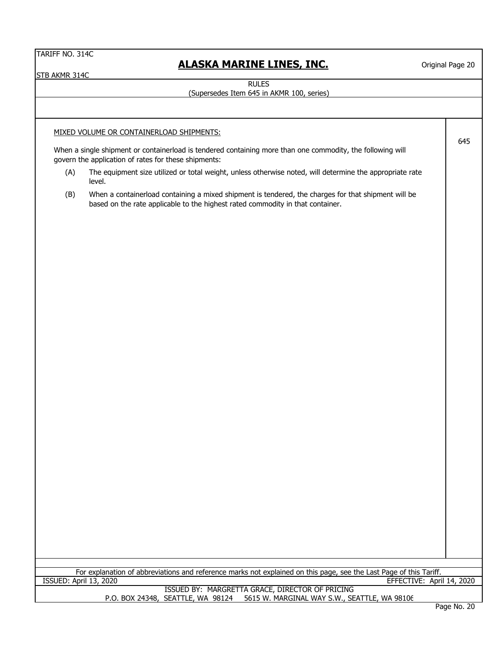STB AKMR 314C

# **ALASKA MARINE LINES, INC.**

Original Page 20

645

RULES

### (Supersedes Item 645 in AKMR 100, series)

MIXED VOLUME OR CONTAINERLOAD SHIPMENTS:

When a single shipment or containerload is tendered containing more than one commodity, the following will govern the application of rates for these shipments:

- (A) The equipment size utilized or total weight, unless otherwise noted, will determine the appropriate rate level.
- (B) When a containerload containing a mixed shipment is tendered, the charges for that shipment will be based on the rate applicable to the highest rated commodity in that container.

| For explanation of abbreviations and reference marks not explained on this page, see the Last Page of this " | Tariff                      |
|--------------------------------------------------------------------------------------------------------------|-----------------------------|
| 2020<br>ISSUED:<br>13.<br>April                                                                              | April 14, 2020<br>EFFECTIVE |

#### P.O. BOX 24348, SEATTLE, WA 98124 5615 W. MARGINAL WAY S.W., SEATTLE, WA 98106 ISSUED BY: MARGRETTA GRACE, DIRECTOR OF PRICING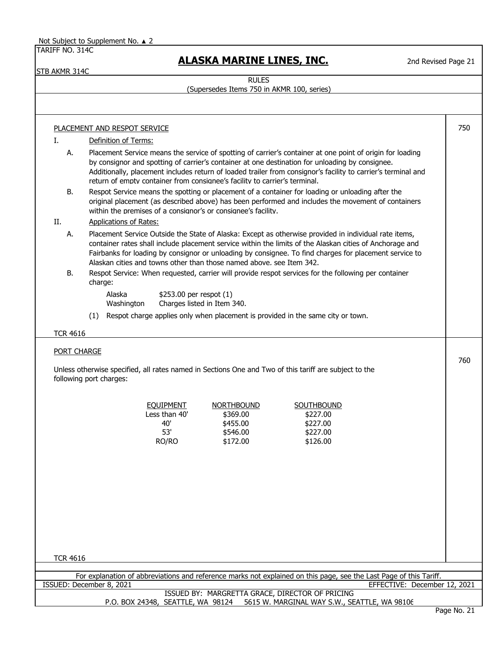STB AKMR 314C

# **ALASKA MARINE LINES, INC.**

2nd Revised Page 21

RULES

### (Supersedes Items 750 in AKMR 100, series)

|                    | <b>PLACEMENT AND RESPOT SERVICE</b>                                                                                                                                                                                                                                                                                                                                                                         | 750 |
|--------------------|-------------------------------------------------------------------------------------------------------------------------------------------------------------------------------------------------------------------------------------------------------------------------------------------------------------------------------------------------------------------------------------------------------------|-----|
| Ι.                 | Definition of Terms:                                                                                                                                                                                                                                                                                                                                                                                        |     |
| А.                 | Placement Service means the service of spotting of carrier's container at one point of origin for loading<br>by consignor and spotting of carrier's container at one destination for unloading by consignee.<br>Additionally, placement includes return of loaded trailer from consignor's facility to carrier's terminal and<br>return of empty container from consignee's facility to carrier's terminal. |     |
| B.                 | Respot Service means the spotting or placement of a container for loading or unloading after the<br>original placement (as described above) has been performed and includes the movement of containers<br>within the premises of a consignor's or consignee's facility.                                                                                                                                     |     |
| II.                | <b>Applications of Rates:</b>                                                                                                                                                                                                                                                                                                                                                                               |     |
| А.                 | Placement Service Outside the State of Alaska: Except as otherwise provided in individual rate items,<br>container rates shall include placement service within the limits of the Alaskan cities of Anchorage and<br>Fairbanks for loading by consignor or unloading by consignee. To find charges for placement service to<br>Alaskan cities and towns other than those named above, see Item 342.         |     |
| <b>B.</b>          | Respot Service: When requested, carrier will provide respot services for the following per container<br>charge:                                                                                                                                                                                                                                                                                             |     |
|                    | \$253.00 per respot (1)<br>Alaska<br>Charges listed in Item 340.<br>Washington                                                                                                                                                                                                                                                                                                                              |     |
|                    | (1) Respot charge applies only when placement is provided in the same city or town.                                                                                                                                                                                                                                                                                                                         |     |
|                    |                                                                                                                                                                                                                                                                                                                                                                                                             |     |
| <b>TCR 4616</b>    |                                                                                                                                                                                                                                                                                                                                                                                                             |     |
|                    |                                                                                                                                                                                                                                                                                                                                                                                                             |     |
|                    |                                                                                                                                                                                                                                                                                                                                                                                                             |     |
|                    | Unless otherwise specified, all rates named in Sections One and Two of this tariff are subject to the<br>following port charges:                                                                                                                                                                                                                                                                            | 760 |
|                    | <b>NORTHBOUND</b><br><b>EQUIPMENT</b><br>SOUTHBOUND                                                                                                                                                                                                                                                                                                                                                         |     |
|                    | Less than 40'<br>\$369.00<br>\$227.00                                                                                                                                                                                                                                                                                                                                                                       |     |
|                    | 40'<br>\$455.00<br>\$227.00                                                                                                                                                                                                                                                                                                                                                                                 |     |
| <b>PORT CHARGE</b> | 53'<br>\$546.00<br>\$227.00<br>RO/RO<br>\$172.00<br>\$126.00                                                                                                                                                                                                                                                                                                                                                |     |
|                    |                                                                                                                                                                                                                                                                                                                                                                                                             |     |
|                    |                                                                                                                                                                                                                                                                                                                                                                                                             |     |
|                    |                                                                                                                                                                                                                                                                                                                                                                                                             |     |
|                    |                                                                                                                                                                                                                                                                                                                                                                                                             |     |
|                    |                                                                                                                                                                                                                                                                                                                                                                                                             |     |
| <b>TCR 4616</b>    |                                                                                                                                                                                                                                                                                                                                                                                                             |     |
|                    | For explanation of abbreviations and reference marks not explained on this page, see the Last Page of this Tariff.                                                                                                                                                                                                                                                                                          |     |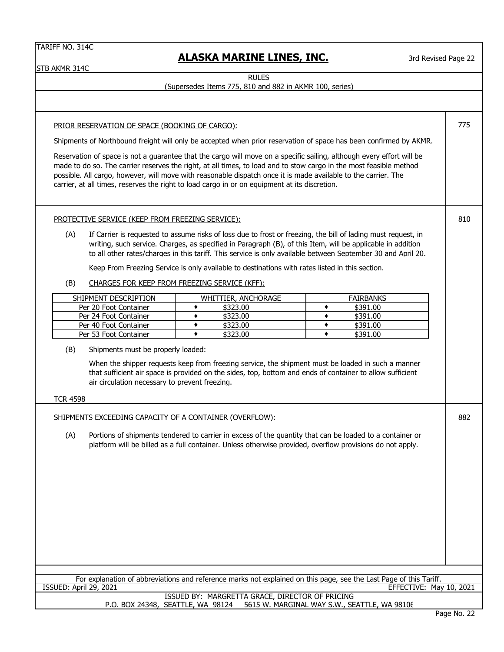STB AKMR 314C

# **ALASKA MARINE LINES, INC.**

3rd Revised Page 22

(Supersedes Items 775, 810 and 882 in AKMR 100, series)

| PRIOR RESERVATION OF SPACE (BOOKING OF CARGO):                                                                     |                                                                                                                                                                                                                              |                                              |             |  |  |
|--------------------------------------------------------------------------------------------------------------------|------------------------------------------------------------------------------------------------------------------------------------------------------------------------------------------------------------------------------|----------------------------------------------|-------------|--|--|
| Shipments of Northbound freight will only be accepted when prior reservation of space has been confirmed by AKMR.  |                                                                                                                                                                                                                              |                                              |             |  |  |
|                                                                                                                    | Reservation of space is not a guarantee that the cargo will move on a specific sailing, although every effort will be                                                                                                        |                                              |             |  |  |
|                                                                                                                    | made to do so. The carrier reserves the right, at all times, to load and to stow cargo in the most feasible method                                                                                                           |                                              |             |  |  |
|                                                                                                                    | possible. All cargo, however, will move with reasonable dispatch once it is made available to the carrier. The<br>carrier, at all times, reserves the right to load cargo in or on equipment at its discretion.              |                                              |             |  |  |
|                                                                                                                    |                                                                                                                                                                                                                              |                                              |             |  |  |
|                                                                                                                    |                                                                                                                                                                                                                              |                                              |             |  |  |
| PROTECTIVE SERVICE (KEEP FROM FREEZING SERVICE):                                                                   |                                                                                                                                                                                                                              |                                              | 810         |  |  |
| (A)                                                                                                                | If Carrier is requested to assume risks of loss due to frost or freezing, the bill of lading must request, in<br>writing, such service. Charges, as specified in Paragraph (B), of this Item, will be applicable in addition |                                              |             |  |  |
|                                                                                                                    | to all other rates/charges in this tariff. This service is only available between September 30 and April 20.                                                                                                                 |                                              |             |  |  |
|                                                                                                                    | Keep From Freezing Service is only available to destinations with rates listed in this section.                                                                                                                              |                                              |             |  |  |
| (B)                                                                                                                | CHARGES FOR KEEP FROM FREEZING SERVICE (KFF):                                                                                                                                                                                |                                              |             |  |  |
| SHIPMENT DESCRIPTION                                                                                               | WHITTIER, ANCHORAGE                                                                                                                                                                                                          | <b>FAIRBANKS</b>                             |             |  |  |
| Per 20 Foot Container                                                                                              | \$323.00<br>۰                                                                                                                                                                                                                | \$391.00<br>٠                                |             |  |  |
| Per 24 Foot Container<br>Per 40 Foot Container                                                                     | \$323.00<br>٠<br>\$323.00<br>٠                                                                                                                                                                                               | \$391.00<br>٠<br>\$391.00<br>٠               |             |  |  |
| Per 53 Foot Container                                                                                              | ٠<br>\$323.00                                                                                                                                                                                                                | ٠<br>\$391.00                                |             |  |  |
| (B)<br>Shipments must be properly loaded:                                                                          |                                                                                                                                                                                                                              |                                              |             |  |  |
|                                                                                                                    | When the shipper requests keep from freezing service, the shipment must be loaded in such a manner                                                                                                                           |                                              |             |  |  |
|                                                                                                                    | that sufficient air space is provided on the sides, top, bottom and ends of container to allow sufficient                                                                                                                    |                                              |             |  |  |
|                                                                                                                    | air circulation necessary to prevent freezing.                                                                                                                                                                               |                                              |             |  |  |
| <b>TCR 4598</b>                                                                                                    |                                                                                                                                                                                                                              |                                              |             |  |  |
|                                                                                                                    | SHIPMENTS EXCEEDING CAPACITY OF A CONTAINER (OVERFLOW):                                                                                                                                                                      |                                              | 882         |  |  |
| (A)                                                                                                                | Portions of shipments tendered to carrier in excess of the quantity that can be loaded to a container or                                                                                                                     |                                              |             |  |  |
|                                                                                                                    | platform will be billed as a full container. Unless otherwise provided, overflow provisions do not apply.                                                                                                                    |                                              |             |  |  |
|                                                                                                                    |                                                                                                                                                                                                                              |                                              |             |  |  |
|                                                                                                                    |                                                                                                                                                                                                                              |                                              |             |  |  |
|                                                                                                                    |                                                                                                                                                                                                                              |                                              |             |  |  |
|                                                                                                                    |                                                                                                                                                                                                                              |                                              |             |  |  |
|                                                                                                                    |                                                                                                                                                                                                                              |                                              |             |  |  |
|                                                                                                                    |                                                                                                                                                                                                                              |                                              |             |  |  |
|                                                                                                                    |                                                                                                                                                                                                                              |                                              |             |  |  |
|                                                                                                                    |                                                                                                                                                                                                                              |                                              |             |  |  |
|                                                                                                                    |                                                                                                                                                                                                                              |                                              |             |  |  |
| For explanation of abbreviations and reference marks not explained on this page, see the Last Page of this Tariff. |                                                                                                                                                                                                                              |                                              |             |  |  |
| ISSUED: April 29, 2021                                                                                             | ISSUED BY: MARGRETTA GRACE, DIRECTOR OF PRICING                                                                                                                                                                              | EFFECTIVE: May 10, 2021                      |             |  |  |
|                                                                                                                    | P.O. BOX 24348, SEATTLE, WA 98124                                                                                                                                                                                            | 5615 W. MARGINAL WAY S.W., SEATTLE, WA 98106 |             |  |  |
|                                                                                                                    |                                                                                                                                                                                                                              |                                              | Page No. 22 |  |  |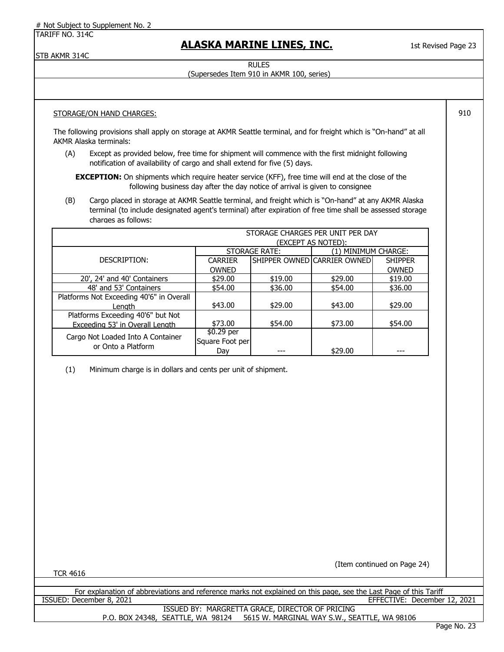# Not Subject to Supplement No. 2

TARIFF NO. 314C

### **ALASKA MARINE LINES, INC.**

1st Revised Page 23

910

STB AKMR 314C

RULES (Supersedes Item 910 in AKMR 100, series)

### STORAGE/ON HAND CHARGES:

The following provisions shall apply on storage at AKMR Seattle terminal, and for freight which is "On-hand" at all AKMR Alaska terminals:

(A) Except as provided below, free time for shipment will commence with the first midnight following notification of availability of cargo and shall extend for five (5) days.

**EXCEPTION:** On shipments which require heater service (KFF), free time will end at the close of the following business day after the day notice of arrival is given to consignee

(B) Cargo placed in storage at AKMR Seattle terminal, and freight which is "On-hand" at any AKMR Alaska terminal (to include designated agent's terminal) after expiration of free time shall be assessed storage charges as follows:

|                                                         |                 |                      | STORAGE CHARGES PER UNIT PER DAY |                |
|---------------------------------------------------------|-----------------|----------------------|----------------------------------|----------------|
|                                                         |                 |                      | (EXCEPT AS NOTED):               |                |
|                                                         |                 | <b>STORAGE RATE:</b> | (1) MINIMUM CHARGE:              |                |
| DESCRIPTION:                                            | <b>CARRIER</b>  |                      | SHIPPER OWNED CARRIER OWNED      | <b>SHIPPER</b> |
|                                                         | <b>OWNED</b>    |                      |                                  | <b>OWNED</b>   |
| 20', 24' and 40' Containers                             | \$29.00         | \$19.00              | \$29.00                          | \$19.00        |
| 48' and 53' Containers                                  | \$54.00         | \$36.00              | \$54.00                          | \$36.00        |
| Platforms Not Exceeding 40'6" in Overall                |                 |                      |                                  |                |
| Lenath                                                  | \$43.00         | \$29.00              | \$43.00                          | \$29.00        |
| Platforms Exceeding 40'6" but Not                       |                 |                      |                                  |                |
| Exceeding 53' in Overall Length                         | \$73.00         | \$54.00              | \$73.00                          | \$54.00        |
|                                                         | $$0.29$ per     |                      |                                  |                |
| Cargo Not Loaded Into A Container<br>or Onto a Platform | Square Foot per |                      |                                  |                |
|                                                         | Day             |                      | \$29.00                          |                |

(1) Minimum charge is in dollars and cents per unit of shipment.

TCR 4616

(Item continued on Page 24)

For explanation of abbreviations and reference marks not explained on this page, see the Last Page of this Tariff ISSUED: December 8, 2021 EFFECTIVE: December 12, 2021

P.O. BOX 24348, SEATTLE, WA 98124 5615 W. MARGINAL WAY S.W., SEATTLE, WA 98106 ISSUED BY: MARGRETTA GRACE, DIRECTOR OF PRICING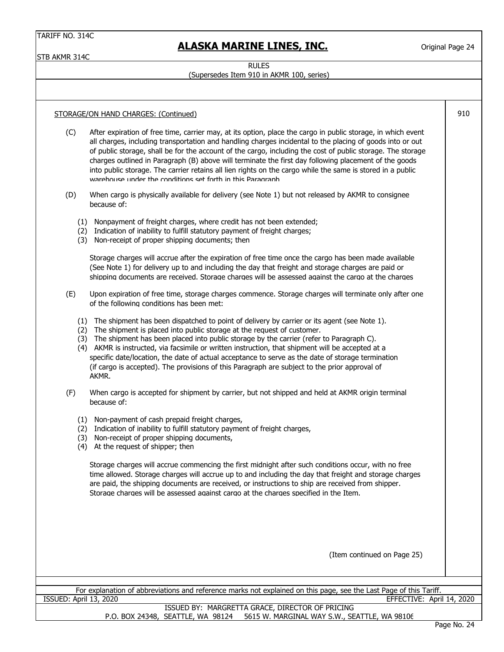STB AKMR 314C

# **ALASKA MARINE LINES, INC.**

Original Page 24

910

#### **RULES**

### (Supersedes Item 910 in AKMR 100, series)

### STORAGE/ON HAND CHARGES: (Continued)

- (C) After expiration of free time, carrier may, at its option, place the cargo in public storage, in which event all charges, including transportation and handling charges incidental to the placing of goods into or out of public storage, shall be for the account of the cargo, including the cost of public storage. The storage charges outlined in Paragraph (B) above will terminate the first day following placement of the goods into public storage. The carrier retains all lien rights on the cargo while the same is stored in a public warehouse under the conditions set forth in this Paragraph
- (D) When cargo is physically available for delivery (see Note 1) but not released by AKMR to consignee because of:
	- (1) Nonpayment of freight charges, where credit has not been extended;
	- (2) Indication of inability to fulfill statutory payment of freight charges;
	- (3) Non-receipt of proper shipping documents; then

Storage charges will accrue after the expiration of free time once the cargo has been made available (See Note 1) for delivery up to and including the day that freight and storage charges are paid or shipping documents are received. Storage charges will be assessed against the cargo at the charges

- (E) Upon expiration of free time, storage charges commence. Storage charges will terminate only after one of the following conditions has been met:
	- (1) The shipment has been dispatched to point of delivery by carrier or its agent (see Note 1).
	- (2) The shipment is placed into public storage at the request of customer.
	- (3) The shipment has been placed into public storage by the carrier (refer to Paragraph C).
	- (4) AKMR is instructed, via facsimile or written instruction, that shipment will be accepted at a specific date/location, the date of actual acceptance to serve as the date of storage termination (if cargo is accepted). The provisions of this Paragraph are subject to the prior approval of AKMR.
- (F) When cargo is accepted for shipment by carrier, but not shipped and held at AKMR origin terminal because of:
	- (1) Non-payment of cash prepaid freight charges,
	- (2) Indication of inability to fulfill statutory payment of freight charges,
	- (3) Non-receipt of proper shipping documents,
	- (4) At the request of shipper; then

Storage charges will accrue commencing the first midnight after such conditions occur, with no free time allowed. Storage charges will accrue up to and including the day that freight and storage charges are paid, the shipping documents are received, or instructions to ship are received from shipper. Storage charges will be assessed against cargo at the charges specified in the Item.

(Item continued on Page 25)

For explanation of abbreviations and reference marks not explained on this page, see the Last Page of this Tariff. ISSUED: April 13, 2020 EFFECTIVE: April 14, 2020

> ISSUED BY: MARGRETTA GRACE, DIRECTOR OF PRICING P.O. BOX 24348, SEATTLE, WA 98124 5615 W. MARGINAL WAY S.W., SEATTLE, WA 98106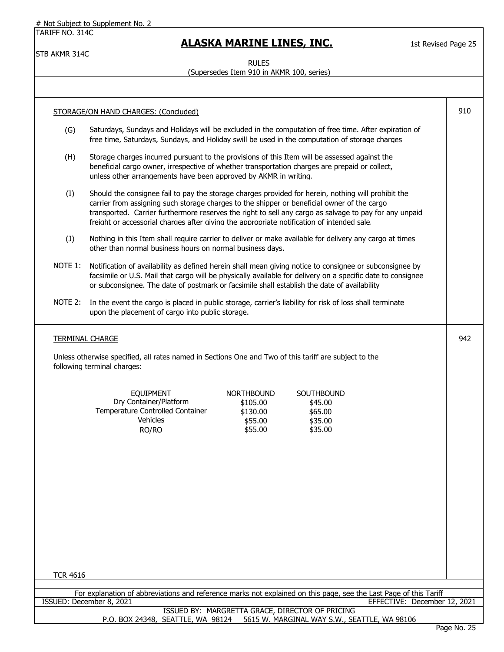# Not Subject to Supplement No. 2

TARIFF NO. 314C

STB AKMR 314C

# **ALASKA MARINE LINES, INC.**

1st Revised Page 25

# RULES

(Supersedes Item 910 in AKMR 100, series)

|                 | STORAGE/ON HAND CHARGES: (Concluded)                                                                                                                                                                                                                                                                                                                                                                       | 910         |
|-----------------|------------------------------------------------------------------------------------------------------------------------------------------------------------------------------------------------------------------------------------------------------------------------------------------------------------------------------------------------------------------------------------------------------------|-------------|
| (G)             | Saturdays, Sundays and Holidays will be excluded in the computation of free time. After expiration of<br>free time, Saturdays, Sundays, and Holiday swill be used in the computation of storage charges                                                                                                                                                                                                    |             |
| (H)             | Storage charges incurred pursuant to the provisions of this Item will be assessed against the<br>beneficial cargo owner, irrespective of whether transportation charges are prepaid or collect,<br>unless other arrangements have been approved by AKMR in writing.                                                                                                                                        |             |
| (I)             | Should the consignee fail to pay the storage charges provided for herein, nothing will prohibit the<br>carrier from assigning such storage charges to the shipper or beneficial owner of the cargo<br>transported. Carrier furthermore reserves the right to sell any cargo as salvage to pay for any unpaid<br>freight or accessorial charges after giving the appropriate notification of intended sale. |             |
| (J)             | Nothing in this Item shall require carrier to deliver or make available for delivery any cargo at times<br>other than normal business hours on normal business days.                                                                                                                                                                                                                                       |             |
| NOTE 1:         | Notification of availability as defined herein shall mean giving notice to consignee or subconsignee by<br>facsimile or U.S. Mail that cargo will be physically available for delivery on a specific date to consignee<br>or subconsignee. The date of postmark or facsimile shall establish the date of availability                                                                                      |             |
| NOTE 2:         | In the event the cargo is placed in public storage, carrier's liability for risk of loss shall terminate<br>upon the placement of cargo into public storage.                                                                                                                                                                                                                                               |             |
|                 | <b>TERMINAL CHARGE</b>                                                                                                                                                                                                                                                                                                                                                                                     | 942         |
|                 | Unless otherwise specified, all rates named in Sections One and Two of this tariff are subject to the<br>following terminal charges:                                                                                                                                                                                                                                                                       |             |
|                 | <b>NORTHBOUND</b><br>SOUTHBOUND<br><b>EOUIPMENT</b><br>Dry Container/Platform<br>\$105.00<br>\$45.00<br>Temperature Controlled Container<br>\$65.00<br>\$130.00<br>Vehicles<br>\$55.00<br>\$35.00<br>RO/RO<br>\$55.00<br>\$35.00                                                                                                                                                                           |             |
|                 |                                                                                                                                                                                                                                                                                                                                                                                                            |             |
|                 |                                                                                                                                                                                                                                                                                                                                                                                                            |             |
| <b>TCR 4616</b> |                                                                                                                                                                                                                                                                                                                                                                                                            |             |
|                 | For explanation of abbreviations and reference marks not explained on this page, see the Last Page of this Tariff                                                                                                                                                                                                                                                                                          |             |
|                 | ISSUED: December 8, 2021<br>EFFECTIVE: December 12, 2021                                                                                                                                                                                                                                                                                                                                                   |             |
|                 | ISSUED BY: MARGRETTA GRACE, DIRECTOR OF PRICING<br>P.O. BOX 24348, SEATTLE, WA 98124<br>5615 W. MARGINAL WAY S.W., SEATTLE, WA 98106                                                                                                                                                                                                                                                                       | Page No. 25 |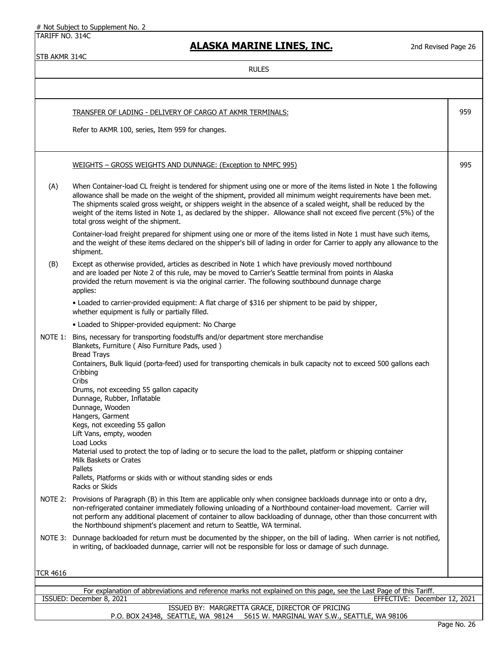# Not Subject to Supplement No. 2

TARIFF NO. 314C

# **ALASKA MARINE LINES, INC.**

2nd Revised Page 26

STB AKMR 314C

|                 | <b>TRANSFER OF LADING - DELIVERY OF CARGO AT AKMR TERMINALS:</b>                                                                                                                                                                                                                                                                                                                                                                                                                                                                                                                                                                                | 959 |
|-----------------|-------------------------------------------------------------------------------------------------------------------------------------------------------------------------------------------------------------------------------------------------------------------------------------------------------------------------------------------------------------------------------------------------------------------------------------------------------------------------------------------------------------------------------------------------------------------------------------------------------------------------------------------------|-----|
|                 | Refer to AKMR 100, series, Item 959 for changes.                                                                                                                                                                                                                                                                                                                                                                                                                                                                                                                                                                                                |     |
|                 | WEIGHTS - GROSS WEIGHTS AND DUNNAGE: (Exception to NMFC 995)                                                                                                                                                                                                                                                                                                                                                                                                                                                                                                                                                                                    | 995 |
| (A)             | When Container-load CL freight is tendered for shipment using one or more of the items listed in Note 1 the following<br>allowance shall be made on the weight of the shipment, provided all minimum weight requirements have been met.<br>The shipments scaled gross weight, or shippers weight in the absence of a scaled weight, shall be reduced by the<br>weight of the items listed in Note 1, as declared by the shipper. Allowance shall not exceed five percent (5%) of the<br>total gross weight of the shipment.                                                                                                                     |     |
|                 | Container-load freight prepared for shipment using one or more of the items listed in Note 1 must have such items,<br>and the weight of these items declared on the shipper's bill of lading in order for Carrier to apply any allowance to the<br>shipment.                                                                                                                                                                                                                                                                                                                                                                                    |     |
| (B)             | Except as otherwise provided, articles as described in Note 1 which have previously moved northbound<br>and are loaded per Note 2 of this rule, may be moved to Carrier's Seattle terminal from points in Alaska<br>provided the return movement is via the original carrier. The following southbound dunnage charge<br>applies:                                                                                                                                                                                                                                                                                                               |     |
|                 | • Loaded to carrier-provided equipment: A flat charge of \$316 per shipment to be paid by shipper,<br>whether equipment is fully or partially filled.                                                                                                                                                                                                                                                                                                                                                                                                                                                                                           |     |
|                 | • Loaded to Shipper-provided equipment: No Charge                                                                                                                                                                                                                                                                                                                                                                                                                                                                                                                                                                                               |     |
| NOTE 1:         | Bins, necessary for transporting foodstuffs and/or department store merchandise<br>Blankets, Furniture ( Also Furniture Pads, used )<br><b>Bread Trays</b><br>Containers, Bulk liquid (porta-feed) used for transporting chemicals in bulk capacity not to exceed 500 gallons each<br>Cribbing<br>Cribs<br>Drums, not exceeding 55 gallon capacity<br>Dunnage, Rubber, Inflatable<br>Dunnage, Wooden<br>Hangers, Garment<br>Kegs, not exceeding 55 gallon<br>Lift Vans, empty, wooden<br>Load Locks<br>Material used to protect the top of lading or to secure the load to the pallet, platform or shipping container<br>Milk Baskets or Crates |     |
|                 | Pallets<br>Pallets, Platforms or skids with or without standing sides or ends<br>Racks or Skids                                                                                                                                                                                                                                                                                                                                                                                                                                                                                                                                                 |     |
| NOTE 2:         | Provisions of Paragraph (B) in this Item are applicable only when consignee backloads dunnage into or onto a dry,<br>non-refrigerated container immediately following unloading of a Northbound container-load movement. Carrier will<br>not perform any additional placement of container to allow backloading of dunnage, other than those concurrent with<br>the Northbound shipment's placement and return to Seattle, WA terminal.                                                                                                                                                                                                         |     |
| NOTE 3:         | Dunnage backloaded for return must be documented by the shipper, on the bill of lading. When carrier is not notified,<br>in writing, of backloaded dunnage, carrier will not be responsible for loss or damage of such dunnage.                                                                                                                                                                                                                                                                                                                                                                                                                 |     |
| <b>TCR 4616</b> |                                                                                                                                                                                                                                                                                                                                                                                                                                                                                                                                                                                                                                                 |     |
|                 |                                                                                                                                                                                                                                                                                                                                                                                                                                                                                                                                                                                                                                                 |     |
|                 | For explanation of abbreviations and reference marks not explained on this page, see the Last Page of this Tariff.<br>ISSUED: December 8, 2021<br>EFFECTIVE: December 12, 2021                                                                                                                                                                                                                                                                                                                                                                                                                                                                  |     |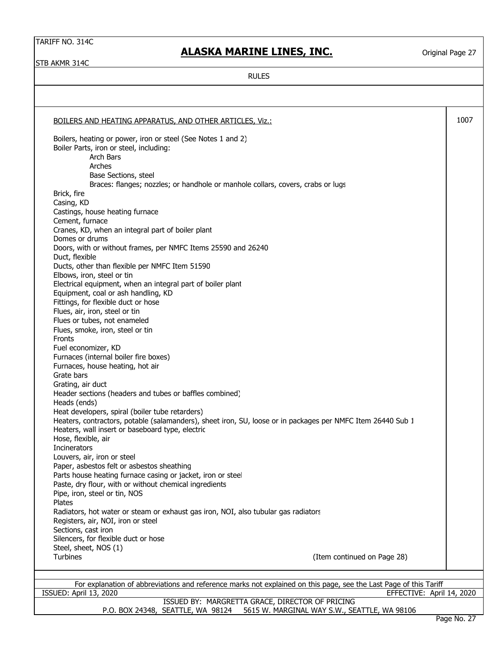# **ALASKA MARINE LINES, INC.**

Original Page 27

STB AKMR 314C

RULES

| BOILERS AND HEATING APPARATUS, AND OTHER ARTICLES, Viz.:                                                          |                             | 1007 |
|-------------------------------------------------------------------------------------------------------------------|-----------------------------|------|
| Boilers, heating or power, iron or steel (See Notes 1 and 2)                                                      |                             |      |
| Boiler Parts, iron or steel, including:                                                                           |                             |      |
| Arch Bars                                                                                                         |                             |      |
| Arches                                                                                                            |                             |      |
| Base Sections, steel                                                                                              |                             |      |
| Braces: flanges; nozzles; or handhole or manhole collars, covers, crabs or lugs                                   |                             |      |
| Brick, fire                                                                                                       |                             |      |
| Casing, KD                                                                                                        |                             |      |
| Castings, house heating furnace                                                                                   |                             |      |
| Cement, furnace                                                                                                   |                             |      |
| Cranes, KD, when an integral part of boiler plant                                                                 |                             |      |
| Domes or drums                                                                                                    |                             |      |
| Doors, with or without frames, per NMFC Items 25590 and 26240                                                     |                             |      |
| Duct, flexible                                                                                                    |                             |      |
| Ducts, other than flexible per NMFC Item 51590                                                                    |                             |      |
| Elbows, iron, steel or tin                                                                                        |                             |      |
| Electrical equipment, when an integral part of boiler plant                                                       |                             |      |
|                                                                                                                   |                             |      |
| Equipment, coal or ash handling, KD                                                                               |                             |      |
| Fittings, for flexible duct or hose                                                                               |                             |      |
| Flues, air, iron, steel or tin                                                                                    |                             |      |
| Flues or tubes, not enameled                                                                                      |                             |      |
| Flues, smoke, iron, steel or tin                                                                                  |                             |      |
| Fronts                                                                                                            |                             |      |
| Fuel economizer, KD                                                                                               |                             |      |
| Furnaces (internal boiler fire boxes)                                                                             |                             |      |
| Furnaces, house heating, hot air                                                                                  |                             |      |
| Grate bars                                                                                                        |                             |      |
| Grating, air duct                                                                                                 |                             |      |
| Header sections (headers and tubes or baffles combined)                                                           |                             |      |
| Heads (ends)                                                                                                      |                             |      |
| Heat developers, spiral (boiler tube retarders)                                                                   |                             |      |
| Heaters, contractors, potable (salamanders), sheet iron, SU, loose or in packages per NMFC Item 26440 Sub 1       |                             |      |
| Heaters, wall insert or baseboard type, electric                                                                  |                             |      |
| Hose, flexible, air                                                                                               |                             |      |
| <b>Incinerators</b>                                                                                               |                             |      |
| Louvers, air, iron or steel                                                                                       |                             |      |
| Paper, asbestos felt or asbestos sheathing                                                                        |                             |      |
| Parts house heating furnace casing or jacket, iron or steel                                                       |                             |      |
| Paste, dry flour, with or without chemical ingredients                                                            |                             |      |
| Pipe, iron, steel or tin, NOS                                                                                     |                             |      |
| Plates                                                                                                            |                             |      |
| Radiators, hot water or steam or exhaust gas iron, NOI, also tubular gas radiators                                |                             |      |
| Registers, air, NOI, iron or steel                                                                                |                             |      |
| Sections, cast iron                                                                                               |                             |      |
| Silencers, for flexible duct or hose                                                                              |                             |      |
| Steel, sheet, NOS (1)                                                                                             |                             |      |
| <b>Turbines</b>                                                                                                   | (Item continued on Page 28) |      |
|                                                                                                                   |                             |      |
|                                                                                                                   |                             |      |
| For explanation of abbreviations and reference marks not explained on this page, see the Last Page of this Tariff |                             |      |
| ISSUED: April 13, 2020                                                                                            | EFFECTIVE: April 14, 2020   |      |
| ISSUED BY: MARGRETTA GRACE, DIRECTOR OF PRICING                                                                   |                             |      |

P.O. BOX 24348, SEATTLE, WA 98124 5615 W. MARGINAL WAY S.W., SEATTLE, WA 98106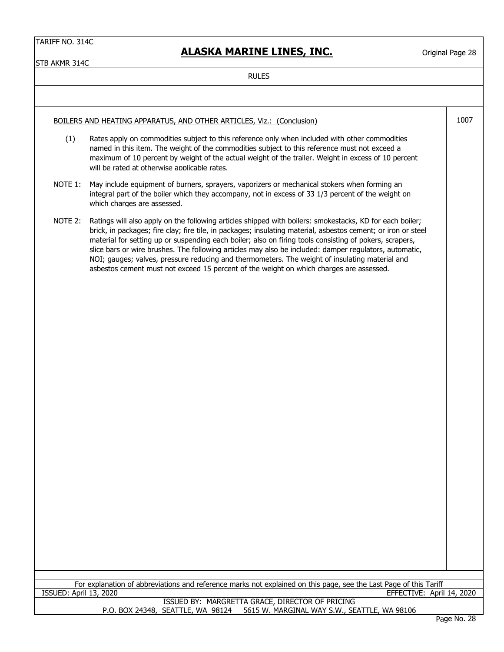# **ALASKA MARINE LINES, INC.**

Original Page 28

STB AKMR 314C

| BOILERS AND HEATING APPARATUS, AND OTHER ARTICLES, Viz.: (Conclusion)                                                                                                    |                                                                                                                                                                                                                                                                                                                                                                                                                                                                                                                                                                                                                                             |  |  |  |
|--------------------------------------------------------------------------------------------------------------------------------------------------------------------------|---------------------------------------------------------------------------------------------------------------------------------------------------------------------------------------------------------------------------------------------------------------------------------------------------------------------------------------------------------------------------------------------------------------------------------------------------------------------------------------------------------------------------------------------------------------------------------------------------------------------------------------------|--|--|--|
| (1)                                                                                                                                                                      | Rates apply on commodities subject to this reference only when included with other commodities<br>named in this item. The weight of the commodities subject to this reference must not exceed a<br>maximum of 10 percent by weight of the actual weight of the trailer. Weight in excess of 10 percent<br>will be rated at otherwise applicable rates.                                                                                                                                                                                                                                                                                      |  |  |  |
| NOTE 1:                                                                                                                                                                  | May include equipment of burners, sprayers, vaporizers or mechanical stokers when forming an<br>integral part of the boiler which they accompany, not in excess of 33 1/3 percent of the weight on<br>which charges are assessed.                                                                                                                                                                                                                                                                                                                                                                                                           |  |  |  |
| NOTE 2:                                                                                                                                                                  | Ratings will also apply on the following articles shipped with boilers: smokestacks, KD for each boiler;<br>brick, in packages; fire clay; fire tile, in packages; insulating material, asbestos cement; or iron or steel<br>material for setting up or suspending each boiler; also on firing tools consisting of pokers, scrapers,<br>slice bars or wire brushes. The following articles may also be included: damper regulators, automatic,<br>NOI; gauges; valves, pressure reducing and thermometers. The weight of insulating material and<br>asbestos cement must not exceed 15 percent of the weight on which charges are assessed. |  |  |  |
|                                                                                                                                                                          |                                                                                                                                                                                                                                                                                                                                                                                                                                                                                                                                                                                                                                             |  |  |  |
|                                                                                                                                                                          |                                                                                                                                                                                                                                                                                                                                                                                                                                                                                                                                                                                                                                             |  |  |  |
|                                                                                                                                                                          |                                                                                                                                                                                                                                                                                                                                                                                                                                                                                                                                                                                                                                             |  |  |  |
|                                                                                                                                                                          |                                                                                                                                                                                                                                                                                                                                                                                                                                                                                                                                                                                                                                             |  |  |  |
|                                                                                                                                                                          |                                                                                                                                                                                                                                                                                                                                                                                                                                                                                                                                                                                                                                             |  |  |  |
|                                                                                                                                                                          |                                                                                                                                                                                                                                                                                                                                                                                                                                                                                                                                                                                                                                             |  |  |  |
|                                                                                                                                                                          |                                                                                                                                                                                                                                                                                                                                                                                                                                                                                                                                                                                                                                             |  |  |  |
|                                                                                                                                                                          |                                                                                                                                                                                                                                                                                                                                                                                                                                                                                                                                                                                                                                             |  |  |  |
|                                                                                                                                                                          |                                                                                                                                                                                                                                                                                                                                                                                                                                                                                                                                                                                                                                             |  |  |  |
|                                                                                                                                                                          |                                                                                                                                                                                                                                                                                                                                                                                                                                                                                                                                                                                                                                             |  |  |  |
|                                                                                                                                                                          |                                                                                                                                                                                                                                                                                                                                                                                                                                                                                                                                                                                                                                             |  |  |  |
|                                                                                                                                                                          |                                                                                                                                                                                                                                                                                                                                                                                                                                                                                                                                                                                                                                             |  |  |  |
| For explanation of abbreviations and reference marks not explained on this page, see the Last Page of this Tariff<br>ISSUED: April 13, 2020<br>EFFECTIVE: April 14, 2020 |                                                                                                                                                                                                                                                                                                                                                                                                                                                                                                                                                                                                                                             |  |  |  |
| ISSUED BY: MARGRETTA GRACE, DIRECTOR OF PRICING<br>P.O. BOX 24348, SEATTLE, WA 98124 5615 W. MARGINAL WAY S.W., SEATTLE, WA 98106                                        |                                                                                                                                                                                                                                                                                                                                                                                                                                                                                                                                                                                                                                             |  |  |  |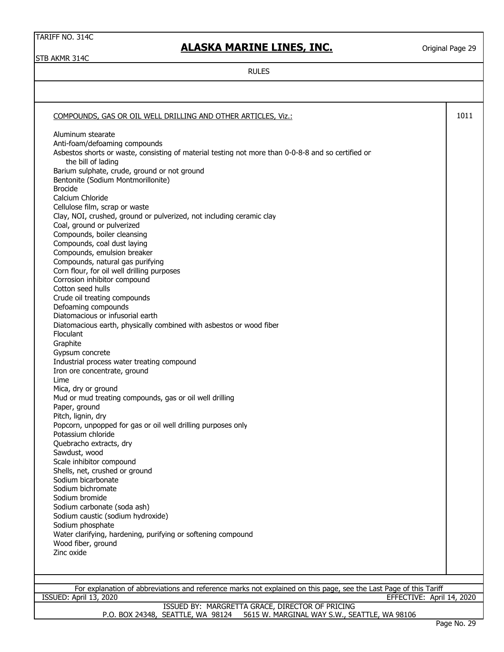STB AKMR 314C

# **ALASKA MARINE LINES, INC.**

Original Page 29

| COMPOUNDS, GAS OR OIL WELL DRILLING AND OTHER ARTICLES, Viz.:                                                                       | 1011 |
|-------------------------------------------------------------------------------------------------------------------------------------|------|
| Aluminum stearate                                                                                                                   |      |
|                                                                                                                                     |      |
| Anti-foam/defoaming compounds<br>Asbestos shorts or waste, consisting of material testing not more than 0-0-8-8 and so certified or |      |
| the bill of lading                                                                                                                  |      |
| Barium sulphate, crude, ground or not ground                                                                                        |      |
| Bentonite (Sodium Montmorillonite)                                                                                                  |      |
| <b>Brocide</b>                                                                                                                      |      |
| Calcium Chloride                                                                                                                    |      |
| Cellulose film, scrap or waste                                                                                                      |      |
| Clay, NOI, crushed, ground or pulverized, not including ceramic clay                                                                |      |
| Coal, ground or pulverized                                                                                                          |      |
| Compounds, boiler cleansing                                                                                                         |      |
| Compounds, coal dust laying                                                                                                         |      |
| Compounds, emulsion breaker                                                                                                         |      |
| Compounds, natural gas purifying                                                                                                    |      |
| Corn flour, for oil well drilling purposes                                                                                          |      |
| Corrosion inhibitor compound                                                                                                        |      |
| Cotton seed hulls                                                                                                                   |      |
| Crude oil treating compounds                                                                                                        |      |
| Defoaming compounds                                                                                                                 |      |
| Diatomacious or infusorial earth                                                                                                    |      |
| Diatomacious earth, physically combined with asbestos or wood fiber<br><b>Floculant</b>                                             |      |
|                                                                                                                                     |      |
| Graphite                                                                                                                            |      |
| Gypsum concrete                                                                                                                     |      |
| Industrial process water treating compound                                                                                          |      |
| Iron ore concentrate, ground<br>Lime                                                                                                |      |
| Mica, dry or ground                                                                                                                 |      |
| Mud or mud treating compounds, gas or oil well drilling                                                                             |      |
| Paper, ground                                                                                                                       |      |
| Pitch, lignin, dry                                                                                                                  |      |
| Popcorn, unpopped for gas or oil well drilling purposes only                                                                        |      |
| Potassium chloride                                                                                                                  |      |
| Quebracho extracts, dry                                                                                                             |      |
| Sawdust, wood                                                                                                                       |      |
| Scale inhibitor compound                                                                                                            |      |
| Shells, net, crushed or ground                                                                                                      |      |
| Sodium bicarbonate                                                                                                                  |      |
| Sodium bichromate                                                                                                                   |      |
| Sodium bromide                                                                                                                      |      |
| Sodium carbonate (soda ash)                                                                                                         |      |
| Sodium caustic (sodium hydroxide)                                                                                                   |      |
| Sodium phosphate                                                                                                                    |      |
| Water clarifying, hardening, purifying or softening compound                                                                        |      |
| Wood fiber, ground                                                                                                                  |      |
| Zinc oxide                                                                                                                          |      |
|                                                                                                                                     |      |
|                                                                                                                                     |      |
| For explanation of abbreviations and reference marks not explained on this page, see the Last Page of this Tariff                   |      |
| ISSUED: April 13, 2020<br>EFFECTIVE: April 14, 2020                                                                                 |      |
| ISSUED BY: MARGRETTA GRACE, DIRECTOR OF PRICING                                                                                     |      |
| P.O. BOX 24348, SEATTLE, WA 98124 5615 W. MARGINAL WAY S.W., SEATTLE, WA 98106                                                      |      |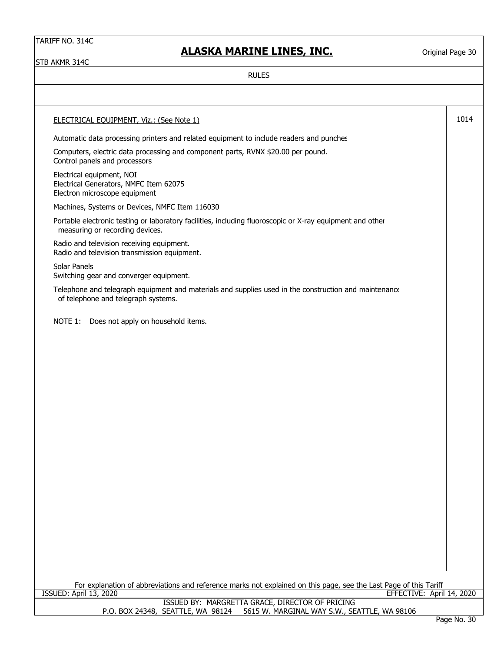# **ALASKA MARINE LINES, INC.**

Original Page 30

STB AKMR 314C

| <b>ELECTRICAL EQUIPMENT, Viz.: (See Note 1)</b>                                                                                              | 1014                                |
|----------------------------------------------------------------------------------------------------------------------------------------------|-------------------------------------|
| Automatic data processing printers and related equipment to include readers and punches                                                      |                                     |
| Computers, electric data processing and component parts, RVNX \$20.00 per pound.<br>Control panels and processors                            |                                     |
| Electrical equipment, NOI<br>Electrical Generators, NMFC Item 62075<br>Electron microscope equipment                                         |                                     |
| Machines, Systems or Devices, NMFC Item 116030                                                                                               |                                     |
| Portable electronic testing or laboratory facilities, including fluoroscopic or X-ray equipment and other<br>measuring or recording devices. |                                     |
| Radio and television receiving equipment.<br>Radio and television transmission equipment.                                                    |                                     |
| Solar Panels<br>Switching gear and converger equipment.                                                                                      |                                     |
| Telephone and telegraph equipment and materials and supplies used in the construction and maintenance<br>of telephone and telegraph systems. |                                     |
| NOTE 1:<br>Does not apply on household items.                                                                                                |                                     |
|                                                                                                                                              |                                     |
| For explanation of abbreviations and reference marks not explained on this page, see the Last Page of this Tariff                            |                                     |
| <b>ISSUED: April 13, 2020</b><br>EFFECTIVE: April 14, 2020                                                                                   |                                     |
| ISSUED BY: MARGRETTA GRACE, DIRECTOR OF PRICING<br>P.O. BOX 24348, SEATTLE, WA 98124<br>5615 W. MARGINAL WAY S.W., SEATTLE, WA 98106         | D <sub>2</sub> 20 N <sub>2</sub> 20 |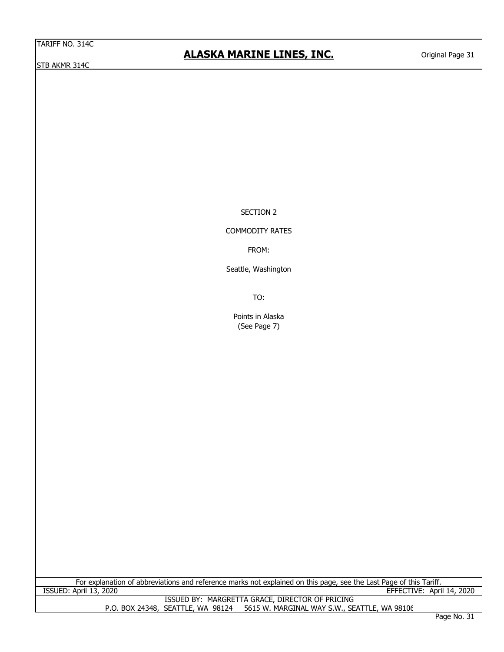STB AKMR 314C

# **ALASKA MARINE LINES, INC.**

SECTION 2

### COMMODITY RATES

FROM:

Seattle, Washington

TO:

Points in Alaska (See Page 7)

ISSUED BY: MARGRETTA GRACE, DIRECTOR OF PRICING P.O. BOX 24348, SEATTLE, WA 98124 5615 W. MARGINAL WAY S.W., SEATTLE, WA 98106 For explanation of abbreviations and reference marks not explained on this page, see the Last Page of this Tariff. ISSUED: April 13, 2020 EFFECTIVE: April 14, 2020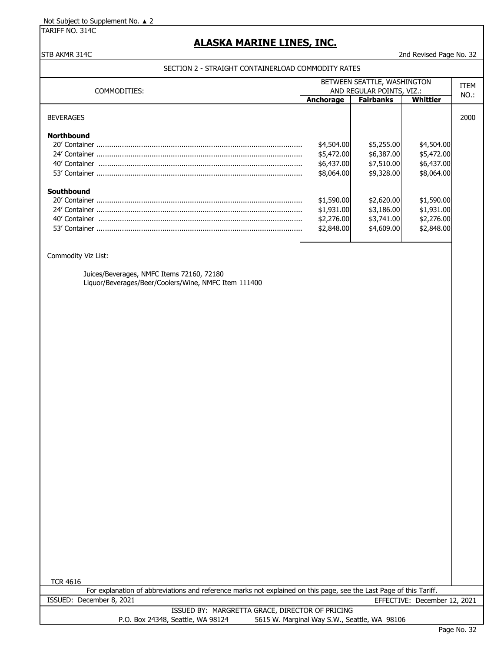Not Subject to Supplement No. ▲ 2

TARIFF NO. 314C

### **ALASKA MARINE LINES, INC.**

### STB AKMR 314C 2nd Revised Page No. 32

### SECTION 2 - STRAIGHT CONTAINERLOAD COMMODITY RATES

| COMMODITIES:      | BETWEEN SEATTLE, WASHINGTON<br>AND REGULAR POINTS, VIZ.: |                  |            | <b>ITEM</b> |
|-------------------|----------------------------------------------------------|------------------|------------|-------------|
|                   | <b>Anchorage</b>                                         | <b>Fairbanks</b> | Whittier   | NO.:        |
| <b>BEVERAGES</b>  |                                                          |                  |            | 2000        |
| <b>Northbound</b> |                                                          |                  |            |             |
|                   | \$4,504.00                                               | \$5,255.00       | \$4,504.00 |             |
|                   | \$5,472.00                                               | \$6,387.00       | \$5,472.00 |             |
| 40' Container     | \$6,437.00                                               | \$7,510.00       | \$6,437.00 |             |
|                   | \$8,064.00                                               | \$9,328.00       | \$8,064.00 |             |
| Southbound        |                                                          |                  |            |             |
|                   | \$1,590.00                                               | \$2,620.00       | \$1,590.00 |             |
|                   | \$1,931.00                                               | \$3,186.00       | \$1,931.00 |             |
| 40' Container     | \$2,276.00                                               | \$3,741.00       | \$2,276.00 |             |
| 53' Container     | \$2,848.00                                               | \$4,609.00       | \$2,848.00 |             |

Commodity Viz List:

Juices/Beverages, NMFC Items 72160, 72180 Liquor/Beverages/Beer/Coolers/Wine, NMFC Item 111400

TCR 4616

For explanation of abbreviations and reference marks not explained on this page, see the Last Page of this Tariff. ISSUED: December 8, 2021 EFFECTIVE: December 12, 2021 ISSUED BY: MARGRETTA GRACE, DIRECTOR OF PRICING P.O. Box 24348, Seattle, WA 98124 5615 W. Marginal Way S.W., Seattle, WA 98106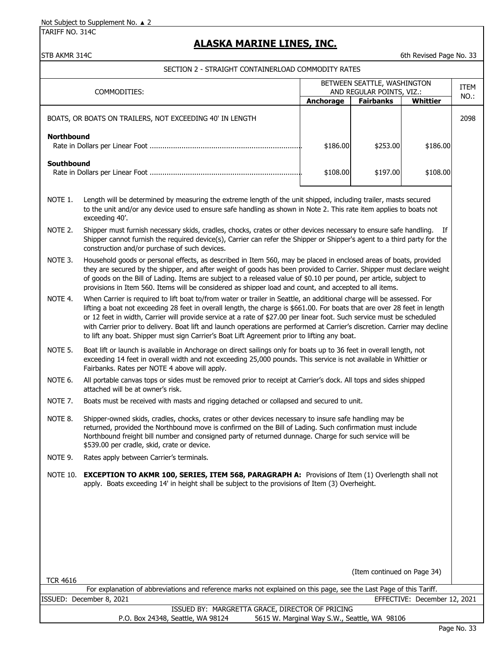Not Subject to Supplement No. ▲ 2

TARIFF NO. 314C

## **ALASKA MARINE LINES, INC.**

### STB AKMR 314C 6th Revised Page No. 33

SECTION 2 - STRAIGHT CONTAINERLOAD COMMODITY RATES

| COMMODITIES:                                                                                                                                                                   |                                                                                                                                                                                                                                                                                                                                                                                                                                                                                                                                                                                                            | BETWEEN SEATTLE, WASHINGTON<br>AND REGULAR POINTS, VIZ.: |                                              |          | <b>ITEM</b> |  |
|--------------------------------------------------------------------------------------------------------------------------------------------------------------------------------|------------------------------------------------------------------------------------------------------------------------------------------------------------------------------------------------------------------------------------------------------------------------------------------------------------------------------------------------------------------------------------------------------------------------------------------------------------------------------------------------------------------------------------------------------------------------------------------------------------|----------------------------------------------------------|----------------------------------------------|----------|-------------|--|
|                                                                                                                                                                                |                                                                                                                                                                                                                                                                                                                                                                                                                                                                                                                                                                                                            | Anchorage                                                | <b>Fairbanks</b>                             | Whittier | NO.:        |  |
|                                                                                                                                                                                | BOATS, OR BOATS ON TRAILERS, NOT EXCEEDING 40' IN LENGTH                                                                                                                                                                                                                                                                                                                                                                                                                                                                                                                                                   |                                                          |                                              |          | 2098        |  |
| <b>Northbound</b>                                                                                                                                                              |                                                                                                                                                                                                                                                                                                                                                                                                                                                                                                                                                                                                            | \$186.00                                                 | \$253.00                                     | \$186.00 |             |  |
| Southbound                                                                                                                                                                     |                                                                                                                                                                                                                                                                                                                                                                                                                                                                                                                                                                                                            | \$108.00                                                 | \$197.00                                     | \$108.00 |             |  |
| NOTE 1.                                                                                                                                                                        | Length will be determined by measuring the extreme length of the unit shipped, including trailer, masts secured<br>to the unit and/or any device used to ensure safe handling as shown in Note 2. This rate item applies to boats not<br>exceeding 40'.                                                                                                                                                                                                                                                                                                                                                    |                                                          |                                              |          |             |  |
| NOTE 2.                                                                                                                                                                        | Shipper must furnish necessary skids, cradles, chocks, crates or other devices necessary to ensure safe handling.<br>If<br>Shipper cannot furnish the required device(s), Carrier can refer the Shipper or Shipper's agent to a third party for the<br>construction and/or purchase of such devices.                                                                                                                                                                                                                                                                                                       |                                                          |                                              |          |             |  |
| NOTE 3.                                                                                                                                                                        | Household goods or personal effects, as described in Item 560, may be placed in enclosed areas of boats, provided<br>they are secured by the shipper, and after weight of goods has been provided to Carrier. Shipper must declare weight<br>of goods on the Bill of Lading. Items are subject to a released value of \$0.10 per pound, per article, subject to<br>provisions in Item 560. Items will be considered as shipper load and count, and accepted to all items.                                                                                                                                  |                                                          |                                              |          |             |  |
| NOTE 4.                                                                                                                                                                        | When Carrier is required to lift boat to/from water or trailer in Seattle, an additional charge will be assessed. For<br>lifting a boat not exceeding 28 feet in overall length, the charge is \$661.00. For boats that are over 28 feet in length<br>or 12 feet in width, Carrier will provide service at a rate of \$27.00 per linear foot. Such service must be scheduled<br>with Carrier prior to delivery. Boat lift and launch operations are performed at Carrier's discretion. Carrier may decline<br>to lift any boat. Shipper must sign Carrier's Boat Lift Agreement prior to lifting any boat. |                                                          |                                              |          |             |  |
| NOTE 5.                                                                                                                                                                        | Boat lift or launch is available in Anchorage on direct sailings only for boats up to 36 feet in overall length, not<br>exceeding 14 feet in overall width and not exceeding 25,000 pounds. This service is not available in Whittier or<br>Fairbanks. Rates per NOTE 4 above will apply.                                                                                                                                                                                                                                                                                                                  |                                                          |                                              |          |             |  |
| NOTE 6.                                                                                                                                                                        | All portable canvas tops or sides must be removed prior to receipt at Carrier's dock. All tops and sides shipped<br>attached will be at owner's risk.                                                                                                                                                                                                                                                                                                                                                                                                                                                      |                                                          |                                              |          |             |  |
| NOTE 7.                                                                                                                                                                        | Boats must be received with masts and rigging detached or collapsed and secured to unit.                                                                                                                                                                                                                                                                                                                                                                                                                                                                                                                   |                                                          |                                              |          |             |  |
| NOTE 8.                                                                                                                                                                        | Shipper-owned skids, cradles, chocks, crates or other devices necessary to insure safe handling may be<br>returned, provided the Northbound move is confirmed on the Bill of Lading. Such confirmation must include<br>Northbound freight bill number and consigned party of returned dunnage. Charge for such service will be<br>\$539.00 per cradle, skid, crate or device.                                                                                                                                                                                                                              |                                                          |                                              |          |             |  |
| NOTE 9.                                                                                                                                                                        | Rates apply between Carrier's terminals.                                                                                                                                                                                                                                                                                                                                                                                                                                                                                                                                                                   |                                                          |                                              |          |             |  |
| <b>NOTE 10.</b>                                                                                                                                                                | <b>EXCEPTION TO AKMR 100, SERIES, ITEM 568, PARAGRAPH A:</b> Provisions of Item (1) Overlength shall not<br>apply. Boats exceeding 14' in height shall be subject to the provisions of Item (3) Overheight.                                                                                                                                                                                                                                                                                                                                                                                                |                                                          |                                              |          |             |  |
|                                                                                                                                                                                |                                                                                                                                                                                                                                                                                                                                                                                                                                                                                                                                                                                                            |                                                          |                                              |          |             |  |
|                                                                                                                                                                                |                                                                                                                                                                                                                                                                                                                                                                                                                                                                                                                                                                                                            |                                                          |                                              |          |             |  |
|                                                                                                                                                                                |                                                                                                                                                                                                                                                                                                                                                                                                                                                                                                                                                                                                            |                                                          | (Item continued on Page 34)                  |          |             |  |
| <b>TCR 4616</b>                                                                                                                                                                |                                                                                                                                                                                                                                                                                                                                                                                                                                                                                                                                                                                                            |                                                          |                                              |          |             |  |
| For explanation of abbreviations and reference marks not explained on this page, see the Last Page of this Tariff.<br>ISSUED: December 8, 2021<br>EFFECTIVE: December 12, 2021 |                                                                                                                                                                                                                                                                                                                                                                                                                                                                                                                                                                                                            |                                                          |                                              |          |             |  |
| ISSUED BY: MARGRETTA GRACE, DIRECTOR OF PRICING                                                                                                                                |                                                                                                                                                                                                                                                                                                                                                                                                                                                                                                                                                                                                            |                                                          |                                              |          |             |  |
|                                                                                                                                                                                | P.O. Box 24348, Seattle, WA 98124                                                                                                                                                                                                                                                                                                                                                                                                                                                                                                                                                                          |                                                          | 5615 W. Marginal Way S.W., Seattle, WA 98106 |          |             |  |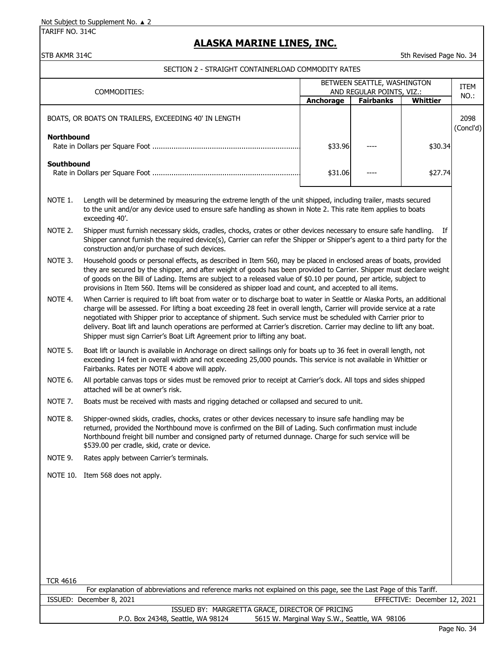TARIFF NO. 314C

## **ALASKA MARINE LINES, INC.**

### STB AKMR 314C 5th Revised Page No. 34

|                                                                                                                                                                                                                                                                |                                                                                                                                                                                                                                                                                                                                                                                                                                                                                                                                                                              | BETWEEN SEATTLE, WASHINGTON                  |                                               |                              | ITEM              |
|----------------------------------------------------------------------------------------------------------------------------------------------------------------------------------------------------------------------------------------------------------------|------------------------------------------------------------------------------------------------------------------------------------------------------------------------------------------------------------------------------------------------------------------------------------------------------------------------------------------------------------------------------------------------------------------------------------------------------------------------------------------------------------------------------------------------------------------------------|----------------------------------------------|-----------------------------------------------|------------------------------|-------------------|
|                                                                                                                                                                                                                                                                | COMMODITIES:                                                                                                                                                                                                                                                                                                                                                                                                                                                                                                                                                                 | Anchorage                                    | AND REGULAR POINTS, VIZ.:<br><b>Fairbanks</b> | <b>Whittier</b>              | NO.:              |
|                                                                                                                                                                                                                                                                | BOATS, OR BOATS ON TRAILERS, EXCEEDING 40' IN LENGTH                                                                                                                                                                                                                                                                                                                                                                                                                                                                                                                         |                                              |                                               |                              | 2098<br>(Concl'd) |
| <b>Northbound</b>                                                                                                                                                                                                                                              |                                                                                                                                                                                                                                                                                                                                                                                                                                                                                                                                                                              | \$33.96                                      |                                               | \$30.34                      |                   |
| <b>Southbound</b><br>\$31.06<br>\$27.74                                                                                                                                                                                                                        |                                                                                                                                                                                                                                                                                                                                                                                                                                                                                                                                                                              |                                              |                                               |                              |                   |
| NOTE 1.<br>Length will be determined by measuring the extreme length of the unit shipped, including trailer, masts secured<br>to the unit and/or any device used to ensure safe handling as shown in Note 2. This rate item applies to boats<br>exceeding 40'. |                                                                                                                                                                                                                                                                                                                                                                                                                                                                                                                                                                              |                                              |                                               |                              |                   |
| NOTE 2.                                                                                                                                                                                                                                                        | Shipper must furnish necessary skids, cradles, chocks, crates or other devices necessary to ensure safe handling.<br>Shipper cannot furnish the required device(s), Carrier can refer the Shipper or Shipper's agent to a third party for the<br>construction and/or purchase of such devices.                                                                                                                                                                                                                                                                               |                                              |                                               | If                           |                   |
| NOTE 3.                                                                                                                                                                                                                                                        | Household goods or personal effects, as described in Item 560, may be placed in enclosed areas of boats, provided<br>they are secured by the shipper, and after weight of goods has been provided to Carrier. Shipper must declare weight<br>of goods on the Bill of Lading. Items are subject to a released value of \$0.10 per pound, per article, subject to<br>provisions in Item 560. Items will be considered as shipper load and count, and accepted to all items.                                                                                                    |                                              |                                               |                              |                   |
| NOTE 4.                                                                                                                                                                                                                                                        | When Carrier is required to lift boat from water or to discharge boat to water in Seattle or Alaska Ports, an additional<br>charge will be assessed. For lifting a boat exceeding 28 feet in overall length, Carrier will provide service at a rate<br>negotiated with Shipper prior to acceptance of shipment. Such service must be scheduled with Carrier prior to<br>delivery. Boat lift and launch operations are performed at Carrier's discretion. Carrier may decline to lift any boat.<br>Shipper must sign Carrier's Boat Lift Agreement prior to lifting any boat. |                                              |                                               |                              |                   |
| NOTE 5.                                                                                                                                                                                                                                                        | Boat lift or launch is available in Anchorage on direct sailings only for boats up to 36 feet in overall length, not<br>exceeding 14 feet in overall width and not exceeding 25,000 pounds. This service is not available in Whittier or<br>Fairbanks. Rates per NOTE 4 above will apply.                                                                                                                                                                                                                                                                                    |                                              |                                               |                              |                   |
| NOTE 6.                                                                                                                                                                                                                                                        | All portable canvas tops or sides must be removed prior to receipt at Carrier's dock. All tops and sides shipped<br>attached will be at owner's risk.                                                                                                                                                                                                                                                                                                                                                                                                                        |                                              |                                               |                              |                   |
| NOTE <sub>7</sub> .                                                                                                                                                                                                                                            | Boats must be received with masts and rigging detached or collapsed and secured to unit.                                                                                                                                                                                                                                                                                                                                                                                                                                                                                     |                                              |                                               |                              |                   |
| NOTE 8.                                                                                                                                                                                                                                                        | Shipper-owned skids, cradles, chocks, crates or other devices necessary to insure safe handling may be<br>returned, provided the Northbound move is confirmed on the Bill of Lading. Such confirmation must include<br>Northbound freight bill number and consigned party of returned dunnage. Charge for such service will be<br>\$539.00 per cradle, skid, crate or device.                                                                                                                                                                                                |                                              |                                               |                              |                   |
| NOTE 9.                                                                                                                                                                                                                                                        | Rates apply between Carrier's terminals.                                                                                                                                                                                                                                                                                                                                                                                                                                                                                                                                     |                                              |                                               |                              |                   |
|                                                                                                                                                                                                                                                                | NOTE 10. Item 568 does not apply.                                                                                                                                                                                                                                                                                                                                                                                                                                                                                                                                            |                                              |                                               |                              |                   |
|                                                                                                                                                                                                                                                                |                                                                                                                                                                                                                                                                                                                                                                                                                                                                                                                                                                              |                                              |                                               |                              |                   |
|                                                                                                                                                                                                                                                                |                                                                                                                                                                                                                                                                                                                                                                                                                                                                                                                                                                              |                                              |                                               |                              |                   |
|                                                                                                                                                                                                                                                                |                                                                                                                                                                                                                                                                                                                                                                                                                                                                                                                                                                              |                                              |                                               |                              |                   |
| <b>TCR 4616</b>                                                                                                                                                                                                                                                |                                                                                                                                                                                                                                                                                                                                                                                                                                                                                                                                                                              |                                              |                                               |                              |                   |
|                                                                                                                                                                                                                                                                | For explanation of abbreviations and reference marks not explained on this page, see the Last Page of this Tariff.                                                                                                                                                                                                                                                                                                                                                                                                                                                           |                                              |                                               |                              |                   |
|                                                                                                                                                                                                                                                                | ISSUED: December 8, 2021                                                                                                                                                                                                                                                                                                                                                                                                                                                                                                                                                     |                                              |                                               | EFFECTIVE: December 12, 2021 |                   |
|                                                                                                                                                                                                                                                                | ISSUED BY: MARGRETTA GRACE, DIRECTOR OF PRICING<br>P.O. Box 24348, Seattle, WA 98124                                                                                                                                                                                                                                                                                                                                                                                                                                                                                         | 5615 W. Marginal Way S.W., Seattle, WA 98106 |                                               |                              |                   |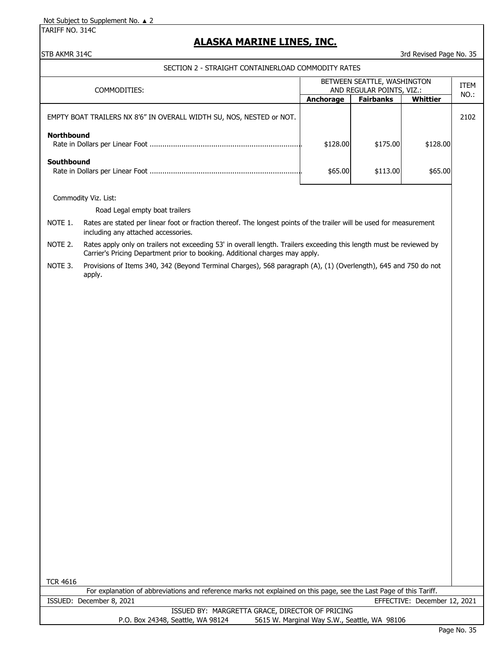TARIFF NO. 314C

## **ALASKA MARINE LINES, INC.**

STB AKMR 314C 35 STB AKMR 314C

SECTION 2 - STRAIGHT CONTAINERLOAD COMMODITY RATES

| COMMODITIES:                                                         | BETWEEN SEATTLE, WASHINGTON<br>AND REGULAR POINTS, VIZ.: |                  |          | <b>ITEM</b><br>NO.: |
|----------------------------------------------------------------------|----------------------------------------------------------|------------------|----------|---------------------|
|                                                                      | <b>Anchorage</b>                                         | <b>Fairbanks</b> | Whittier |                     |
| EMPTY BOAT TRAILERS NX 8'6" IN OVERALL WIDTH SU, NOS, NESTED or NOT. |                                                          |                  |          | 2102                |
| <b>Northbound</b>                                                    | \$128.00                                                 | \$175.00         | \$128.00 |                     |
| Southbound                                                           | \$65.00                                                  | \$113.00         | \$65.00  |                     |

Commodity Viz. List:

Road Legal empty boat trailers

NOTE 1. Rates are stated per linear foot or fraction thereof. The longest points of the trailer will be used for measurement including any attached accessories.

NOTE 2. Rates apply only on trailers not exceeding 53' in overall length. Trailers exceeding this length must be reviewed by Carrier's Pricing Department prior to booking. Additional charges may apply.

NOTE 3. Provisions of Items 340, 342 (Beyond Terminal Charges), 568 paragraph (A), (1) (Overlength), 645 and 750 do not apply.

TCR 4616

|                                   | For explanation of abbreviations and reference marks not explained on this page, see the Last Page of this Tariff. |
|-----------------------------------|--------------------------------------------------------------------------------------------------------------------|
| ISSUED: December 8, 2021          | EFFECTIVE: December 12, 2021                                                                                       |
|                                   | ISSUED BY: MARGRETTA GRACE, DIRECTOR OF PRICING                                                                    |
| P.O. Box 24348, Seattle, WA 98124 | 5615 W. Marginal Way S.W., Seattle, WA 98106                                                                       |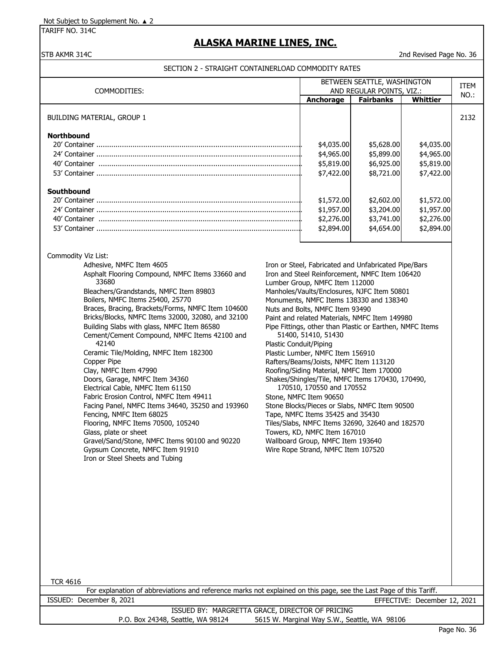TARIFF NO. 314C

# **ALASKA MARINE LINES, INC.**

### STB AKMR 314C 2nd Revised Page No. 36

|                                                                                                                                                                                                                                                                                                                                                                                                                                                                                                                                                                                                                                                                                                                                                                                                                                                                                                                                                                                                                                | BETWEEN SEATTLE, WASHINGTON<br>AND REGULAR POINTS, VIZ.:                                                                                                                                                                                                                                                                                                                                                                                                                                                                                                                                                                                                                                                                                                                                                                                                                                                                            |                                                                                                                                  | <b>ITEM</b>                                                                                                                     |         |
|--------------------------------------------------------------------------------------------------------------------------------------------------------------------------------------------------------------------------------------------------------------------------------------------------------------------------------------------------------------------------------------------------------------------------------------------------------------------------------------------------------------------------------------------------------------------------------------------------------------------------------------------------------------------------------------------------------------------------------------------------------------------------------------------------------------------------------------------------------------------------------------------------------------------------------------------------------------------------------------------------------------------------------|-------------------------------------------------------------------------------------------------------------------------------------------------------------------------------------------------------------------------------------------------------------------------------------------------------------------------------------------------------------------------------------------------------------------------------------------------------------------------------------------------------------------------------------------------------------------------------------------------------------------------------------------------------------------------------------------------------------------------------------------------------------------------------------------------------------------------------------------------------------------------------------------------------------------------------------|----------------------------------------------------------------------------------------------------------------------------------|---------------------------------------------------------------------------------------------------------------------------------|---------|
| COMMODITIES:                                                                                                                                                                                                                                                                                                                                                                                                                                                                                                                                                                                                                                                                                                                                                                                                                                                                                                                                                                                                                   | Anchorage                                                                                                                                                                                                                                                                                                                                                                                                                                                                                                                                                                                                                                                                                                                                                                                                                                                                                                                           |                                                                                                                                  |                                                                                                                                 | $NO.$ : |
| BUILDING MATERIAL, GROUP 1<br><b>Northbound</b><br>Southbound                                                                                                                                                                                                                                                                                                                                                                                                                                                                                                                                                                                                                                                                                                                                                                                                                                                                                                                                                                  | \$4,035.00<br>\$4,965.00<br>\$5,819.00<br>\$7,422.00<br>\$1,572.00<br>\$1,957.00<br>\$2,276.00<br>\$2,894.00                                                                                                                                                                                                                                                                                                                                                                                                                                                                                                                                                                                                                                                                                                                                                                                                                        | <b>Fairbanks</b><br>\$5,628.00<br>\$5,899.00<br>\$6,925.00<br>\$8,721.00<br>\$2,602.00<br>\$3,204.00<br>\$3,741.00<br>\$4,654.00 | <b>Whittier</b><br>\$4,035.00<br>\$4,965.00<br>\$5,819.00<br>\$7,422.00<br>\$1,572.00<br>\$1,957.00<br>\$2,276.00<br>\$2,894.00 | 2132    |
| Commodity Viz List:<br>Adhesive, NMFC Item 4605<br>Asphalt Flooring Compound, NMFC Items 33660 and<br>33680<br>Bleachers/Grandstands, NMFC Item 89803<br>Boilers, NMFC Items 25400, 25770<br>Braces, Bracing, Brackets/Forms, NMFC Item 104600<br>Bricks/Blocks, NMFC Items 32000, 32080, and 32100<br>Building Slabs with glass, NMFC Item 86580<br>Cement/Cement Compound, NMFC Items 42100 and<br>42140<br>Ceramic Tile/Molding, NMFC Item 182300<br>Copper Pipe<br>Clay, NMFC Item 47990<br>Doors, Garage, NMFC Item 34360<br>Electrical Cable, NMFC Item 61150<br>Fabric Erosion Control, NMFC Item 49411<br>Facing Panel, NMFC Items 34640, 35250 and 193960<br>Fencing, NMFC Item 68025<br>Flooring, NMFC Items 70500, 105240<br>Glass, plate or sheet<br>Gravel/Sand/Stone, NMFC Items 90100 and 90220<br>Gypsum Concrete, NMFC Item 91910<br>Iron or Steel Sheets and Tubing<br><b>TCR 4616</b><br>For explanation of abbreviations and reference marks not explained on this page, see the Last Page of this Tariff. | Iron or Steel, Fabricated and Unfabricated Pipe/Bars<br>Iron and Steel Reinforcement, NMFC Item 106420<br>Lumber Group, NMFC Item 112000<br>Manholes/Vaults/Enclosures, NJFC Item 50801<br>Monuments, NMFC Items 138330 and 138340<br>Nuts and Bolts, NMFC Item 93490<br>Paint and related Materials, NMFC Item 149980<br>Pipe Fittings, other than Plastic or Earthen, NMFC Items<br>51400, 51410, 51430<br><b>Plastic Conduit/Piping</b><br>Plastic Lumber, NMFC Item 156910<br>Rafters/Beams/Joists, NMFC Item 113120<br>Roofing/Siding Material, NMFC Item 170000<br>Shakes/Shingles/Tile, NMFC Items 170430, 170490,<br>170510, 170550 and 170552<br>Stone, NMFC Item 90650<br>Stone Blocks/Pieces or Slabs, NMFC Item 90500<br>Tape, NMFC Items 35425 and 35430<br>Tiles/Slabs, NMFC Items 32690, 32640 and 182570<br>Towers, KD, NMFC Item 167010<br>Wallboard Group, NMFC Item 193640<br>Wire Rope Strand, NMFC Item 107520 |                                                                                                                                  |                                                                                                                                 |         |
| ISSUED: December 8, 2021                                                                                                                                                                                                                                                                                                                                                                                                                                                                                                                                                                                                                                                                                                                                                                                                                                                                                                                                                                                                       |                                                                                                                                                                                                                                                                                                                                                                                                                                                                                                                                                                                                                                                                                                                                                                                                                                                                                                                                     |                                                                                                                                  | EFFECTIVE: December 12, 2021                                                                                                    |         |
| ISSUED BY: MARGRETTA GRACE, DIRECTOR OF PRICING                                                                                                                                                                                                                                                                                                                                                                                                                                                                                                                                                                                                                                                                                                                                                                                                                                                                                                                                                                                |                                                                                                                                                                                                                                                                                                                                                                                                                                                                                                                                                                                                                                                                                                                                                                                                                                                                                                                                     |                                                                                                                                  |                                                                                                                                 |         |
| P.O. Box 24348, Seattle, WA 98124<br>5615 W. Marginal Way S.W., Seattle, WA 98106                                                                                                                                                                                                                                                                                                                                                                                                                                                                                                                                                                                                                                                                                                                                                                                                                                                                                                                                              |                                                                                                                                                                                                                                                                                                                                                                                                                                                                                                                                                                                                                                                                                                                                                                                                                                                                                                                                     |                                                                                                                                  |                                                                                                                                 |         |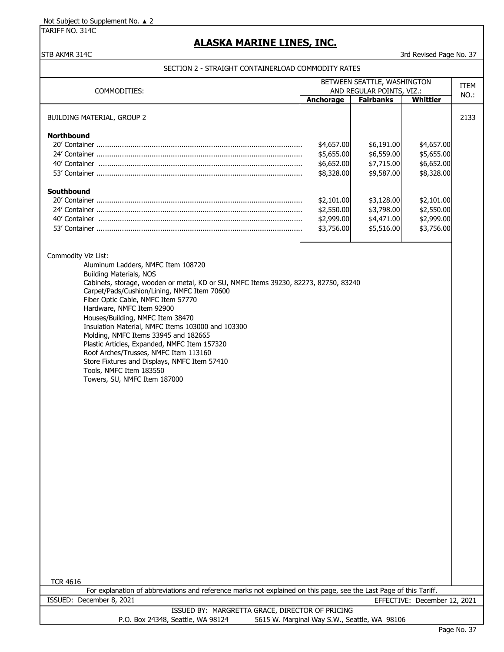TARIFF NO. 314C

# **ALASKA MARINE LINES, INC.**

STB AKMR 314C 37 STB AKMR 314C

| COMMODITIES:                                                                                                                                                                                                                                                                                                                                                                                                                                                                                                                                                                                                                                                 | BETWEEN SEATTLE, WASHINGTON<br>AND REGULAR POINTS, VIZ.: |                                                      | <b>ITEM</b>                                          |      |
|--------------------------------------------------------------------------------------------------------------------------------------------------------------------------------------------------------------------------------------------------------------------------------------------------------------------------------------------------------------------------------------------------------------------------------------------------------------------------------------------------------------------------------------------------------------------------------------------------------------------------------------------------------------|----------------------------------------------------------|------------------------------------------------------|------------------------------------------------------|------|
|                                                                                                                                                                                                                                                                                                                                                                                                                                                                                                                                                                                                                                                              | Anchorage                                                | <b>Fairbanks</b>                                     | Whittier                                             | NO.: |
| <b>BUILDING MATERIAL, GROUP 2</b>                                                                                                                                                                                                                                                                                                                                                                                                                                                                                                                                                                                                                            |                                                          |                                                      |                                                      | 2133 |
| <b>Northbound</b>                                                                                                                                                                                                                                                                                                                                                                                                                                                                                                                                                                                                                                            | \$4,657.00<br>\$5,655.00<br>\$6,652.00<br>\$8,328.00     | \$6,191.00<br>\$6,559.00<br>\$7,715.00<br>\$9,587.00 | \$4,657.00<br>\$5,655.00<br>\$6,652.00<br>\$8,328.00 |      |
| Southbound                                                                                                                                                                                                                                                                                                                                                                                                                                                                                                                                                                                                                                                   | \$2,101.00<br>\$2,550.00<br>\$2,999.00<br>\$3,756.00     | \$3,128.00<br>\$3,798.00<br>\$4,471.00<br>\$5,516.00 | \$2,101.00<br>\$2,550.00<br>\$2,999.00<br>\$3,756.00 |      |
| Commodity Viz List:<br>Aluminum Ladders, NMFC Item 108720<br><b>Building Materials, NOS</b><br>Cabinets, storage, wooden or metal, KD or SU, NMFC Items 39230, 82273, 82750, 83240<br>Carpet/Pads/Cushion/Lining, NMFC Item 70600<br>Fiber Optic Cable, NMFC Item 57770<br>Hardware, NMFC Item 92900<br>Houses/Building, NMFC Item 38470<br>Insulation Material, NMFC Items 103000 and 103300<br>Molding, NMFC Items 33945 and 182665<br>Plastic Articles, Expanded, NMFC Item 157320<br>Roof Arches/Trusses, NMFC Item 113160<br>Store Fixtures and Displays, NMFC Item 57410<br>Tools, NMFC Item 183550<br>Towers, SU, NMFC Item 187000<br><b>TCR 4616</b> |                                                          |                                                      |                                                      |      |
| For explanation of abbreviations and reference marks not explained on this page, see the Last Page of this Tariff.                                                                                                                                                                                                                                                                                                                                                                                                                                                                                                                                           |                                                          |                                                      |                                                      |      |
| ISSUED: December 8, 2021                                                                                                                                                                                                                                                                                                                                                                                                                                                                                                                                                                                                                                     |                                                          |                                                      | EFFECTIVE: December 12, 2021                         |      |
| ISSUED BY: MARGRETTA GRACE, DIRECTOR OF PRICING<br>P.O. Box 24348, Seattle, WA 98124                                                                                                                                                                                                                                                                                                                                                                                                                                                                                                                                                                         | 5615 W. Marginal Way S.W., Seattle, WA 98106             |                                                      |                                                      |      |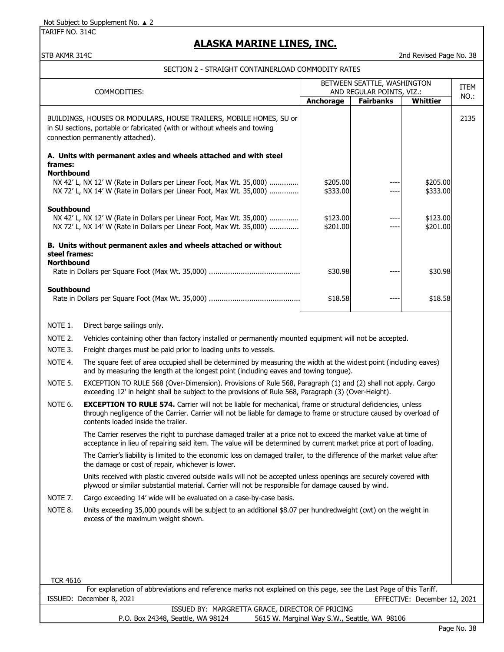TARIFF NO. 314C

## **ALASKA MARINE LINES, INC.**

STB AKMR 314C 2nd Revised Page No. 38

SECTION 2 - STRAIGHT CONTAINERLOAD COMMODITY RATES

| BETWEEN SEATTLE, WASHINGTON<br>AND REGULAR POINTS, VIZ.:                                                                                                          |                                                                                                                                                                                                                                                                                  |                      | <b>ITEM</b>      |                              |      |
|-------------------------------------------------------------------------------------------------------------------------------------------------------------------|----------------------------------------------------------------------------------------------------------------------------------------------------------------------------------------------------------------------------------------------------------------------------------|----------------------|------------------|------------------------------|------|
|                                                                                                                                                                   | COMMODITIES:                                                                                                                                                                                                                                                                     | Anchorage            | <b>Fairbanks</b> | Whittier                     | NO.: |
|                                                                                                                                                                   | BUILDINGS, HOUSES OR MODULARS, HOUSE TRAILERS, MOBILE HOMES, SU or<br>in SU sections, portable or fabricated (with or without wheels and towing<br>connection permanently attached).                                                                                             |                      |                  |                              | 2135 |
|                                                                                                                                                                   | A. Units with permanent axles and wheels attached and with steel                                                                                                                                                                                                                 |                      |                  |                              |      |
| frames:                                                                                                                                                           |                                                                                                                                                                                                                                                                                  |                      |                  |                              |      |
| <b>Northbound</b><br>NX 42' L, NX 12' W (Rate in Dollars per Linear Foot, Max Wt. 35,000)<br>NX 72' L, NX 14' W (Rate in Dollars per Linear Foot, Max Wt. 35,000) |                                                                                                                                                                                                                                                                                  | \$205.00<br>\$333.00 |                  | \$205.00<br>\$333.00         |      |
| Southbound<br>NX 42' L, NX 12' W (Rate in Dollars per Linear Foot, Max Wt. 35,000)<br>NX 72' L, NX 14' W (Rate in Dollars per Linear Foot, Max Wt. 35,000)        |                                                                                                                                                                                                                                                                                  | \$123.00<br>\$201.00 |                  | \$123.00<br>\$201.00         |      |
|                                                                                                                                                                   | B. Units without permanent axles and wheels attached or without                                                                                                                                                                                                                  |                      |                  |                              |      |
| steel frames:<br><b>Northbound</b>                                                                                                                                |                                                                                                                                                                                                                                                                                  |                      |                  |                              |      |
|                                                                                                                                                                   |                                                                                                                                                                                                                                                                                  | \$30.98              |                  | \$30.98                      |      |
| Southbound                                                                                                                                                        |                                                                                                                                                                                                                                                                                  |                      |                  |                              |      |
|                                                                                                                                                                   |                                                                                                                                                                                                                                                                                  | \$18.58              |                  | \$18.58                      |      |
|                                                                                                                                                                   |                                                                                                                                                                                                                                                                                  |                      |                  |                              |      |
| NOTE 1.                                                                                                                                                           | Direct barge sailings only.                                                                                                                                                                                                                                                      |                      |                  |                              |      |
| NOTE 2.                                                                                                                                                           | Vehicles containing other than factory installed or permanently mounted equipment will not be accepted.                                                                                                                                                                          |                      |                  |                              |      |
| NOTE 3.                                                                                                                                                           | Freight charges must be paid prior to loading units to vessels.                                                                                                                                                                                                                  |                      |                  |                              |      |
| NOTE 4.                                                                                                                                                           | The square feet of area occupied shall be determined by measuring the width at the widest point (including eaves)<br>and by measuring the length at the longest point (including eaves and towing tongue).                                                                       |                      |                  |                              |      |
| NOTE 5.                                                                                                                                                           | EXCEPTION TO RULE 568 (Over-Dimension). Provisions of Rule 568, Paragraph (1) and (2) shall not apply. Cargo<br>exceeding 12' in height shall be subject to the provisions of Rule 568, Paragraph (3) (Over-Height).                                                             |                      |                  |                              |      |
| NOTE 6.                                                                                                                                                           | <b>EXCEPTION TO RULE 574.</b> Carrier will not be liable for mechanical, frame or structural deficiencies, unless<br>through negligence of the Carrier. Carrier will not be liable for damage to frame or structure caused by overload of<br>contents loaded inside the trailer. |                      |                  |                              |      |
|                                                                                                                                                                   | The Carrier reserves the right to purchase damaged trailer at a price not to exceed the market value at time of<br>acceptance in lieu of repairing said item. The value will be determined by current market price at port of loading.                                           |                      |                  |                              |      |
|                                                                                                                                                                   | The Carrier's liability is limited to the economic loss on damaged trailer, to the difference of the market value after<br>the damage or cost of repair, whichever is lower.                                                                                                     |                      |                  |                              |      |
|                                                                                                                                                                   | Units received with plastic covered outside walls will not be accepted unless openings are securely covered with<br>plywood or similar substantial material. Carrier will not be responsible for damage caused by wind.                                                          |                      |                  |                              |      |
| NOTE 7.                                                                                                                                                           | Cargo exceeding 14' wide will be evaluated on a case-by-case basis.                                                                                                                                                                                                              |                      |                  |                              |      |
| NOTE 8.                                                                                                                                                           | Units exceeding 35,000 pounds will be subject to an additional \$8.07 per hundredweight (cwt) on the weight in<br>excess of the maximum weight shown.                                                                                                                            |                      |                  |                              |      |
|                                                                                                                                                                   |                                                                                                                                                                                                                                                                                  |                      |                  |                              |      |
|                                                                                                                                                                   |                                                                                                                                                                                                                                                                                  |                      |                  |                              |      |
|                                                                                                                                                                   |                                                                                                                                                                                                                                                                                  |                      |                  |                              |      |
| <b>TCR 4616</b>                                                                                                                                                   |                                                                                                                                                                                                                                                                                  |                      |                  |                              |      |
|                                                                                                                                                                   | For explanation of abbreviations and reference marks not explained on this page, see the Last Page of this Tariff.                                                                                                                                                               |                      |                  |                              |      |
|                                                                                                                                                                   | ISSUED: December 8, 2021<br>ISSUED BY: MARGRETTA GRACE, DIRECTOR OF PRICING                                                                                                                                                                                                      |                      |                  | EFFECTIVE: December 12, 2021 |      |

P.O. Box 24348, Seattle, WA 98124 5615 W. Marginal Way S.W., Seattle, WA 98106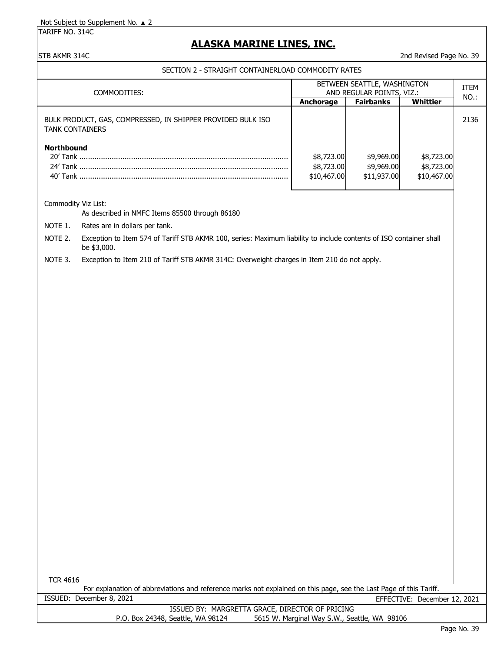TARIFF NO. 314C

## **ALASKA MARINE LINES, INC.**

STB AKMR 314C 2nd Revised Page No. 39

#### SECTION 2 - STRAIGHT CONTAINERLOAD COMMODITY RATES

| COMMODITIES:                                                                          | BETWEEN SEATTLE, WASHINGTON<br>AND REGULAR POINTS, VIZ.:<br><b>Fairbanks</b><br>Whittier<br>Anchorage |                                         |                                         | <b>ITEM</b><br>NO.: |
|---------------------------------------------------------------------------------------|-------------------------------------------------------------------------------------------------------|-----------------------------------------|-----------------------------------------|---------------------|
| BULK PRODUCT, GAS, COMPRESSED, IN SHIPPER PROVIDED BULK ISO<br><b>TANK CONTAINERS</b> |                                                                                                       |                                         |                                         | 2136                |
| <b>Northbound</b>                                                                     | \$8,723.00<br>\$8,723.00<br>\$10,467.00                                                               | \$9,969.00<br>\$9,969.00<br>\$11,937.00 | \$8,723.00<br>\$8,723.00<br>\$10,467.00 |                     |

### Commodity Viz List:

As described in NMFC Items 85500 through 86180

NOTE 1. Rates are in dollars per tank.

NOTE 2. Exception to Item 574 of Tariff STB AKMR 100, series: Maximum liability to include contents of ISO container shall be \$3,000.

NOTE 3. Exception to Item 210 of Tariff STB AKMR 314C: Overweight charges in Item 210 do not apply.

TCR 4616

For explanation of abbreviations and reference marks not explained on this page, see the Last Page of this Tariff. ISSUED: December 8, 2021 EFFECTIVE: December 12, 2021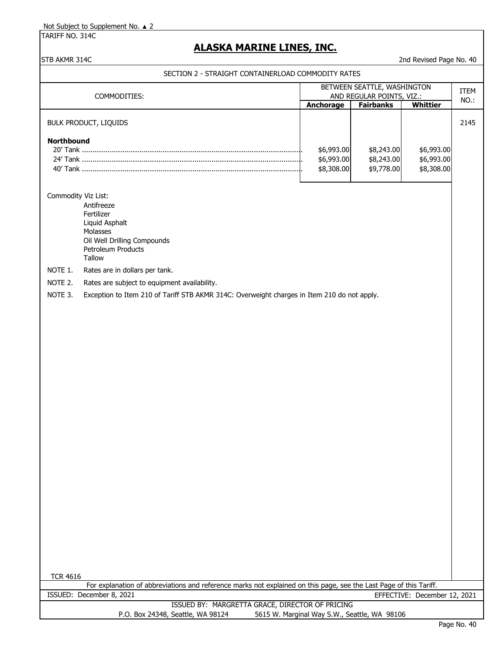TARIFF NO. 314C

# **ALASKA MARINE LINES, INC.**

### STB AKMR 314C 2nd Revised Page No. 40

|                     |                                                                                                                                                | BETWEEN SEATTLE, WASHINGTON                  |                  |                              |      |
|---------------------|------------------------------------------------------------------------------------------------------------------------------------------------|----------------------------------------------|------------------|------------------------------|------|
|                     | COMMODITIES:                                                                                                                                   | AND REGULAR POINTS, VIZ.:                    |                  | <b>ITEM</b><br>NO.:          |      |
|                     |                                                                                                                                                | Anchorage                                    | <b>Fairbanks</b> | <b>Whittier</b>              |      |
|                     | <b>BULK PRODUCT, LIQUIDS</b>                                                                                                                   |                                              |                  |                              | 2145 |
|                     |                                                                                                                                                |                                              |                  |                              |      |
| <b>Northbound</b>   |                                                                                                                                                |                                              |                  |                              |      |
|                     |                                                                                                                                                | \$6,993.00                                   | \$8,243.00       | \$6,993.00                   |      |
|                     |                                                                                                                                                | \$6,993.00                                   | \$8,243.00       | \$6,993.00                   |      |
|                     |                                                                                                                                                | \$8,308.00                                   | \$9,778.00       | \$8,308.00                   |      |
|                     |                                                                                                                                                |                                              |                  |                              |      |
| Commodity Viz List: |                                                                                                                                                |                                              |                  |                              |      |
|                     | Antifreeze                                                                                                                                     |                                              |                  |                              |      |
|                     | Fertilizer<br>Liquid Asphalt                                                                                                                   |                                              |                  |                              |      |
|                     | Molasses                                                                                                                                       |                                              |                  |                              |      |
|                     | Oil Well Drilling Compounds                                                                                                                    |                                              |                  |                              |      |
|                     | Petroleum Products                                                                                                                             |                                              |                  |                              |      |
|                     | Tallow                                                                                                                                         |                                              |                  |                              |      |
| NOTE 1.             | Rates are in dollars per tank.                                                                                                                 |                                              |                  |                              |      |
| NOTE 2.             | Rates are subject to equipment availability.                                                                                                   |                                              |                  |                              |      |
| NOTE 3.             | Exception to Item 210 of Tariff STB AKMR 314C: Overweight charges in Item 210 do not apply.                                                    |                                              |                  |                              |      |
|                     |                                                                                                                                                |                                              |                  |                              |      |
|                     |                                                                                                                                                |                                              |                  |                              |      |
|                     |                                                                                                                                                |                                              |                  |                              |      |
|                     |                                                                                                                                                |                                              |                  |                              |      |
|                     |                                                                                                                                                |                                              |                  |                              |      |
|                     |                                                                                                                                                |                                              |                  |                              |      |
|                     |                                                                                                                                                |                                              |                  |                              |      |
|                     |                                                                                                                                                |                                              |                  |                              |      |
|                     |                                                                                                                                                |                                              |                  |                              |      |
|                     |                                                                                                                                                |                                              |                  |                              |      |
|                     |                                                                                                                                                |                                              |                  |                              |      |
|                     |                                                                                                                                                |                                              |                  |                              |      |
|                     |                                                                                                                                                |                                              |                  |                              |      |
|                     |                                                                                                                                                |                                              |                  |                              |      |
|                     |                                                                                                                                                |                                              |                  |                              |      |
|                     |                                                                                                                                                |                                              |                  |                              |      |
|                     |                                                                                                                                                |                                              |                  |                              |      |
|                     |                                                                                                                                                |                                              |                  |                              |      |
|                     |                                                                                                                                                |                                              |                  |                              |      |
|                     |                                                                                                                                                |                                              |                  |                              |      |
|                     |                                                                                                                                                |                                              |                  |                              |      |
|                     |                                                                                                                                                |                                              |                  |                              |      |
|                     |                                                                                                                                                |                                              |                  |                              |      |
|                     |                                                                                                                                                |                                              |                  |                              |      |
|                     |                                                                                                                                                |                                              |                  |                              |      |
| <b>TCR 4616</b>     |                                                                                                                                                |                                              |                  |                              |      |
|                     | For explanation of abbreviations and reference marks not explained on this page, see the Last Page of this Tariff.<br>ISSUED: December 8, 2021 |                                              |                  |                              |      |
|                     | ISSUED BY: MARGRETTA GRACE, DIRECTOR OF PRICING                                                                                                |                                              |                  | EFFECTIVE: December 12, 2021 |      |
|                     | P.O. Box 24348, Seattle, WA 98124                                                                                                              | 5615 W. Marginal Way S.W., Seattle, WA 98106 |                  |                              |      |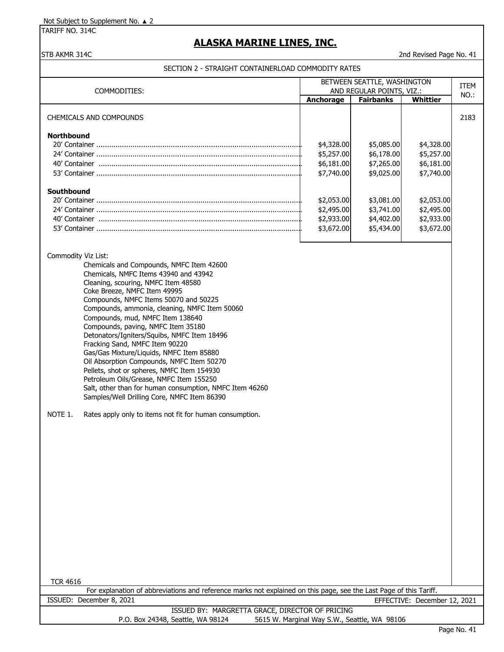TARIFF NO. 314C

# **ALASKA MARINE LINES, INC.**

### STB AKMR 314C 2nd Revised Page No. 41

| COMMODITIES:                                                                                                                                                                                                                                                                                                                                                                                                                                                                                                                                                                                                                                                                                                                                                                                            | BETWEEN SEATTLE, WASHINGTON<br>AND REGULAR POINTS, VIZ.:           |                                                                    | <b>ITEM</b>                                                        |      |  |
|---------------------------------------------------------------------------------------------------------------------------------------------------------------------------------------------------------------------------------------------------------------------------------------------------------------------------------------------------------------------------------------------------------------------------------------------------------------------------------------------------------------------------------------------------------------------------------------------------------------------------------------------------------------------------------------------------------------------------------------------------------------------------------------------------------|--------------------------------------------------------------------|--------------------------------------------------------------------|--------------------------------------------------------------------|------|--|
|                                                                                                                                                                                                                                                                                                                                                                                                                                                                                                                                                                                                                                                                                                                                                                                                         | Anchorage                                                          | <b>Fairbanks</b>                                                   | Whittier                                                           | NO.: |  |
| CHEMICALS AND COMPOUNDS                                                                                                                                                                                                                                                                                                                                                                                                                                                                                                                                                                                                                                                                                                                                                                                 |                                                                    |                                                                    |                                                                    | 2183 |  |
| <b>Northbound</b><br>Southbound                                                                                                                                                                                                                                                                                                                                                                                                                                                                                                                                                                                                                                                                                                                                                                         | \$4,328.00<br>\$5,257.00<br>\$6,181.00<br>\$7,740.00<br>\$2,053.00 | \$5,085.00<br>\$6,178.00<br>\$7,265.00<br>\$9,025.00<br>\$3,081.00 | \$4,328.00<br>\$5,257.00<br>\$6,181.00<br>\$7,740.00<br>\$2,053.00 |      |  |
|                                                                                                                                                                                                                                                                                                                                                                                                                                                                                                                                                                                                                                                                                                                                                                                                         | \$2,495.00<br>\$2,933.00<br>\$3,672.00                             | \$3,741.00<br>\$4,402.00<br>\$5,434.00                             | \$2,495.00<br>\$2,933.00<br>\$3,672.00                             |      |  |
| Commodity Viz List:<br>Chemicals and Compounds, NMFC Item 42600<br>Chemicals, NMFC Items 43940 and 43942<br>Cleaning, scouring, NMFC Item 48580<br>Coke Breeze, NMFC Item 49995<br>Compounds, NMFC Items 50070 and 50225<br>Compounds, ammonia, cleaning, NMFC Item 50060<br>Compounds, mud, NMFC Item 138640<br>Compounds, paving, NMFC Item 35180<br>Detonators/Igniters/Squibs, NMFC Item 18496<br>Fracking Sand, NMFC Item 90220<br>Gas/Gas Mixture/Liquids, NMFC Item 85880<br>Oil Absorption Compounds, NMFC Item 50270<br>Pellets, shot or spheres, NMFC Item 154930<br>Petroleum Oils/Grease, NMFC Item 155250<br>Salt, other than for human consumption, NMFC Item 46260<br>Samples/Well Drilling Core, NMFC Item 86390<br>NOTE 1.<br>Rates apply only to items not fit for human consumption. |                                                                    |                                                                    |                                                                    |      |  |
| <b>TCR 4616</b>                                                                                                                                                                                                                                                                                                                                                                                                                                                                                                                                                                                                                                                                                                                                                                                         |                                                                    |                                                                    |                                                                    |      |  |
| For explanation of abbreviations and reference marks not explained on this page, see the Last Page of this Tariff.<br>ISSUED: December 8, 2021                                                                                                                                                                                                                                                                                                                                                                                                                                                                                                                                                                                                                                                          |                                                                    |                                                                    | EFFECTIVE: December 12, 2021                                       |      |  |
| ISSUED BY: MARGRETTA GRACE, DIRECTOR OF PRICING                                                                                                                                                                                                                                                                                                                                                                                                                                                                                                                                                                                                                                                                                                                                                         |                                                                    |                                                                    |                                                                    |      |  |
| 5615 W. Marginal Way S.W., Seattle, WA 98106<br>P.O. Box 24348, Seattle, WA 98124                                                                                                                                                                                                                                                                                                                                                                                                                                                                                                                                                                                                                                                                                                                       |                                                                    |                                                                    |                                                                    |      |  |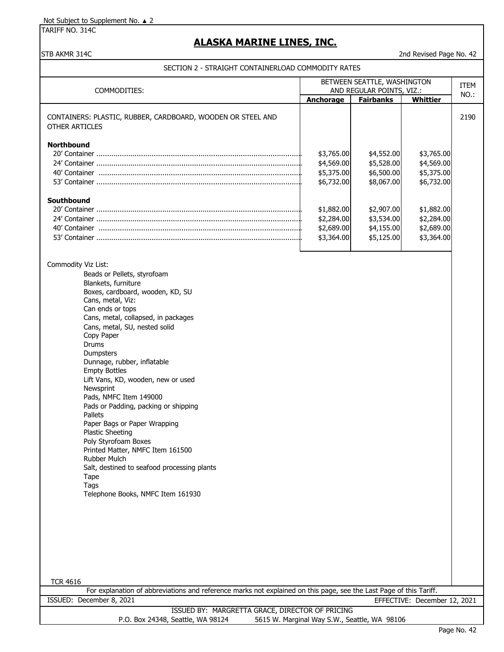TARIFF NO. 314C

# **ALASKA MARINE LINES, INC.**

STB AKMR 314C 2nd Revised Page No. 42

|                                                                                                                                       | BETWEEN SEATTLE, WASHINGTON<br>AND REGULAR POINTS, VIZ.: |                                              |                              | <b>ITEM</b> |
|---------------------------------------------------------------------------------------------------------------------------------------|----------------------------------------------------------|----------------------------------------------|------------------------------|-------------|
| COMMODITIES:                                                                                                                          |                                                          |                                              |                              | NO.:        |
|                                                                                                                                       | Anchorage                                                | <b>Fairbanks</b>                             | <b>Whittier</b>              |             |
| CONTAINERS: PLASTIC, RUBBER, CARDBOARD, WOODEN OR STEEL AND                                                                           |                                                          |                                              |                              | 2190        |
| <b>OTHER ARTICLES</b>                                                                                                                 |                                                          |                                              |                              |             |
|                                                                                                                                       |                                                          |                                              |                              |             |
| <b>Northbound</b>                                                                                                                     |                                                          |                                              |                              |             |
|                                                                                                                                       | \$3,765.00                                               | \$4,552.00                                   | \$3,765.00                   |             |
| 24' Container ……………………………………………………………………………………                                                                                        | \$4,569.00                                               | \$5,528.00                                   | \$4,569.00                   |             |
|                                                                                                                                       | \$5,375.00                                               | \$6,500.00                                   | \$5,375.00                   |             |
|                                                                                                                                       | \$6,732.00                                               | \$8,067.00                                   | \$6,732.00                   |             |
|                                                                                                                                       |                                                          |                                              |                              |             |
| Southbound                                                                                                                            | \$1,882.00                                               | \$2,907.00                                   | \$1,882.00                   |             |
|                                                                                                                                       | \$2,284.00                                               | \$3,534.00                                   | \$2,284.00                   |             |
|                                                                                                                                       | \$2,689.00                                               | \$4,155.00                                   | \$2,689.00                   |             |
|                                                                                                                                       | \$3,364.00                                               | \$5,125.00                                   | \$3,364.00                   |             |
|                                                                                                                                       |                                                          |                                              |                              |             |
|                                                                                                                                       |                                                          |                                              |                              |             |
| Commodity Viz List:                                                                                                                   |                                                          |                                              |                              |             |
| Beads or Pellets, styrofoam                                                                                                           |                                                          |                                              |                              |             |
| Blankets, furniture                                                                                                                   |                                                          |                                              |                              |             |
| Boxes, cardboard, wooden, KD, SU                                                                                                      |                                                          |                                              |                              |             |
| Cans, metal, Viz:                                                                                                                     |                                                          |                                              |                              |             |
| Can ends or tops                                                                                                                      |                                                          |                                              |                              |             |
| Cans, metal, collapsed, in packages                                                                                                   |                                                          |                                              |                              |             |
| Cans, metal, SU, nested solid                                                                                                         |                                                          |                                              |                              |             |
| Copy Paper<br>Drums                                                                                                                   |                                                          |                                              |                              |             |
| Dumpsters                                                                                                                             |                                                          |                                              |                              |             |
| Dunnage, rubber, inflatable                                                                                                           |                                                          |                                              |                              |             |
| <b>Empty Bottles</b>                                                                                                                  |                                                          |                                              |                              |             |
| Lift Vans, KD, wooden, new or used                                                                                                    |                                                          |                                              |                              |             |
| Newsprint                                                                                                                             |                                                          |                                              |                              |             |
| Pads, NMFC Item 149000                                                                                                                |                                                          |                                              |                              |             |
| Pads or Padding, packing or shipping                                                                                                  |                                                          |                                              |                              |             |
| Pallets                                                                                                                               |                                                          |                                              |                              |             |
| Paper Bags or Paper Wrapping                                                                                                          |                                                          |                                              |                              |             |
| <b>Plastic Sheeting</b>                                                                                                               |                                                          |                                              |                              |             |
| Poly Styrofoam Boxes                                                                                                                  |                                                          |                                              |                              |             |
| Printed Matter, NMFC Item 161500                                                                                                      |                                                          |                                              |                              |             |
| Rubber Mulch                                                                                                                          |                                                          |                                              |                              |             |
| Salt, destined to seafood processing plants                                                                                           |                                                          |                                              |                              |             |
| Tape                                                                                                                                  |                                                          |                                              |                              |             |
| Tags                                                                                                                                  |                                                          |                                              |                              |             |
| Telephone Books, NMFC Item 161930                                                                                                     |                                                          |                                              |                              |             |
|                                                                                                                                       |                                                          |                                              |                              |             |
|                                                                                                                                       |                                                          |                                              |                              |             |
|                                                                                                                                       |                                                          |                                              |                              |             |
|                                                                                                                                       |                                                          |                                              |                              |             |
|                                                                                                                                       |                                                          |                                              |                              |             |
|                                                                                                                                       |                                                          |                                              |                              |             |
|                                                                                                                                       |                                                          |                                              |                              |             |
|                                                                                                                                       |                                                          |                                              |                              |             |
| <b>TCR 4616</b><br>For explanation of abbreviations and reference marks not explained on this page, see the Last Page of this Tariff. |                                                          |                                              |                              |             |
| ISSUED: December 8, 2021                                                                                                              |                                                          |                                              | EFFECTIVE: December 12, 2021 |             |
| ISSUED BY: MARGRETTA GRACE, DIRECTOR OF PRICING                                                                                       |                                                          |                                              |                              |             |
| P.O. Box 24348, Seattle, WA 98124                                                                                                     |                                                          | 5615 W. Marginal Way S.W., Seattle, WA 98106 |                              |             |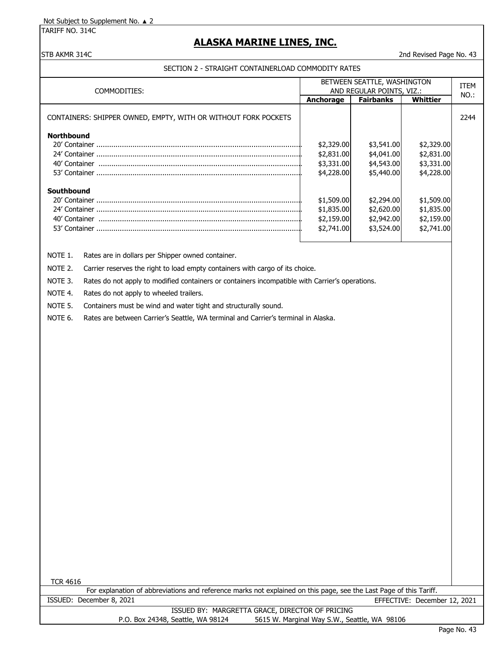TARIFF NO. 314C

# **ALASKA MARINE LINES, INC.**

STB AKMR 314C 2nd Revised Page No. 43

|                                                                                                                                                |                                              | BETWEEN SEATTLE, WASHINGTON                   |                              | <b>ITEM</b> |
|------------------------------------------------------------------------------------------------------------------------------------------------|----------------------------------------------|-----------------------------------------------|------------------------------|-------------|
| COMMODITIES:                                                                                                                                   |                                              | AND REGULAR POINTS, VIZ.:<br><b>Fairbanks</b> | <b>Whittier</b>              | NO.:        |
|                                                                                                                                                | Anchorage                                    |                                               |                              |             |
| CONTAINERS: SHIPPER OWNED, EMPTY, WITH OR WITHOUT FORK POCKETS                                                                                 |                                              |                                               |                              | 2244        |
|                                                                                                                                                |                                              |                                               |                              |             |
| <b>Northbound</b>                                                                                                                              |                                              |                                               |                              |             |
|                                                                                                                                                | \$2,329.00<br>\$2,831.00                     | \$3,541.00<br>\$4,041.00                      | \$2,329.00<br>\$2,831.00     |             |
|                                                                                                                                                | \$3,331.00                                   | \$4,543.00                                    | \$3,331.00                   |             |
|                                                                                                                                                | \$4,228.00                                   | \$5,440.00                                    | \$4,228.00                   |             |
|                                                                                                                                                |                                              |                                               |                              |             |
| Southbound                                                                                                                                     |                                              |                                               | \$1,509.00                   |             |
|                                                                                                                                                | \$1,509.00<br>\$1,835.00                     | \$2,294.00<br>\$2,620.00                      | \$1,835.00                   |             |
|                                                                                                                                                | \$2,159.00                                   | \$2,942.00                                    | \$2,159.00                   |             |
|                                                                                                                                                | \$2,741.00                                   | \$3,524.00                                    | \$2,741.00                   |             |
|                                                                                                                                                |                                              |                                               |                              |             |
|                                                                                                                                                |                                              |                                               |                              |             |
| NOTE 1.<br>Rates are in dollars per Shipper owned container.                                                                                   |                                              |                                               |                              |             |
| NOTE 2.<br>Carrier reserves the right to load empty containers with cargo of its choice.                                                       |                                              |                                               |                              |             |
| Rates do not apply to modified containers or containers incompatible with Carrier's operations.<br>NOTE 3.                                     |                                              |                                               |                              |             |
| NOTE 4.<br>Rates do not apply to wheeled trailers.                                                                                             |                                              |                                               |                              |             |
| NOTE 5.<br>Containers must be wind and water tight and structurally sound.                                                                     |                                              |                                               |                              |             |
| NOTE 6.<br>Rates are between Carrier's Seattle, WA terminal and Carrier's terminal in Alaska.                                                  |                                              |                                               |                              |             |
|                                                                                                                                                |                                              |                                               |                              |             |
|                                                                                                                                                |                                              |                                               |                              |             |
|                                                                                                                                                |                                              |                                               |                              |             |
|                                                                                                                                                |                                              |                                               |                              |             |
|                                                                                                                                                |                                              |                                               |                              |             |
|                                                                                                                                                |                                              |                                               |                              |             |
|                                                                                                                                                |                                              |                                               |                              |             |
|                                                                                                                                                |                                              |                                               |                              |             |
|                                                                                                                                                |                                              |                                               |                              |             |
|                                                                                                                                                |                                              |                                               |                              |             |
|                                                                                                                                                |                                              |                                               |                              |             |
|                                                                                                                                                |                                              |                                               |                              |             |
|                                                                                                                                                |                                              |                                               |                              |             |
|                                                                                                                                                |                                              |                                               |                              |             |
|                                                                                                                                                |                                              |                                               |                              |             |
|                                                                                                                                                |                                              |                                               |                              |             |
|                                                                                                                                                |                                              |                                               |                              |             |
|                                                                                                                                                |                                              |                                               |                              |             |
|                                                                                                                                                |                                              |                                               |                              |             |
|                                                                                                                                                |                                              |                                               |                              |             |
|                                                                                                                                                |                                              |                                               |                              |             |
|                                                                                                                                                |                                              |                                               |                              |             |
|                                                                                                                                                |                                              |                                               |                              |             |
| <b>TCR 4616</b>                                                                                                                                |                                              |                                               |                              |             |
| For explanation of abbreviations and reference marks not explained on this page, see the Last Page of this Tariff.<br>ISSUED: December 8, 2021 |                                              |                                               |                              |             |
| ISSUED BY: MARGRETTA GRACE, DIRECTOR OF PRICING                                                                                                |                                              |                                               | EFFECTIVE: December 12, 2021 |             |
| P.O. Box 24348, Seattle, WA 98124                                                                                                              | 5615 W. Marginal Way S.W., Seattle, WA 98106 |                                               |                              |             |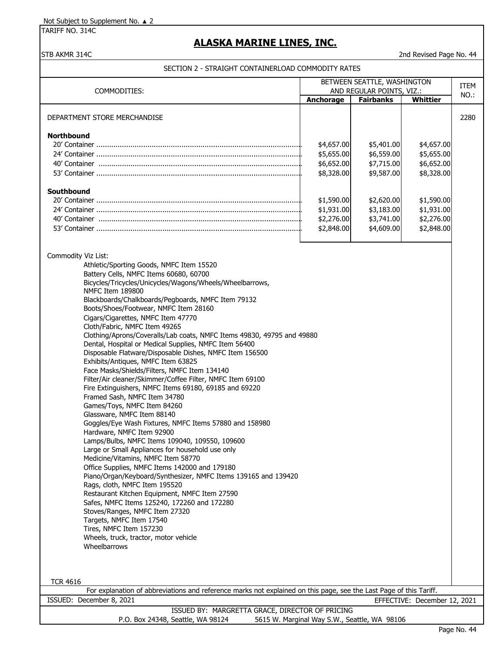TARIFF NO. 314C

# **ALASKA MARINE LINES, INC.**

STB AKMR 314C 2nd Revised Page No. 44

| COMMODITIES:                                                                                                                                                                                                                                                                                                                                                                                                                                                                                                                                                                                                                                                                                                                                                                                                                                                                                                                                                                                                                                                                                                                                                                                                                                                                                                                                                                                                                                                                                                           | BETWEEN SEATTLE, WASHINGTON<br>AND REGULAR POINTS, VIZ.: |                                                      | ITEM                                                 |      |
|------------------------------------------------------------------------------------------------------------------------------------------------------------------------------------------------------------------------------------------------------------------------------------------------------------------------------------------------------------------------------------------------------------------------------------------------------------------------------------------------------------------------------------------------------------------------------------------------------------------------------------------------------------------------------------------------------------------------------------------------------------------------------------------------------------------------------------------------------------------------------------------------------------------------------------------------------------------------------------------------------------------------------------------------------------------------------------------------------------------------------------------------------------------------------------------------------------------------------------------------------------------------------------------------------------------------------------------------------------------------------------------------------------------------------------------------------------------------------------------------------------------------|----------------------------------------------------------|------------------------------------------------------|------------------------------------------------------|------|
|                                                                                                                                                                                                                                                                                                                                                                                                                                                                                                                                                                                                                                                                                                                                                                                                                                                                                                                                                                                                                                                                                                                                                                                                                                                                                                                                                                                                                                                                                                                        | Anchorage                                                | <b>Fairbanks</b>                                     | <b>Whittier</b>                                      | NO.: |
| DEPARTMENT STORE MERCHANDISE                                                                                                                                                                                                                                                                                                                                                                                                                                                                                                                                                                                                                                                                                                                                                                                                                                                                                                                                                                                                                                                                                                                                                                                                                                                                                                                                                                                                                                                                                           |                                                          |                                                      |                                                      | 2280 |
| <b>Northbound</b>                                                                                                                                                                                                                                                                                                                                                                                                                                                                                                                                                                                                                                                                                                                                                                                                                                                                                                                                                                                                                                                                                                                                                                                                                                                                                                                                                                                                                                                                                                      | \$4,657.00<br>\$5,655.00<br>\$6,652.00<br>\$8,328.00     | \$5,401.00<br>\$6,559.00<br>\$7,715.00<br>\$9,587.00 | \$4,657.00<br>\$5,655.00<br>\$6,652.00<br>\$8,328.00 |      |
| Southbound                                                                                                                                                                                                                                                                                                                                                                                                                                                                                                                                                                                                                                                                                                                                                                                                                                                                                                                                                                                                                                                                                                                                                                                                                                                                                                                                                                                                                                                                                                             | \$1,590.00<br>\$1,931.00<br>\$2,276.00<br>\$2,848.00     | \$2,620.00<br>\$3,183.00<br>\$3,741.00<br>\$4,609.00 | \$1,590.00<br>\$1,931.00<br>\$2,276.00<br>\$2,848.00 |      |
| Commodity Viz List:<br>Athletic/Sporting Goods, NMFC Item 15520<br>Battery Cells, NMFC Items 60680, 60700<br>Bicycles/Tricycles/Unicycles/Wagons/Wheels/Wheelbarrows,<br><b>NMFC Item 189800</b><br>Blackboards/Chalkboards/Pegboards, NMFC Item 79132<br>Boots/Shoes/Footwear, NMFC Item 28160<br>Cigars/Cigarettes, NMFC Item 47770<br>Cloth/Fabric, NMFC Item 49265<br>Clothing/Aprons/Coveralls/Lab coats, NMFC Items 49830, 49795 and 49880<br>Dental, Hospital or Medical Supplies, NMFC Item 56400<br>Disposable Flatware/Disposable Dishes, NMFC Item 156500<br>Exhibits/Antiques, NMFC Item 63825<br>Face Masks/Shields/Filters, NMFC Item 134140<br>Filter/Air cleaner/Skimmer/Coffee Filter, NMFC Item 69100<br>Fire Extinguishers, NMFC Items 69180, 69185 and 69220<br>Framed Sash, NMFC Item 34780<br>Games/Toys, NMFC Item 84260<br>Glassware, NMFC Item 88140<br>Goggles/Eye Wash Fixtures, NMFC Items 57880 and 158980<br>Hardware, NMFC Item 92900<br>Lamps/Bulbs, NMFC Items 109040, 109550, 109600<br>Large or Small Appliances for household use only<br>Medicine/Vitamins, NMFC Item 58770<br>Office Supplies, NMFC Items 142000 and 179180<br>Piano/Organ/Keyboard/Synthesizer, NMFC Items 139165 and 139420<br>Rags, cloth, NMFC Item 195520<br>Restaurant Kitchen Equipment, NMFC Item 27590<br>Safes, NMFC Items 125240, 172260 and 172280<br>Stoves/Ranges, NMFC Item 27320<br>Targets, NMFC Item 17540<br>Tires, NMFC Item 157230<br>Wheels, truck, tractor, motor vehicle<br>Wheelbarrows |                                                          |                                                      |                                                      |      |
| <b>TCR 4616</b>                                                                                                                                                                                                                                                                                                                                                                                                                                                                                                                                                                                                                                                                                                                                                                                                                                                                                                                                                                                                                                                                                                                                                                                                                                                                                                                                                                                                                                                                                                        |                                                          |                                                      |                                                      |      |
| For explanation of abbreviations and reference marks not explained on this page, see the Last Page of this Tariff.<br>ISSUED: December 8, 2021                                                                                                                                                                                                                                                                                                                                                                                                                                                                                                                                                                                                                                                                                                                                                                                                                                                                                                                                                                                                                                                                                                                                                                                                                                                                                                                                                                         |                                                          |                                                      | EFFECTIVE: December 12, 2021                         |      |
| ISSUED BY: MARGRETTA GRACE, DIRECTOR OF PRICING                                                                                                                                                                                                                                                                                                                                                                                                                                                                                                                                                                                                                                                                                                                                                                                                                                                                                                                                                                                                                                                                                                                                                                                                                                                                                                                                                                                                                                                                        |                                                          |                                                      |                                                      |      |
| P.O. Box 24348, Seattle, WA 98124<br>5615 W. Marginal Way S.W., Seattle, WA 98106                                                                                                                                                                                                                                                                                                                                                                                                                                                                                                                                                                                                                                                                                                                                                                                                                                                                                                                                                                                                                                                                                                                                                                                                                                                                                                                                                                                                                                      |                                                          |                                                      |                                                      |      |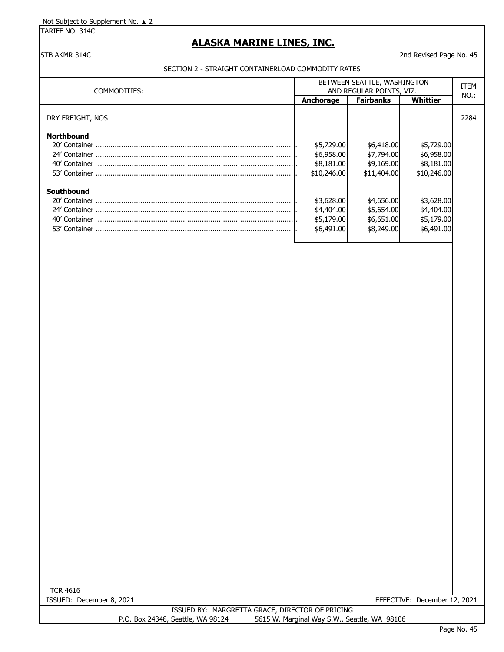TARIFF NO. 314C

# **ALASKA MARINE LINES, INC.**

### STB AKMR 314C 2nd Revised Page No. 45

### SECTION 2 - STRAIGHT CONTAINERLOAD COMMODITY RATES

| COMMODITIES:      | BETWEEN SEATTLE, WASHINGTON<br>AND REGULAR POINTS, VIZ.: |                  |             | ITEM    |
|-------------------|----------------------------------------------------------|------------------|-------------|---------|
|                   | Anchorage                                                | <b>Fairbanks</b> | Whittier    | $NO.$ : |
| DRY FREIGHT, NOS  |                                                          |                  |             | 2284    |
| <b>Northbound</b> |                                                          |                  |             |         |
|                   | \$5,729.00                                               | \$6,418.00       | \$5,729.00  |         |
|                   | \$6,958.00                                               | \$7,794.00       | \$6,958.00  |         |
| 40' Container     | \$8,181.00                                               | \$9,169.00       | \$8,181.00  |         |
|                   | \$10,246.00                                              | \$11,404.00      | \$10,246.00 |         |
| Southbound        |                                                          |                  |             |         |
|                   | \$3,628.00                                               | \$4,656.00       | \$3,628.00  |         |
|                   | \$4,404.00                                               | \$5,654.00       | \$4,404.00  |         |
| 40' Container     | \$5,179.00                                               | \$6,651.00       | \$5,179.00  |         |
| 53' Container     | \$6,491.00                                               | \$8,249.00       | \$6,491.00  |         |

 $\overline{\phantom{a}}$ 

TCR 4616

ISSUED: December 8, 2021 EFFECTIVE: December 12, 2021

ISSUED BY: MARGRETTA GRACE, DIRECTOR OF PRICING P.O. Box 24348, Seattle, WA 98124 5615 W. Marginal Way S.W., Seattle, WA 98106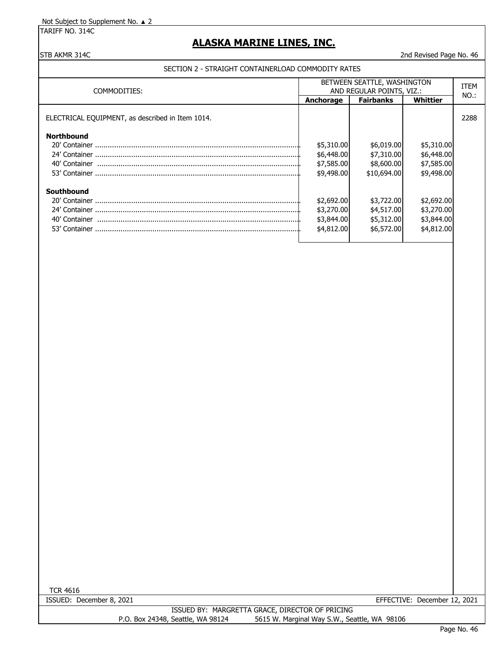TARIFF NO. 314C

## **ALASKA MARINE LINES, INC.**

### STB AKMR 314C 2nd Revised Page No. 46

### SECTION 2 - STRAIGHT CONTAINERLOAD COMMODITY RATES

| COMMODITIES:                                     | BETWEEN SEATTLE, WASHINGTON<br>AND REGULAR POINTS, VIZ.: |                  |            | <b>ITEM</b><br>NO.: |
|--------------------------------------------------|----------------------------------------------------------|------------------|------------|---------------------|
|                                                  | <b>Anchorage</b>                                         | <b>Fairbanks</b> | Whittier   |                     |
| ELECTRICAL EQUIPMENT, as described in Item 1014. |                                                          |                  |            | 2288                |
| <b>Northbound</b>                                |                                                          |                  |            |                     |
|                                                  | \$5,310.00                                               | \$6,019.00       | \$5,310.00 |                     |
|                                                  | \$6,448.00                                               | \$7,310.00       | \$6,448.00 |                     |
| 40' Container                                    | \$7,585.00                                               | \$8,600.00       | \$7,585.00 |                     |
|                                                  | \$9,498.00                                               | \$10,694.00      | \$9,498.00 |                     |
| Southbound                                       |                                                          |                  |            |                     |
|                                                  | \$2,692.00                                               | \$3,722.00       | \$2,692.00 |                     |
|                                                  | \$3,270.00                                               | \$4,517.00       | \$3,270.00 |                     |
| 40' Container                                    | \$3,844.00                                               | \$5,312.00       | \$3,844.00 |                     |
|                                                  | \$4,812.00                                               | \$6,572.00       | \$4,812.00 |                     |
|                                                  |                                                          |                  |            |                     |

TCR 4616

ISSUED: December 8, 2021 EFFECTIVE: December 12, 2021

ISSUED BY: MARGRETTA GRACE, DIRECTOR OF PRICING P.O. Box 24348, Seattle, WA 98124 5615 W. Marginal Way S.W., Seattle, WA 98106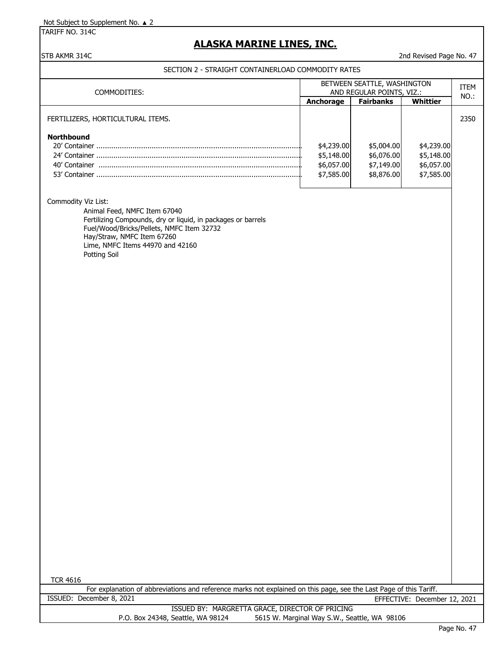TARIFF NO. 314C

## **ALASKA MARINE LINES, INC.**

### STB AKMR 314C 2nd Revised Page No. 47

SECTION 2 - STRAIGHT CONTAINERLOAD COMMODITY RATES

| COMMODITIES:                                                 | BETWEEN SEATTLE, WASHINGTON<br>AND REGULAR POINTS, VIZ.: |                  |            | <b>ITEM</b> |
|--------------------------------------------------------------|----------------------------------------------------------|------------------|------------|-------------|
|                                                              | <b>Anchorage</b>                                         | <b>Fairbanks</b> | Whittier   | NO.:        |
| FERTILIZERS, HORTICULTURAL ITEMS.                            |                                                          |                  |            | 2350        |
| <b>Northbound</b>                                            |                                                          |                  |            |             |
|                                                              | \$4,239.00                                               | \$5,004.00       | \$4,239.00 |             |
|                                                              | \$5,148.00                                               | \$6,076.00       | \$5,148.00 |             |
| 40' Container                                                | \$6,057.00                                               | \$7,149.00       | \$6,057.00 |             |
|                                                              | \$7,585.00                                               | \$8,876.00       | \$7,585.00 |             |
|                                                              |                                                          |                  |            |             |
| Commodity Viz List:                                          |                                                          |                  |            |             |
| Animal Feed, NMFC Item 67040                                 |                                                          |                  |            |             |
| Fertilizing Compounds, dry or liquid, in packages or barrels |                                                          |                  |            |             |
| Fuel/Wood/Bricks/Pellets, NMFC Item 32732                    |                                                          |                  |            |             |

Hay/Straw, NMFC Item 67260 Lime, NMFC Items 44970 and 42160 Potting Soil

For explanation of abbreviations and reference marks not explained on this page, see the Last Page of this Tariff. ISSUED: December 8, 2021 EFFECTIVE: December 12, 2021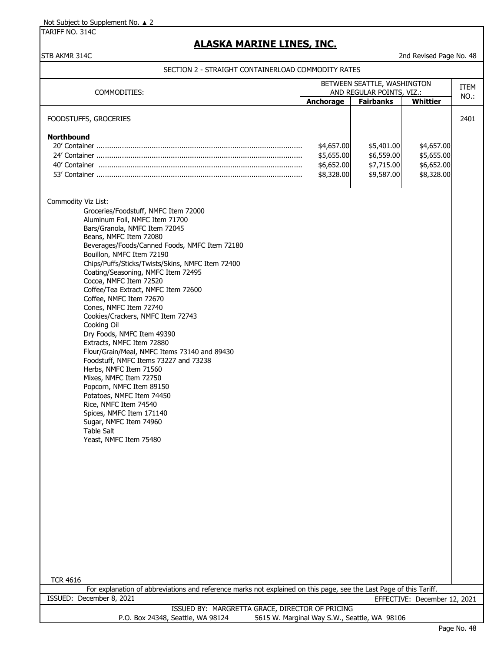TARIFF NO. 314C

# **ALASKA MARINE LINES, INC.**

STB AKMR 314C 2nd Revised Page No. 48

|                                                                                                                                       | BETWEEN SEATTLE, WASHINGTON<br>AND REGULAR POINTS, VIZ.: |                                              |                              | ITEM |
|---------------------------------------------------------------------------------------------------------------------------------------|----------------------------------------------------------|----------------------------------------------|------------------------------|------|
| COMMODITIES:                                                                                                                          | Anchorage                                                | <b>Fairbanks</b>                             | <b>Whittier</b>              | NO.: |
|                                                                                                                                       |                                                          |                                              |                              |      |
| FOODSTUFFS, GROCERIES                                                                                                                 |                                                          |                                              |                              | 2401 |
| <b>Northbound</b>                                                                                                                     |                                                          |                                              |                              |      |
|                                                                                                                                       | \$4,657.00                                               | \$5,401.00                                   | \$4,657.00                   |      |
|                                                                                                                                       | \$5,655.00                                               | \$6,559.00                                   | \$5,655.00                   |      |
|                                                                                                                                       | \$6,652.00                                               | \$7,715.00                                   | \$6,652.00                   |      |
|                                                                                                                                       | \$8,328.00                                               | \$9,587.00                                   | \$8,328.00                   |      |
|                                                                                                                                       |                                                          |                                              |                              |      |
| Commodity Viz List:                                                                                                                   |                                                          |                                              |                              |      |
| Groceries/Foodstuff, NMFC Item 72000<br>Aluminum Foil, NMFC Item 71700                                                                |                                                          |                                              |                              |      |
| Bars/Granola, NMFC Item 72045                                                                                                         |                                                          |                                              |                              |      |
| Beans, NMFC Item 72080                                                                                                                |                                                          |                                              |                              |      |
| Beverages/Foods/Canned Foods, NMFC Item 72180                                                                                         |                                                          |                                              |                              |      |
| Bouillon, NMFC Item 72190                                                                                                             |                                                          |                                              |                              |      |
| Chips/Puffs/Sticks/Twists/Skins, NMFC Item 72400                                                                                      |                                                          |                                              |                              |      |
| Coating/Seasoning, NMFC Item 72495<br>Cocoa, NMFC Item 72520                                                                          |                                                          |                                              |                              |      |
| Coffee/Tea Extract, NMFC Item 72600                                                                                                   |                                                          |                                              |                              |      |
| Coffee, NMFC Item 72670                                                                                                               |                                                          |                                              |                              |      |
| Cones, NMFC Item 72740                                                                                                                |                                                          |                                              |                              |      |
| Cookies/Crackers, NMFC Item 72743                                                                                                     |                                                          |                                              |                              |      |
| Cooking Oil                                                                                                                           |                                                          |                                              |                              |      |
| Dry Foods, NMFC Item 49390<br>Extracts, NMFC Item 72880                                                                               |                                                          |                                              |                              |      |
| Flour/Grain/Meal, NMFC Items 73140 and 89430                                                                                          |                                                          |                                              |                              |      |
| Foodstuff, NMFC Items 73227 and 73238                                                                                                 |                                                          |                                              |                              |      |
| Herbs, NMFC Item 71560                                                                                                                |                                                          |                                              |                              |      |
| Mixes, NMFC Item 72750                                                                                                                |                                                          |                                              |                              |      |
| Popcorn, NMFC Item 89150                                                                                                              |                                                          |                                              |                              |      |
| Potatoes, NMFC Item 74450                                                                                                             |                                                          |                                              |                              |      |
| Rice, NMFC Item 74540<br>Spices, NMFC Item 171140                                                                                     |                                                          |                                              |                              |      |
| Sugar, NMFC Item 74960                                                                                                                |                                                          |                                              |                              |      |
| Table Salt                                                                                                                            |                                                          |                                              |                              |      |
| Yeast, NMFC Item 75480                                                                                                                |                                                          |                                              |                              |      |
|                                                                                                                                       |                                                          |                                              |                              |      |
|                                                                                                                                       |                                                          |                                              |                              |      |
|                                                                                                                                       |                                                          |                                              |                              |      |
|                                                                                                                                       |                                                          |                                              |                              |      |
|                                                                                                                                       |                                                          |                                              |                              |      |
|                                                                                                                                       |                                                          |                                              |                              |      |
|                                                                                                                                       |                                                          |                                              |                              |      |
|                                                                                                                                       |                                                          |                                              |                              |      |
|                                                                                                                                       |                                                          |                                              |                              |      |
|                                                                                                                                       |                                                          |                                              |                              |      |
|                                                                                                                                       |                                                          |                                              |                              |      |
|                                                                                                                                       |                                                          |                                              |                              |      |
|                                                                                                                                       |                                                          |                                              |                              |      |
| <b>TCR 4616</b><br>For explanation of abbreviations and reference marks not explained on this page, see the Last Page of this Tariff. |                                                          |                                              |                              |      |
| ISSUED: December 8, 2021                                                                                                              |                                                          |                                              | EFFECTIVE: December 12, 2021 |      |
| ISSUED BY: MARGRETTA GRACE, DIRECTOR OF PRICING                                                                                       |                                                          |                                              |                              |      |
| P.O. Box 24348, Seattle, WA 98124                                                                                                     |                                                          | 5615 W. Marginal Way S.W., Seattle, WA 98106 |                              |      |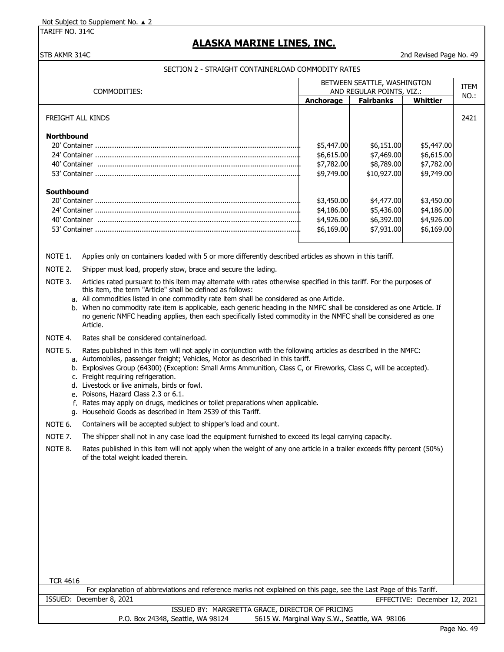TARIFF NO. 314C

## **ALASKA MARINE LINES, INC.**

#### STB AKMR 314C 2nd Revised Page No. 49

#### SECTION 2 - STRAIGHT CONTAINERLOAD COMMODITY RATES

| COMMODITIES:                                                                                                        | BETWEEN SEATTLE, WASHINGTON<br>AND REGULAR POINTS, VIZ.: |                  |            | <b>ITEM</b> |
|---------------------------------------------------------------------------------------------------------------------|----------------------------------------------------------|------------------|------------|-------------|
|                                                                                                                     | <b>Anchorage</b>                                         | <b>Fairbanks</b> | Whittier   | NO.:        |
| FREIGHT ALL KINDS                                                                                                   |                                                          |                  |            | 2421        |
| <b>Northbound</b>                                                                                                   |                                                          |                  |            |             |
|                                                                                                                     | \$5,447.00                                               | \$6,151.00       | \$5,447.00 |             |
|                                                                                                                     | \$6,615.00                                               | \$7,469.00       | \$6,615.00 |             |
|                                                                                                                     | \$7,782.00                                               | \$8,789.00       | \$7,782.00 |             |
|                                                                                                                     | \$9,749.00                                               | \$10,927.00      | \$9,749.00 |             |
| Southbound                                                                                                          |                                                          |                  |            |             |
|                                                                                                                     | \$3,450.00                                               | \$4,477.00       | \$3,450.00 |             |
|                                                                                                                     | \$4,186.00                                               | \$5,436.00       | \$4,186.00 |             |
|                                                                                                                     | \$4,926.00                                               | \$6,392.00       | \$4,926.00 |             |
|                                                                                                                     | \$6,169.00                                               | \$7,931.00       | \$6,169.00 |             |
|                                                                                                                     |                                                          |                  |            |             |
| Applies only on containers loaded with 5 or more differently described articles as shown in this tariff.<br>NOTE 1. |                                                          |                  |            |             |

NOTE 2. Shipper must load, properly stow, brace and secure the lading.

NOTE 3. Articles rated pursuant to this item may alternate with rates otherwise specified in this tariff. For the purposes of this item, the term "Article" shall be defined as follows:

a. All commodities listed in one commodity rate item shall be considered as one Article.

b. When no commodity rate item is applicable, each generic heading in the NMFC shall be considered as one Article. If no generic NMFC heading applies, then each specifically listed commodity in the NMFC shall be considered as one Article.

NOTE 4. Rates shall be considered containerload.

NOTE 5. Rates published in this item will not apply in conjunction with the following articles as described in the NMFC:

a. Automobiles, passenger freight; Vehicles, Motor as described in this tariff.

- b. Explosives Group (64300) (Exception: Small Arms Ammunition, Class C, or Fireworks, Class C, will be accepted).
- c. Freight requiring refrigeration.
- d. Livestock or live animals, birds or fowl.
- e. Poisons, Hazard Class 2.3 or 6.1.
- f. Rates may apply on drugs, medicines or toilet preparations when applicable.
- g. Household Goods as described in Item 2539 of this Tariff.
- NOTE 6. Containers will be accepted subject to shipper's load and count.
- NOTE 7. The shipper shall not in any case load the equipment furnished to exceed its legal carrying capacity.

| NOTE 8. | Rates published in this item will not apply when the weight of any one article in a trailer exceeds fifty percent (50%) |
|---------|-------------------------------------------------------------------------------------------------------------------------|
|         | of the total weight loaded therein.                                                                                     |

| TCR 4616                                                                                                           |  |
|--------------------------------------------------------------------------------------------------------------------|--|
| For explanation of abbreviations and reference marks not explained on this page, see the Last Page of this Tariff. |  |
| ISSUED: December 8, 2021<br>EFFECTIVE: December 12, 2021                                                           |  |
| ISSUED BY: MARGRETTA GRACE, DIRECTOR OF PRICING                                                                    |  |
| 5615 W. Marginal Way S.W., Seattle, WA 98106<br>P.O. Box 24348, Seattle, WA 98124                                  |  |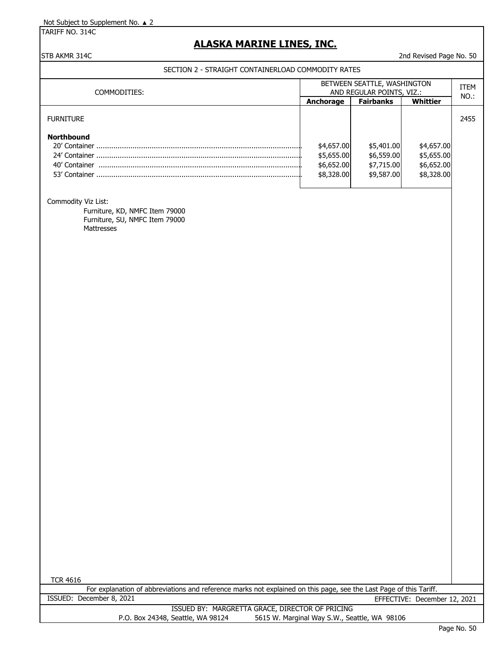TARIFF NO. 314C

## **ALASKA MARINE LINES, INC.**

### STB AKMR 314C 2nd Revised Page No. 50

SECTION 2 - STRAIGHT CONTAINERLOAD COMMODITY RATES

| COMMODITIES:                                                         | BETWEEN SEATTLE, WASHINGTON<br>AND REGULAR POINTS, VIZ.: |                                                      |                                                      | ITEM<br>NO.: |
|----------------------------------------------------------------------|----------------------------------------------------------|------------------------------------------------------|------------------------------------------------------|--------------|
|                                                                      | Anchorage                                                | <b>Fairbanks</b>                                     | Whittier                                             |              |
| <b>FURNITURE</b>                                                     |                                                          |                                                      |                                                      | 2455         |
| <b>Northbound</b><br>20' Container<br>24' Container<br>40' Container | \$4,657.00<br>\$5,655.00<br>\$6,652.00<br>\$8,328.00     | \$5,401.00<br>\$6,559.00<br>\$7,715.00<br>\$9,587.00 | \$4,657.00<br>\$5,655.00<br>\$6,652.00<br>\$8,328.00 |              |

#### Commodity Viz List:

Furniture, KD, NMFC Item 79000 Furniture, SU, NMFC Item 79000 Mattresses

For explanation of abbreviations and reference marks not explained on this page, see the Last Page of this Tariff. ISSUED: December 8, 2021 EFFECTIVE: December 12, 2021

| ISSUED BY: MARGRETTA GRACE, DIRECTOR OF PRICING |                                                                                   |
|-------------------------------------------------|-----------------------------------------------------------------------------------|
|                                                 |                                                                                   |
|                                                 |                                                                                   |
|                                                 | 5615 W. Marginal Way S.W., Seattle, WA 98106<br>P.O. Box 24348, Seattle, WA 98124 |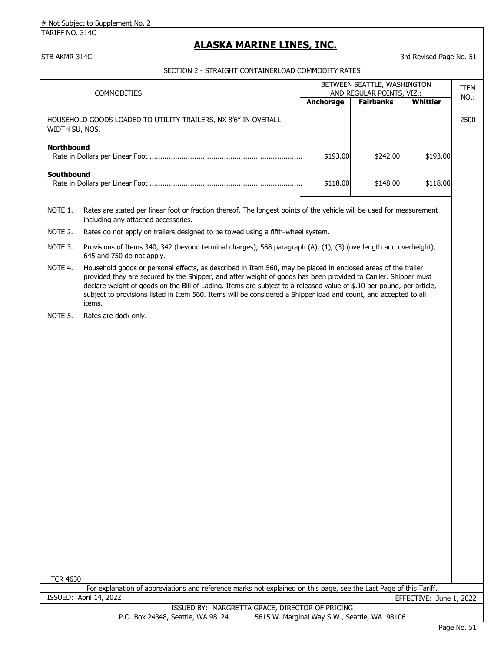TARIFF NO. 314C

## **ALASKA MARINE LINES, INC.**

#### STB AKMR 314C 3rd Revised Page No. 51

#### SECTION 2 - STRAIGHT CONTAINERLOAD COMMODITY RATES

| COMMODITIES:                                                                     | BETWEEN SEATTLE, WASHINGTON<br>AND REGULAR POINTS, VIZ.: |                  |          | <b>ITEM</b><br>NO.: |
|----------------------------------------------------------------------------------|----------------------------------------------------------|------------------|----------|---------------------|
|                                                                                  | Anchorage                                                | <b>Fairbanks</b> | Whittier |                     |
| HOUSEHOLD GOODS LOADED TO UTILITY TRAILERS, NX 8'6" IN OVERALL<br>WIDTH SU, NOS. |                                                          |                  |          | 2500                |
| <b>Northbound</b>                                                                | \$193.00                                                 | \$242,00         | \$193.00 |                     |
| Southbound                                                                       | \$118.00                                                 | \$148.00         | \$118.00 |                     |

NOTE 1. Rates are stated per linear foot or fraction thereof. The longest points of the vehicle will be used for measurement including any attached accessories.

NOTE 2. Rates do not apply on trailers designed to be towed using a fifth-wheel system.

NOTE 3. Provisions of Items 340, 342 (beyond terminal charges), 568 paragraph (A), (1), (3) (overlength and overheight), 645 and 750 do not apply.

NOTE 4. Household goods or personal effects, as described in Item 560, may be placed in enclosed areas of the trailer provided they are secured by the Shipper, and after weight of goods has been provided to Carrier. Shipper must declare weight of goods on the Bill of Lading. Items are subject to a released value of \$.10 per pound, per article, subject to provisions listed in Item 560. Items will be considered a Shipper load and count, and accepted to all items.

NOTE 5. Rates are dock only.

TCR 4630

For explanation of abbreviations and reference marks not explained on this page, see the Last Page of this Tariff. ISSUED: April 14, 2022 EFFECTIVE: June 1, 2022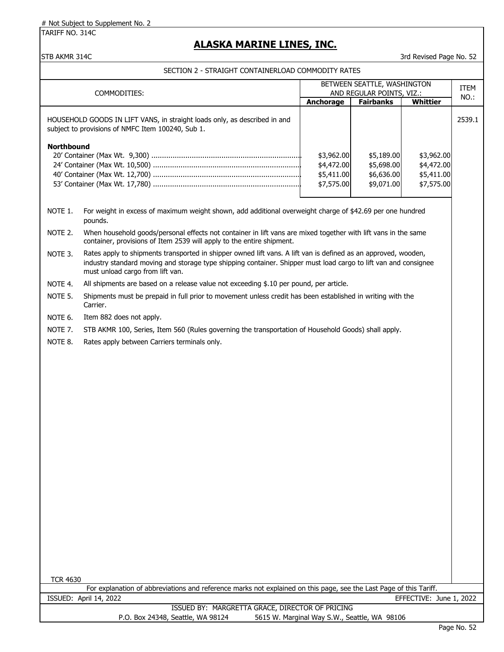TARIFF NO. 314C

# **ALASKA MARINE LINES, INC.**

STB AKMR 314C 3rd Revised Page No. 52

| BETWEEN SEATTLE, WASHINGTON<br>AND REGULAR POINTS, VIZ.: |                                                                                                                                                                                                                                                                       |                                                      | ITEM                                                 |                                                      |        |  |
|----------------------------------------------------------|-----------------------------------------------------------------------------------------------------------------------------------------------------------------------------------------------------------------------------------------------------------------------|------------------------------------------------------|------------------------------------------------------|------------------------------------------------------|--------|--|
|                                                          | COMMODITIES:                                                                                                                                                                                                                                                          | Anchorage                                            | <b>Fairbanks</b>                                     | <b>Whittier</b>                                      | NO.:   |  |
|                                                          | HOUSEHOLD GOODS IN LIFT VANS, in straight loads only, as described in and<br>subject to provisions of NMFC Item 100240, Sub 1.                                                                                                                                        |                                                      |                                                      |                                                      | 2539.1 |  |
| <b>Northbound</b>                                        |                                                                                                                                                                                                                                                                       | \$3,962.00<br>\$4,472.00<br>\$5,411.00<br>\$7,575.00 | \$5,189.00<br>\$5,698.00<br>\$6,636.00<br>\$9,071.00 | \$3,962.00<br>\$4,472.00<br>\$5,411.00<br>\$7,575.00 |        |  |
| NOTE 1.                                                  | For weight in excess of maximum weight shown, add additional overweight charge of \$42.69 per one hundred<br>pounds.                                                                                                                                                  |                                                      |                                                      |                                                      |        |  |
| NOTE 2.                                                  | When household goods/personal effects not container in lift vans are mixed together with lift vans in the same<br>container, provisions of Item 2539 will apply to the entire shipment.                                                                               |                                                      |                                                      |                                                      |        |  |
| NOTE 3.                                                  | Rates apply to shipments transported in shipper owned lift vans. A lift van is defined as an approved, wooden,<br>industry standard moving and storage type shipping container. Shipper must load cargo to lift van and consignee<br>must unload cargo from lift van. |                                                      |                                                      |                                                      |        |  |
| NOTE 4.                                                  | All shipments are based on a release value not exceeding \$.10 per pound, per article.                                                                                                                                                                                |                                                      |                                                      |                                                      |        |  |
| NOTE 5.                                                  | Shipments must be prepaid in full prior to movement unless credit has been established in writing with the<br>Carrier.                                                                                                                                                |                                                      |                                                      |                                                      |        |  |
| NOTE 6.                                                  | Item 882 does not apply.                                                                                                                                                                                                                                              |                                                      |                                                      |                                                      |        |  |
| NOTE 7.                                                  | STB AKMR 100, Series, Item 560 (Rules governing the transportation of Household Goods) shall apply.                                                                                                                                                                   |                                                      |                                                      |                                                      |        |  |
| NOTE 8.                                                  | Rates apply between Carriers terminals only.                                                                                                                                                                                                                          |                                                      |                                                      |                                                      |        |  |
|                                                          |                                                                                                                                                                                                                                                                       |                                                      |                                                      |                                                      |        |  |
|                                                          |                                                                                                                                                                                                                                                                       |                                                      |                                                      |                                                      |        |  |
| <b>TCR 4630</b>                                          |                                                                                                                                                                                                                                                                       |                                                      |                                                      |                                                      |        |  |
|                                                          | For explanation of abbreviations and reference marks not explained on this page, see the Last Page of this Tariff.                                                                                                                                                    |                                                      |                                                      |                                                      |        |  |
|                                                          | ISSUED: April 14, 2022                                                                                                                                                                                                                                                |                                                      |                                                      | EFFECTIVE: June 1, 2022                              |        |  |
|                                                          | ISSUED BY: MARGRETTA GRACE, DIRECTOR OF PRICING<br>P.O. Box 24348, Seattle, WA 98124                                                                                                                                                                                  | 5615 W. Marginal Way S.W., Seattle, WA 98106         |                                                      |                                                      |        |  |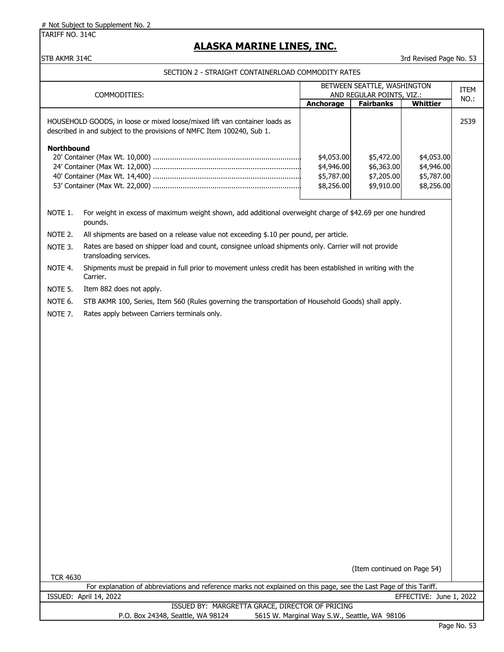TARIFF NO. 314C

# **ALASKA MARINE LINES, INC.**

### STB AKMR 314C 3rd Revised Page No. 53

|                                                                                                                                      |                                                                                                                                                      | BETWEEN SEATTLE, WASHINGTON<br>AND REGULAR POINTS, VIZ.: |                                                      |                                                      | ITEM |  |
|--------------------------------------------------------------------------------------------------------------------------------------|------------------------------------------------------------------------------------------------------------------------------------------------------|----------------------------------------------------------|------------------------------------------------------|------------------------------------------------------|------|--|
|                                                                                                                                      | COMMODITIES:                                                                                                                                         | Anchorage                                                | <b>Fairbanks</b>                                     | <b>Whittier</b>                                      | NO.: |  |
|                                                                                                                                      | HOUSEHOLD GOODS, in loose or mixed loose/mixed lift van container loads as<br>described in and subject to the provisions of NMFC Item 100240, Sub 1. |                                                          |                                                      |                                                      | 2539 |  |
| Northbound                                                                                                                           |                                                                                                                                                      | \$4,053.00<br>\$4,946.00<br>\$5,787.00<br>\$8,256.00     | \$5,472.00<br>\$6,363.00<br>\$7,205.00<br>\$9,910.00 | \$4,053.00<br>\$4,946.00<br>\$5,787.00<br>\$8,256.00 |      |  |
| NOTE 1.                                                                                                                              | For weight in excess of maximum weight shown, add additional overweight charge of \$42.69 per one hundred<br>pounds.                                 |                                                          |                                                      |                                                      |      |  |
| NOTE 2.                                                                                                                              | All shipments are based on a release value not exceeding \$.10 per pound, per article.                                                               |                                                          |                                                      |                                                      |      |  |
| NOTE 3.                                                                                                                              | Rates are based on shipper load and count, consignee unload shipments only. Carrier will not provide<br>transloading services.                       |                                                          |                                                      |                                                      |      |  |
| NOTE 4.                                                                                                                              | Shipments must be prepaid in full prior to movement unless credit has been established in writing with the<br>Carrier.                               |                                                          |                                                      |                                                      |      |  |
| NOTE 5.                                                                                                                              | Item 882 does not apply.                                                                                                                             |                                                          |                                                      |                                                      |      |  |
| NOTE 6.                                                                                                                              | STB AKMR 100, Series, Item 560 (Rules governing the transportation of Household Goods) shall apply.                                                  |                                                          |                                                      |                                                      |      |  |
| NOTE 7.                                                                                                                              | Rates apply between Carriers terminals only.                                                                                                         |                                                          |                                                      |                                                      |      |  |
|                                                                                                                                      |                                                                                                                                                      |                                                          |                                                      |                                                      |      |  |
|                                                                                                                                      |                                                                                                                                                      |                                                          |                                                      |                                                      |      |  |
|                                                                                                                                      |                                                                                                                                                      |                                                          |                                                      |                                                      |      |  |
|                                                                                                                                      |                                                                                                                                                      |                                                          |                                                      |                                                      |      |  |
|                                                                                                                                      |                                                                                                                                                      |                                                          |                                                      |                                                      |      |  |
|                                                                                                                                      |                                                                                                                                                      |                                                          |                                                      |                                                      |      |  |
|                                                                                                                                      |                                                                                                                                                      |                                                          |                                                      |                                                      |      |  |
|                                                                                                                                      |                                                                                                                                                      |                                                          |                                                      |                                                      |      |  |
|                                                                                                                                      |                                                                                                                                                      |                                                          |                                                      |                                                      |      |  |
|                                                                                                                                      |                                                                                                                                                      |                                                          |                                                      |                                                      |      |  |
|                                                                                                                                      |                                                                                                                                                      |                                                          |                                                      |                                                      |      |  |
|                                                                                                                                      |                                                                                                                                                      |                                                          |                                                      |                                                      |      |  |
|                                                                                                                                      |                                                                                                                                                      |                                                          |                                                      |                                                      |      |  |
|                                                                                                                                      |                                                                                                                                                      |                                                          |                                                      |                                                      |      |  |
|                                                                                                                                      |                                                                                                                                                      |                                                          |                                                      |                                                      |      |  |
|                                                                                                                                      |                                                                                                                                                      |                                                          |                                                      |                                                      |      |  |
|                                                                                                                                      |                                                                                                                                                      |                                                          |                                                      |                                                      |      |  |
|                                                                                                                                      |                                                                                                                                                      |                                                          |                                                      |                                                      |      |  |
|                                                                                                                                      |                                                                                                                                                      |                                                          |                                                      |                                                      |      |  |
| (Item continued on Page 54)<br><b>TCR 4630</b>                                                                                       |                                                                                                                                                      |                                                          |                                                      |                                                      |      |  |
|                                                                                                                                      | For explanation of abbreviations and reference marks not explained on this page, see the Last Page of this Tariff.                                   |                                                          |                                                      |                                                      |      |  |
|                                                                                                                                      | ISSUED: April 14, 2022                                                                                                                               |                                                          |                                                      | EFFECTIVE: June 1, 2022                              |      |  |
| ISSUED BY: MARGRETTA GRACE, DIRECTOR OF PRICING<br>5615 W. Marginal Way S.W., Seattle, WA 98106<br>P.O. Box 24348, Seattle, WA 98124 |                                                                                                                                                      |                                                          |                                                      |                                                      |      |  |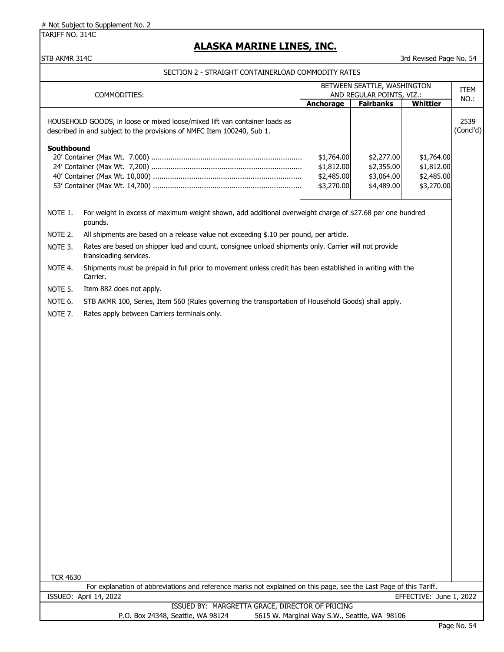TARIFF NO. 314C

# **ALASKA MARINE LINES, INC.**

### STB AKMR 314C 3rd Revised Page No. 54

| BETWEEN SEATTLE, WASHINGTON                                                                         |                                                                                                                                                      |                                                      |                  |                         |                   |  |
|-----------------------------------------------------------------------------------------------------|------------------------------------------------------------------------------------------------------------------------------------------------------|------------------------------------------------------|------------------|-------------------------|-------------------|--|
| AND REGULAR POINTS, VIZ.:<br>COMMODITIES:                                                           |                                                                                                                                                      |                                                      |                  | <b>ITEM</b>             |                   |  |
|                                                                                                     |                                                                                                                                                      | <b>Anchorage</b>                                     | <b>Fairbanks</b> | <b>Whittier</b>         | NO.:              |  |
|                                                                                                     | HOUSEHOLD GOODS, in loose or mixed loose/mixed lift van container loads as<br>described in and subject to the provisions of NMFC Item 100240, Sub 1. |                                                      |                  |                         | 2539<br>(Concl'd) |  |
| Southbound                                                                                          | \$2,277.00<br>\$2,355.00<br>\$3,064.00<br>\$4,489.00                                                                                                 | \$1,764.00<br>\$1,812.00<br>\$2,485.00<br>\$3,270.00 |                  |                         |                   |  |
| NOTE 1.                                                                                             | For weight in excess of maximum weight shown, add additional overweight charge of \$27.68 per one hundred<br>pounds.                                 |                                                      |                  |                         |                   |  |
| NOTE 2.                                                                                             | All shipments are based on a release value not exceeding \$.10 per pound, per article.                                                               |                                                      |                  |                         |                   |  |
| NOTE 3.                                                                                             | Rates are based on shipper load and count, consignee unload shipments only. Carrier will not provide<br>transloading services.                       |                                                      |                  |                         |                   |  |
| NOTE 4.                                                                                             | Shipments must be prepaid in full prior to movement unless credit has been established in writing with the<br>Carrier.                               |                                                      |                  |                         |                   |  |
| NOTE 5.                                                                                             | Item 882 does not apply.                                                                                                                             |                                                      |                  |                         |                   |  |
| NOTE 6.                                                                                             |                                                                                                                                                      |                                                      |                  |                         |                   |  |
| NOTE <sub>7</sub> .                                                                                 | Rates apply between Carriers terminals only.                                                                                                         |                                                      |                  |                         |                   |  |
| STB AKMR 100, Series, Item 560 (Rules governing the transportation of Household Goods) shall apply. |                                                                                                                                                      |                                                      |                  |                         |                   |  |
| <b>TCR 4630</b>                                                                                     | For explanation of abbreviations and reference marks not explained on this page, see the Last Page of this Tariff.                                   |                                                      |                  |                         |                   |  |
|                                                                                                     | ISSUED: April 14, 2022                                                                                                                               |                                                      |                  | EFFECTIVE: June 1, 2022 |                   |  |
|                                                                                                     | ISSUED BY: MARGRETTA GRACE, DIRECTOR OF PRICING                                                                                                      |                                                      |                  |                         |                   |  |
|                                                                                                     | P.O. Box 24348, Seattle, WA 98124                                                                                                                    | 5615 W. Marginal Way S.W., Seattle, WA 98106         |                  |                         |                   |  |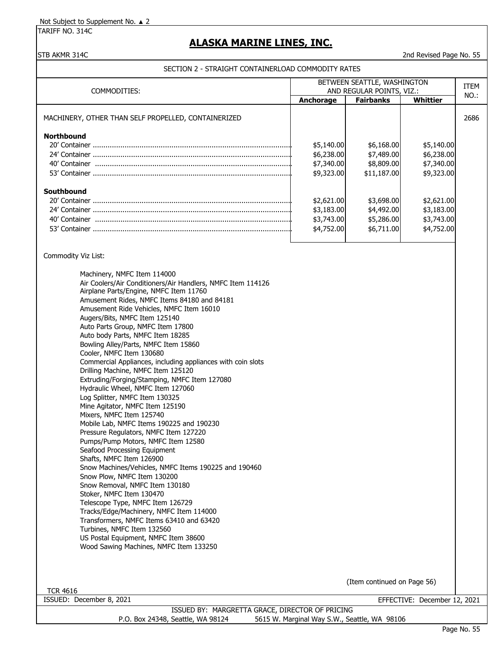TARIFF NO. 314C

# **ALASKA MARINE LINES, INC.**

### STB AKMR 314C 2nd Revised Page No. 55

| BETWEEN SEATTLE, WASHINGTON<br>COMMODITIES:<br>AND REGULAR POINTS, VIZ.:                                                                                                                                                                                                                                                                                                                                                                                                                                                                                                                                                                                                                                                                                                                                                                                                                                                                                                                                                                                                                                                                                                                                                                                                                        |                                                      |                                                       | ITEM                                                 |      |
|-------------------------------------------------------------------------------------------------------------------------------------------------------------------------------------------------------------------------------------------------------------------------------------------------------------------------------------------------------------------------------------------------------------------------------------------------------------------------------------------------------------------------------------------------------------------------------------------------------------------------------------------------------------------------------------------------------------------------------------------------------------------------------------------------------------------------------------------------------------------------------------------------------------------------------------------------------------------------------------------------------------------------------------------------------------------------------------------------------------------------------------------------------------------------------------------------------------------------------------------------------------------------------------------------|------------------------------------------------------|-------------------------------------------------------|------------------------------------------------------|------|
|                                                                                                                                                                                                                                                                                                                                                                                                                                                                                                                                                                                                                                                                                                                                                                                                                                                                                                                                                                                                                                                                                                                                                                                                                                                                                                 | Anchorage                                            | <b>Fairbanks</b>                                      | Whittier                                             | NO.: |
| MACHINERY, OTHER THAN SELF PROPELLED, CONTAINERIZED                                                                                                                                                                                                                                                                                                                                                                                                                                                                                                                                                                                                                                                                                                                                                                                                                                                                                                                                                                                                                                                                                                                                                                                                                                             |                                                      |                                                       |                                                      | 2686 |
| <b>Northbound</b>                                                                                                                                                                                                                                                                                                                                                                                                                                                                                                                                                                                                                                                                                                                                                                                                                                                                                                                                                                                                                                                                                                                                                                                                                                                                               | \$5,140.00<br>\$6,238.00<br>\$7,340.00<br>\$9,323.00 | \$6,168.00<br>\$7,489.00<br>\$8,809.00<br>\$11,187.00 | \$5,140.00<br>\$6,238.00<br>\$7,340.00<br>\$9,323.00 |      |
| Southbound                                                                                                                                                                                                                                                                                                                                                                                                                                                                                                                                                                                                                                                                                                                                                                                                                                                                                                                                                                                                                                                                                                                                                                                                                                                                                      | \$2,621.00<br>\$3,183.00<br>\$3,743.00<br>\$4,752.00 | \$3,698.00<br>\$4,492.00<br>\$5,286.00<br>\$6,711.00  | \$2,621.00<br>\$3,183.00<br>\$3,743.00<br>\$4,752.00 |      |
| Commodity Viz List:                                                                                                                                                                                                                                                                                                                                                                                                                                                                                                                                                                                                                                                                                                                                                                                                                                                                                                                                                                                                                                                                                                                                                                                                                                                                             |                                                      |                                                       |                                                      |      |
| Machinery, NMFC Item 114000<br>Air Coolers/Air Conditioners/Air Handlers, NMFC Item 114126<br>Airplane Parts/Engine, NMFC Item 11760<br>Amusement Rides, NMFC Items 84180 and 84181<br>Amusement Ride Vehicles, NMFC Item 16010<br>Augers/Bits, NMFC Item 125140<br>Auto Parts Group, NMFC Item 17800<br>Auto body Parts, NMFC Item 18285<br>Bowling Alley/Parts, NMFC Item 15860<br>Cooler, NMFC Item 130680<br>Commercial Appliances, including appliances with coin slots<br>Drilling Machine, NMFC Item 125120<br>Extruding/Forging/Stamping, NMFC Item 127080<br>Hydraulic Wheel, NMFC Item 127060<br>Log Splitter, NMFC Item 130325<br>Mine Agitator, NMFC Item 125190<br>Mixers, NMFC Item 125740<br>Mobile Lab, NMFC Items 190225 and 190230<br>Pressure Regulators, NMFC Item 127220<br>Pumps/Pump Motors, NMFC Item 12580<br>Seafood Processing Equipment<br>Shafts, NMFC Item 126900<br>Snow Machines/Vehicles, NMFC Items 190225 and 190460<br>Snow Plow, NMFC Item 130200<br>Snow Removal, NMFC Item 130180<br>Stoker, NMFC Item 130470<br>Telescope Type, NMFC Item 126729<br>Tracks/Edge/Machinery, NMFC Item 114000<br>Transformers, NMFC Items 63410 and 63420<br>Turbines, NMFC Item 132560<br>US Postal Equipment, NMFC Item 38600<br>Wood Sawing Machines, NMFC Item 133250 |                                                      | (Item continued on Page 56)                           |                                                      |      |
| <b>TCR 4616</b>                                                                                                                                                                                                                                                                                                                                                                                                                                                                                                                                                                                                                                                                                                                                                                                                                                                                                                                                                                                                                                                                                                                                                                                                                                                                                 |                                                      |                                                       |                                                      |      |
| ISSUED: December 8, 2021<br>ICCLIED BY: MADCDETTA CDACE DIDECTOD OF DDICING                                                                                                                                                                                                                                                                                                                                                                                                                                                                                                                                                                                                                                                                                                                                                                                                                                                                                                                                                                                                                                                                                                                                                                                                                     |                                                      |                                                       | EFFECTIVE: December 12, 2021                         |      |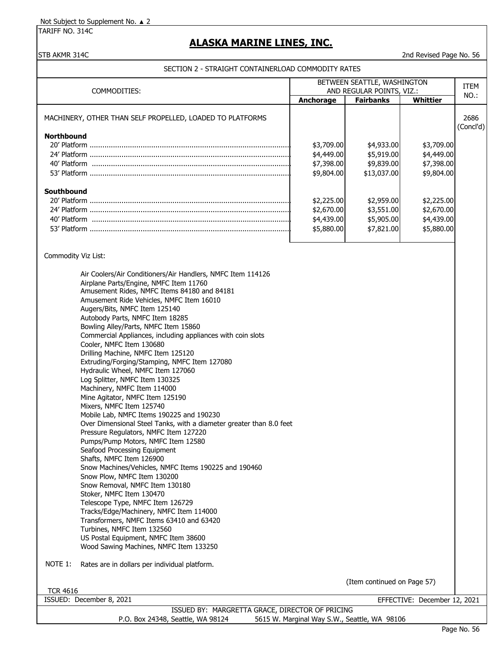TARIFF NO. 314C

# **ALASKA MARINE LINES, INC.**

### STB AKMR 314C 2nd Revised Page No. 56

| BETWEEN SEATTLE, WASHINGTON                                                                                                                                                                                                                                                                                                                                                                                                                                                                                                                                                                                                                                                                                                                                                                                                                                                                                                                                                                                                                                                                                                                                                                 |                                                                                                              | ITEM                                                                                                          |                                                                                                              |                   |
|---------------------------------------------------------------------------------------------------------------------------------------------------------------------------------------------------------------------------------------------------------------------------------------------------------------------------------------------------------------------------------------------------------------------------------------------------------------------------------------------------------------------------------------------------------------------------------------------------------------------------------------------------------------------------------------------------------------------------------------------------------------------------------------------------------------------------------------------------------------------------------------------------------------------------------------------------------------------------------------------------------------------------------------------------------------------------------------------------------------------------------------------------------------------------------------------|--------------------------------------------------------------------------------------------------------------|---------------------------------------------------------------------------------------------------------------|--------------------------------------------------------------------------------------------------------------|-------------------|
| COMMODITIES:                                                                                                                                                                                                                                                                                                                                                                                                                                                                                                                                                                                                                                                                                                                                                                                                                                                                                                                                                                                                                                                                                                                                                                                | Anchorage                                                                                                    | AND REGULAR POINTS, VIZ.:<br><b>Fairbanks</b>                                                                 | <b>Whittier</b>                                                                                              | NO.:              |
| MACHINERY, OTHER THAN SELF PROPELLED, LOADED TO PLATFORMS<br><b>Northbound</b><br>Southbound                                                                                                                                                                                                                                                                                                                                                                                                                                                                                                                                                                                                                                                                                                                                                                                                                                                                                                                                                                                                                                                                                                | \$3,709.00<br>\$4,449.00<br>\$7,398.00<br>\$9,804.00<br>\$2,225.00<br>\$2,670.00<br>\$4,439.00<br>\$5,880.00 | \$4,933.00<br>\$5,919.00<br>\$9,839.00<br>\$13,037.00<br>\$2,959.00<br>\$3,551.00<br>\$5,905.00<br>\$7,821.00 | \$3,709.00<br>\$4,449.00<br>\$7,398.00<br>\$9,804.00<br>\$2,225.00<br>\$2,670.00<br>\$4,439.00<br>\$5,880.00 | 2686<br>(Concl'd) |
| Commodity Viz List:<br>Air Coolers/Air Conditioners/Air Handlers, NMFC Item 114126<br>Airplane Parts/Engine, NMFC Item 11760<br>Amusement Rides, NMFC Items 84180 and 84181<br>Amusement Ride Vehicles, NMFC Item 16010<br>Augers/Bits, NMFC Item 125140<br>Autobody Parts, NMFC Item 18285<br>Bowling Alley/Parts, NMFC Item 15860<br>Commercial Appliances, including appliances with coin slots<br>Cooler, NMFC Item 130680<br>Drilling Machine, NMFC Item 125120<br>Extruding/Forging/Stamping, NMFC Item 127080<br>Hydraulic Wheel, NMFC Item 127060<br>Log Splitter, NMFC Item 130325<br>Machinery, NMFC Item 114000<br>Mine Agitator, NMFC Item 125190<br>Mixers, NMFC Item 125740<br>Mobile Lab, NMFC Items 190225 and 190230<br>Over Dimensional Steel Tanks, with a diameter greater than 8.0 feet<br>Pressure Regulators, NMFC Item 127220<br>Pumps/Pump Motors, NMFC Item 12580<br>Seafood Processing Equipment<br>Shafts, NMFC Item 126900<br>Snow Machines/Vehicles, NMFC Items 190225 and 190460<br>Snow Plow, NMFC Item 130200<br>Snow Removal, NMFC Item 130180<br>Stoker, NMFC Item 130470<br>Telescope Type, NMFC Item 126729<br>Tracks/Edge/Machinery, NMFC Item 114000 |                                                                                                              |                                                                                                               |                                                                                                              |                   |
| Transformers, NMFC Items 63410 and 63420<br>Turbines, NMFC Item 132560<br>US Postal Equipment, NMFC Item 38600<br>Wood Sawing Machines, NMFC Item 133250<br>NOTE 1:<br>Rates are in dollars per individual platform.<br><b>TCR 4616</b>                                                                                                                                                                                                                                                                                                                                                                                                                                                                                                                                                                                                                                                                                                                                                                                                                                                                                                                                                     |                                                                                                              | (Item continued on Page 57)                                                                                   |                                                                                                              |                   |
| ISSUED: December 8, 2021                                                                                                                                                                                                                                                                                                                                                                                                                                                                                                                                                                                                                                                                                                                                                                                                                                                                                                                                                                                                                                                                                                                                                                    |                                                                                                              |                                                                                                               | EFFECTIVE: December 12, 2021                                                                                 |                   |
| ISSUED BY: MARGRETTA GRACE, DIRECTOR OF PRICING<br>P.O. Box 24348, Seattle, WA 98124                                                                                                                                                                                                                                                                                                                                                                                                                                                                                                                                                                                                                                                                                                                                                                                                                                                                                                                                                                                                                                                                                                        | 5615 W. Marginal Way S.W., Seattle, WA 98106                                                                 |                                                                                                               |                                                                                                              |                   |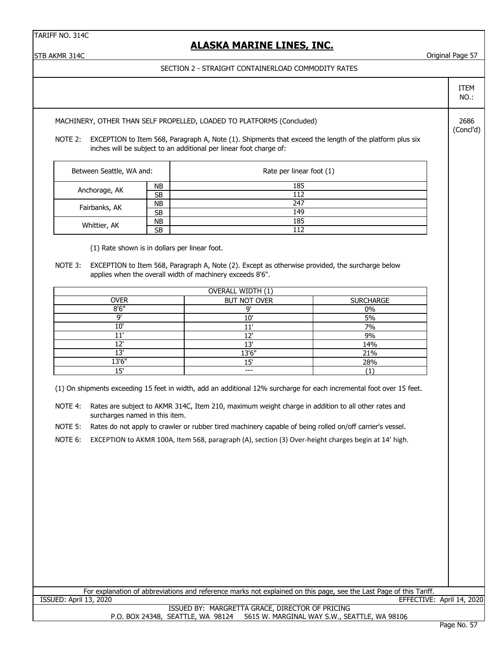TARIFF NO. 314C

## **ALASKA MARINE LINES, INC.**

STB AKMR 314C Original Page 57

### SECTION 2 - STRAIGHT CONTAINERLOAD COMMODITY RATES

NO.:

ITEM

(Concl'd)

MACHINERY, OTHER THAN SELF PROPELLED, LOADED TO PLATFORMS (Concluded) 2686

NOTE 2: EXCEPTION to Item 568, Paragraph A, Note (1). Shipments that exceed the length of the platform plus six inches will be subject to an additional per linear foot charge of:

| Between Seattle, WA and: |           | Rate per linear foot (1) |
|--------------------------|-----------|--------------------------|
| Anchorage, AK            | NΒ        | 185                      |
|                          | SB        | 112                      |
| Fairbanks, AK            | NΒ        | 247                      |
|                          | SB        | 149                      |
| Whittier, AK             | <b>NB</b> | 185                      |
|                          | SB        | 112                      |

(1) Rate shown is in dollars per linear foot.

NOTE 3: EXCEPTION to Item 568, Paragraph A, Note (2). Except as otherwise provided, the surcharge below applies when the overall width of machinery exceeds 8'6".

| OVERALL WIDTH (1) |                     |                  |  |  |  |  |
|-------------------|---------------------|------------------|--|--|--|--|
| <b>OVER</b>       | <b>BUT NOT OVER</b> | <b>SURCHARGE</b> |  |  |  |  |
| 8'6''             | $\Omega$            | 0%               |  |  |  |  |
| יח                | $10^{\circ}$        | 5%               |  |  |  |  |
| 10'               | 111                 | 7%               |  |  |  |  |
| 111               | רו                  | 9%               |  |  |  |  |
| ורי               | ירי                 | 14%              |  |  |  |  |
| ור ו              | 13'6"               | 21%              |  |  |  |  |
| 13'6"             | 15'                 | 28%              |  |  |  |  |
| ים 1              | ---                 |                  |  |  |  |  |

(1) On shipments exceeding 15 feet in width, add an additional 12% surcharge for each incremental foot over 15 feet.

NOTE 4: Rates are subject to AKMR 314C, Item 210, maximum weight charge in addition to all other rates and surcharges named in this item.

NOTE 5: Rates do not apply to crawler or rubber tired machinery capable of being rolled on/off carrier's vessel.

NOTE 6: EXCEPTION to AKMR 100A, Item 568, paragraph (A), section (3) Over-height charges begin at 14' high.

| For explanation of abbreviations and reference marks not explained on this page, see the Last Page of this Tariff. |  |
|--------------------------------------------------------------------------------------------------------------------|--|
| EFFECTIVE: April 14, 2020<br>ISSUED: April 13, 2020                                                                |  |
| ISSUED BY: MARGRETTA GRACE, DIRECTOR OF PRICING                                                                    |  |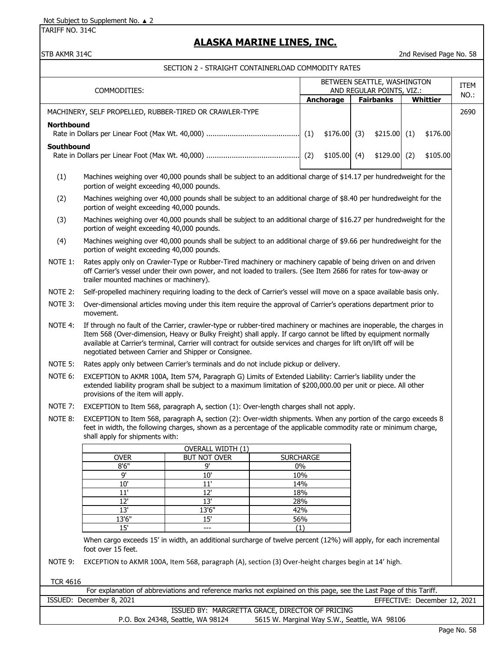TARIFF NO. 314C

# **ALASKA MARINE LINES, INC.**

STB AKMR 314C 2nd Revised Page No. 58

| BETWEEN SEATTLE, WASHINGTON<br>AND REGULAR POINTS, VIZ.:<br>COMMODITIES:                                                                       |                                                                                                                                                                                                                                                                                                                                                                                                                         |                                                                                                                                                                                                                                   |                                              |            |               |  | ITEM             |  |                              |      |
|------------------------------------------------------------------------------------------------------------------------------------------------|-------------------------------------------------------------------------------------------------------------------------------------------------------------------------------------------------------------------------------------------------------------------------------------------------------------------------------------------------------------------------------------------------------------------------|-----------------------------------------------------------------------------------------------------------------------------------------------------------------------------------------------------------------------------------|----------------------------------------------|------------|---------------|--|------------------|--|------------------------------|------|
|                                                                                                                                                |                                                                                                                                                                                                                                                                                                                                                                                                                         |                                                                                                                                                                                                                                   |                                              |            | Anchorage     |  | <b>Fairbanks</b> |  | <b>Whittier</b>              | NO.: |
|                                                                                                                                                | MACHINERY, SELF PROPELLED, RUBBER-TIRED OR CRAWLER-TYPE                                                                                                                                                                                                                                                                                                                                                                 |                                                                                                                                                                                                                                   |                                              |            |               |  |                  |  |                              | 2690 |
| <b>Northbound</b>                                                                                                                              |                                                                                                                                                                                                                                                                                                                                                                                                                         |                                                                                                                                                                                                                                   |                                              |            |               |  |                  |  |                              |      |
|                                                                                                                                                |                                                                                                                                                                                                                                                                                                                                                                                                                         |                                                                                                                                                                                                                                   |                                              |            | \$176.00(3)   |  | $$215.00$ (1)    |  | \$176.00                     |      |
| Southbound                                                                                                                                     |                                                                                                                                                                                                                                                                                                                                                                                                                         |                                                                                                                                                                                                                                   |                                              |            | $$105.00$ (4) |  | $$129.00$ (2)    |  | \$105.00                     |      |
|                                                                                                                                                |                                                                                                                                                                                                                                                                                                                                                                                                                         |                                                                                                                                                                                                                                   |                                              |            |               |  |                  |  |                              |      |
| (1)                                                                                                                                            | Machines weighing over 40,000 pounds shall be subject to an additional charge of \$14.17 per hundredweight for the<br>portion of weight exceeding 40,000 pounds.                                                                                                                                                                                                                                                        |                                                                                                                                                                                                                                   |                                              |            |               |  |                  |  |                              |      |
| (2)                                                                                                                                            | Machines weighing over 40,000 pounds shall be subject to an additional charge of \$8.40 per hundredweight for the<br>portion of weight exceeding 40,000 pounds.                                                                                                                                                                                                                                                         |                                                                                                                                                                                                                                   |                                              |            |               |  |                  |  |                              |      |
| (3)                                                                                                                                            | portion of weight exceeding 40,000 pounds.                                                                                                                                                                                                                                                                                                                                                                              | Machines weighing over 40,000 pounds shall be subject to an additional charge of \$16.27 per hundredweight for the                                                                                                                |                                              |            |               |  |                  |  |                              |      |
| (4)                                                                                                                                            | portion of weight exceeding 40,000 pounds.                                                                                                                                                                                                                                                                                                                                                                              | Machines weighing over 40,000 pounds shall be subject to an additional charge of \$9.66 per hundredweight for the                                                                                                                 |                                              |            |               |  |                  |  |                              |      |
| NOTE 1:                                                                                                                                        | trailer mounted machines or machinery).                                                                                                                                                                                                                                                                                                                                                                                 | Rates apply only on Crawler-Type or Rubber-Tired machinery or machinery capable of being driven on and driven<br>off Carrier's vessel under their own power, and not loaded to trailers. (See Item 2686 for rates for tow-away or |                                              |            |               |  |                  |  |                              |      |
| NOTE 2:                                                                                                                                        |                                                                                                                                                                                                                                                                                                                                                                                                                         | Self-propelled machinery requiring loading to the deck of Carrier's vessel will move on a space available basis only.                                                                                                             |                                              |            |               |  |                  |  |                              |      |
| NOTE 3:                                                                                                                                        | movement.                                                                                                                                                                                                                                                                                                                                                                                                               | Over-dimensional articles moving under this item require the approval of Carrier's operations department prior to                                                                                                                 |                                              |            |               |  |                  |  |                              |      |
| NOTE 4:                                                                                                                                        | If through no fault of the Carrier, crawler-type or rubber-tired machinery or machines are inoperable, the charges in<br>Item 568 (Over-dimension, Heavy or Bulky Freight) shall apply. If cargo cannot be lifted by equipment normally<br>available at Carrier's terminal, Carrier will contract for outside services and charges for lift on/lift off will be<br>negotiated between Carrier and Shipper or Consignee. |                                                                                                                                                                                                                                   |                                              |            |               |  |                  |  |                              |      |
| NOTE 5:                                                                                                                                        |                                                                                                                                                                                                                                                                                                                                                                                                                         | Rates apply only between Carrier's terminals and do not include pickup or delivery.                                                                                                                                               |                                              |            |               |  |                  |  |                              |      |
| NOTE 6:                                                                                                                                        | provisions of the item will apply.                                                                                                                                                                                                                                                                                                                                                                                      | EXCEPTION to AKMR 100A, Item 574, Paragraph G) Limits of Extended Liability: Carrier's liability under the<br>extended liability program shall be subject to a maximum limitation of \$200,000.00 per unit or piece. All other    |                                              |            |               |  |                  |  |                              |      |
| NOTE 7:                                                                                                                                        |                                                                                                                                                                                                                                                                                                                                                                                                                         | EXCEPTION to Item 568, paragraph A, section (1): Over-length charges shall not apply.                                                                                                                                             |                                              |            |               |  |                  |  |                              |      |
| NOTE 8:                                                                                                                                        | shall apply for shipments with:                                                                                                                                                                                                                                                                                                                                                                                         | EXCEPTION to Item 568, paragraph A, section (2): Over-width shipments. When any portion of the cargo exceeds 8<br>feet in width, the following charges, shown as a percentage of the applicable commodity rate or minimum charge, |                                              |            |               |  |                  |  |                              |      |
|                                                                                                                                                |                                                                                                                                                                                                                                                                                                                                                                                                                         | OVERALL WIDTH (1)                                                                                                                                                                                                                 |                                              |            |               |  |                  |  |                              |      |
|                                                                                                                                                | <b>OVER</b><br>8'6''                                                                                                                                                                                                                                                                                                                                                                                                    | <b>BUT NOT OVER</b><br>9'                                                                                                                                                                                                         | <b>SURCHARGE</b>                             | 0%         |               |  |                  |  |                              |      |
|                                                                                                                                                | 9'                                                                                                                                                                                                                                                                                                                                                                                                                      | 10'                                                                                                                                                                                                                               |                                              | 10%        |               |  |                  |  |                              |      |
|                                                                                                                                                | 10'                                                                                                                                                                                                                                                                                                                                                                                                                     | $11'$                                                                                                                                                                                                                             | 14%                                          |            |               |  |                  |  |                              |      |
|                                                                                                                                                | 11'                                                                                                                                                                                                                                                                                                                                                                                                                     | 12'                                                                                                                                                                                                                               |                                              | 18%        |               |  |                  |  |                              |      |
|                                                                                                                                                | 12'<br>13'                                                                                                                                                                                                                                                                                                                                                                                                              | 13'<br>13'6"                                                                                                                                                                                                                      |                                              | 28%<br>42% |               |  |                  |  |                              |      |
|                                                                                                                                                | 13'6"                                                                                                                                                                                                                                                                                                                                                                                                                   | 15'                                                                                                                                                                                                                               |                                              | 56%        |               |  |                  |  |                              |      |
|                                                                                                                                                | 15'                                                                                                                                                                                                                                                                                                                                                                                                                     | ---                                                                                                                                                                                                                               |                                              |            |               |  |                  |  |                              |      |
| (1)<br>When cargo exceeds 15' in width, an additional surcharge of twelve percent (12%) will apply, for each incremental<br>foot over 15 feet. |                                                                                                                                                                                                                                                                                                                                                                                                                         |                                                                                                                                                                                                                                   |                                              |            |               |  |                  |  |                              |      |
| NOTE 9:<br>EXCEPTION to AKMR 100A, Item 568, paragraph (A), section (3) Over-height charges begin at 14' high.                                 |                                                                                                                                                                                                                                                                                                                                                                                                                         |                                                                                                                                                                                                                                   |                                              |            |               |  |                  |  |                              |      |
| <b>TCR 4616</b>                                                                                                                                |                                                                                                                                                                                                                                                                                                                                                                                                                         |                                                                                                                                                                                                                                   |                                              |            |               |  |                  |  |                              |      |
|                                                                                                                                                |                                                                                                                                                                                                                                                                                                                                                                                                                         | For explanation of abbreviations and reference marks not explained on this page, see the Last Page of this Tariff.                                                                                                                |                                              |            |               |  |                  |  |                              |      |
|                                                                                                                                                | ISSUED: December 8, 2021                                                                                                                                                                                                                                                                                                                                                                                                |                                                                                                                                                                                                                                   |                                              |            |               |  |                  |  | EFFECTIVE: December 12, 2021 |      |
|                                                                                                                                                |                                                                                                                                                                                                                                                                                                                                                                                                                         | ISSUED BY: MARGRETTA GRACE, DIRECTOR OF PRICING<br>P.O. Box 24348, Seattle, WA 98124                                                                                                                                              | 5615 W. Marginal Way S.W., Seattle, WA 98106 |            |               |  |                  |  |                              |      |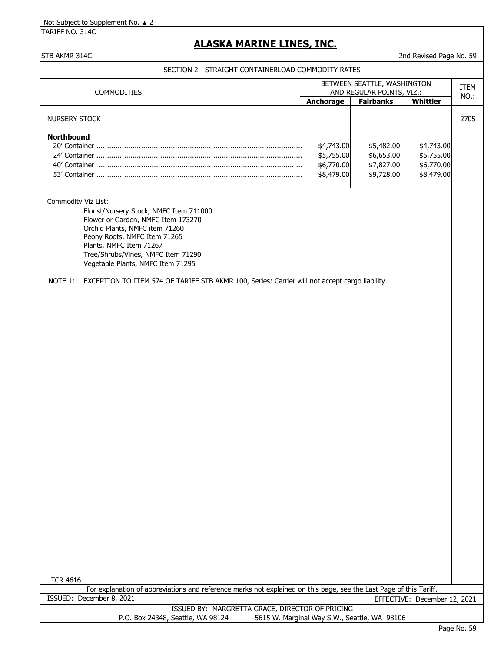TARIFF NO. 314C

# **ALASKA MARINE LINES, INC.**

STB AKMR 314C 2nd Revised Page No. 59

| COMMODITIES:                                                                                                                                                                                                                                                                 | BETWEEN SEATTLE, WASHINGTON<br>ITEM                  |                                                      |                                                      | AND REGULAR POINTS, VIZ.: |  |  |  |
|------------------------------------------------------------------------------------------------------------------------------------------------------------------------------------------------------------------------------------------------------------------------------|------------------------------------------------------|------------------------------------------------------|------------------------------------------------------|---------------------------|--|--|--|
|                                                                                                                                                                                                                                                                              | Anchorage                                            | <b>Fairbanks</b>                                     | Whittier                                             | NO.:                      |  |  |  |
| <b>NURSERY STOCK</b>                                                                                                                                                                                                                                                         |                                                      |                                                      |                                                      | 2705                      |  |  |  |
| <b>Northbound</b>                                                                                                                                                                                                                                                            | \$4,743.00<br>\$5,755.00<br>\$6,770.00<br>\$8,479.00 | \$5,482.00<br>\$6,653.00<br>\$7,827.00<br>\$9,728.00 | \$4,743.00<br>\$5,755.00<br>\$6,770.00<br>\$8,479.00 |                           |  |  |  |
| Commodity Viz List:<br>Florist/Nursery Stock, NMFC Item 711000<br>Flower or Garden, NMFC Item 173270<br>Orchid Plants, NMFC item 71260<br>Peony Roots, NMFC Item 71265<br>Plants, NMFC Item 71267<br>Tree/Shrubs/Vines, NMFC Item 71290<br>Vegetable Plants, NMFC Item 71295 |                                                      |                                                      |                                                      |                           |  |  |  |
| EXCEPTION TO ITEM 574 OF TARIFF STB AKMR 100, Series: Carrier will not accept cargo liability.<br>NOTE 1:                                                                                                                                                                    |                                                      |                                                      |                                                      |                           |  |  |  |
|                                                                                                                                                                                                                                                                              |                                                      |                                                      |                                                      |                           |  |  |  |
|                                                                                                                                                                                                                                                                              |                                                      |                                                      |                                                      |                           |  |  |  |
|                                                                                                                                                                                                                                                                              |                                                      |                                                      |                                                      |                           |  |  |  |
|                                                                                                                                                                                                                                                                              |                                                      |                                                      |                                                      |                           |  |  |  |
|                                                                                                                                                                                                                                                                              |                                                      |                                                      |                                                      |                           |  |  |  |
|                                                                                                                                                                                                                                                                              |                                                      |                                                      |                                                      |                           |  |  |  |
|                                                                                                                                                                                                                                                                              |                                                      |                                                      |                                                      |                           |  |  |  |
|                                                                                                                                                                                                                                                                              |                                                      |                                                      |                                                      |                           |  |  |  |
|                                                                                                                                                                                                                                                                              |                                                      |                                                      |                                                      |                           |  |  |  |
|                                                                                                                                                                                                                                                                              |                                                      |                                                      |                                                      |                           |  |  |  |
|                                                                                                                                                                                                                                                                              |                                                      |                                                      |                                                      |                           |  |  |  |
|                                                                                                                                                                                                                                                                              |                                                      |                                                      |                                                      |                           |  |  |  |
|                                                                                                                                                                                                                                                                              |                                                      |                                                      |                                                      |                           |  |  |  |
|                                                                                                                                                                                                                                                                              |                                                      |                                                      |                                                      |                           |  |  |  |
|                                                                                                                                                                                                                                                                              |                                                      |                                                      |                                                      |                           |  |  |  |
|                                                                                                                                                                                                                                                                              |                                                      |                                                      |                                                      |                           |  |  |  |
| <b>TCR 4616</b>                                                                                                                                                                                                                                                              |                                                      |                                                      |                                                      |                           |  |  |  |
| For explanation of abbreviations and reference marks not explained on this page, see the Last Page of this Tariff.                                                                                                                                                           |                                                      |                                                      |                                                      |                           |  |  |  |
| ISSUED: December 8, 2021<br>ISSUED BY: MARGRETTA GRACE, DIRECTOR OF PRICING                                                                                                                                                                                                  |                                                      |                                                      | EFFECTIVE: December 12, 2021                         |                           |  |  |  |
| P.O. Box 24348, Seattle, WA 98124                                                                                                                                                                                                                                            | 5615 W. Marginal Way S.W., Seattle, WA 98106         |                                                      |                                                      |                           |  |  |  |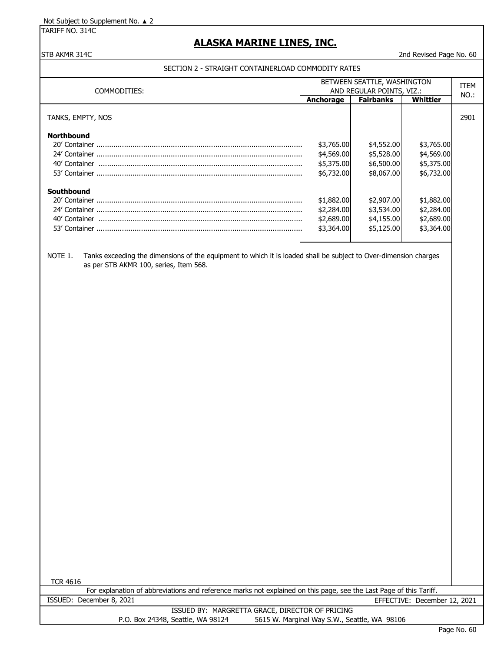TARIFF NO. 314C

## **ALASKA MARINE LINES, INC.**

#### STB AKMR 314C 2nd Revised Page No. 60

### SECTION 2 - STRAIGHT CONTAINERLOAD COMMODITY RATES

| COMMODITIES:      | BETWEEN SEATTLE, WASHINGTON<br>AND REGULAR POINTS, VIZ.: | <b>ITEM</b><br>NO.: |            |      |
|-------------------|----------------------------------------------------------|---------------------|------------|------|
|                   | Anchorage                                                | <b>Fairbanks</b>    | Whittier   |      |
| TANKS, EMPTY, NOS |                                                          |                     |            | 2901 |
| <b>Northbound</b> |                                                          |                     |            |      |
|                   | \$3,765.00                                               | \$4,552.00          | \$3,765.00 |      |
|                   | \$4,569.00                                               | \$5,528.00          | \$4,569.00 |      |
| 40' Container     | \$5,375.00                                               | \$6,500.00          | \$5,375.00 |      |
|                   | \$6,732,00                                               | \$8,067.00          | \$6,732,00 |      |
| Southbound        |                                                          |                     |            |      |
|                   | \$1,882.00                                               | \$2,907.00          | \$1,882.00 |      |
|                   | \$2,284.00                                               | \$3,534.00          | \$2,284.00 |      |
| 40' Container     | \$2,689.00                                               | \$4,155.00          | \$2,689.00 |      |
| 53' Container     | \$3,364.00                                               | \$5,125.00          | \$3,364.00 |      |

NOTE 1. Tanks exceeding the dimensions of the equipment to which it is loaded shall be subject to Over-dimension charges as per STB AKMR 100, series, Item 568.

TCR 4616

For explanation of abbreviations and reference marks not explained on this page, see the Last Page of this Tariff. ISSUED: December 8, 2021 EFFECTIVE: December 12, 2021 ISSUED BY: MARGRETTA GRACE, DIRECTOR OF PRICING P.O. Box 24348, Seattle, WA 98124 5615 W. Marginal Way S.W., Seattle, WA 98106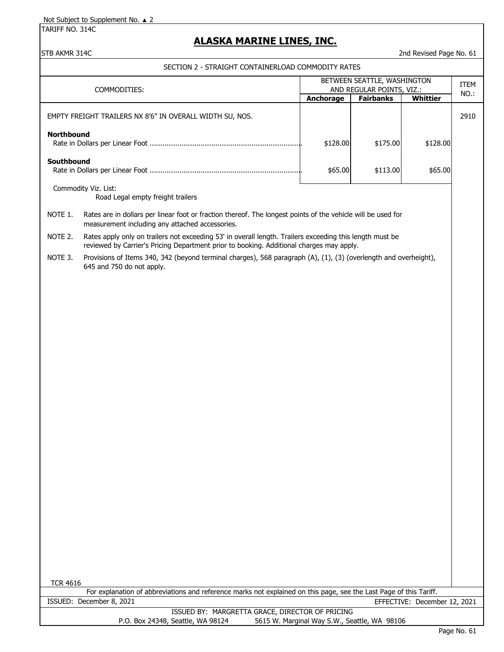TARIFF NO. 314C

## **ALASKA MARINE LINES, INC.**

STB AKMR 314C 2nd Revised Page No. 61

SECTION 2 - STRAIGHT CONTAINERLOAD COMMODITY RATES

| COMMODITIES:      |                                                                                                                                                                                                      | BETWEEN SEATTLE, WASHINGTON | ITEM                                         |                              |      |  |
|-------------------|------------------------------------------------------------------------------------------------------------------------------------------------------------------------------------------------------|-----------------------------|----------------------------------------------|------------------------------|------|--|
|                   |                                                                                                                                                                                                      |                             | AND REGULAR POINTS, VIZ.:                    |                              | NO.: |  |
|                   |                                                                                                                                                                                                      | Anchorage                   | <b>Fairbanks</b>                             | <b>Whittier</b>              |      |  |
|                   | EMPTY FREIGHT TRAILERS NX 8'6" IN OVERALL WIDTH SU, NOS.                                                                                                                                             |                             |                                              |                              | 2910 |  |
| <b>Northbound</b> |                                                                                                                                                                                                      | \$128.00                    | \$175.00                                     | \$128.00                     |      |  |
| Southbound        |                                                                                                                                                                                                      | \$65.00                     | \$113.00                                     | \$65.00                      |      |  |
|                   | Commodity Viz. List:<br>Road Legal empty freight trailers                                                                                                                                            |                             |                                              |                              |      |  |
| NOTE 1.           | Rates are in dollars per linear foot or fraction thereof. The longest points of the vehicle will be used for<br>measurement including any attached accessories.                                      |                             |                                              |                              |      |  |
| NOTE 2.           | Rates apply only on trailers not exceeding 53' in overall length. Trailers exceeding this length must be<br>reviewed by Carrier's Pricing Department prior to booking. Additional charges may apply. |                             |                                              |                              |      |  |
| NOTE 3.           | Provisions of Items 340, 342 (beyond terminal charges), 568 paragraph (A), (1), (3) (overlength and overheight),<br>645 and 750 do not apply.                                                        |                             |                                              |                              |      |  |
|                   |                                                                                                                                                                                                      |                             |                                              |                              |      |  |
|                   |                                                                                                                                                                                                      |                             |                                              |                              |      |  |
|                   |                                                                                                                                                                                                      |                             |                                              |                              |      |  |
|                   |                                                                                                                                                                                                      |                             |                                              |                              |      |  |
|                   |                                                                                                                                                                                                      |                             |                                              |                              |      |  |
|                   |                                                                                                                                                                                                      |                             |                                              |                              |      |  |
|                   |                                                                                                                                                                                                      |                             |                                              |                              |      |  |
|                   |                                                                                                                                                                                                      |                             |                                              |                              |      |  |
|                   |                                                                                                                                                                                                      |                             |                                              |                              |      |  |
|                   |                                                                                                                                                                                                      |                             |                                              |                              |      |  |
|                   |                                                                                                                                                                                                      |                             |                                              |                              |      |  |
|                   |                                                                                                                                                                                                      |                             |                                              |                              |      |  |
|                   |                                                                                                                                                                                                      |                             |                                              |                              |      |  |
|                   |                                                                                                                                                                                                      |                             |                                              |                              |      |  |
|                   |                                                                                                                                                                                                      |                             |                                              |                              |      |  |
| <b>TCR 4616</b>   |                                                                                                                                                                                                      |                             |                                              |                              |      |  |
|                   | For explanation of abbreviations and reference marks not explained on this page, see the Last Page of this Tariff.                                                                                   |                             |                                              |                              |      |  |
|                   | ISSUED: December 8, 2021                                                                                                                                                                             |                             |                                              | EFFECTIVE: December 12, 2021 |      |  |
|                   | ISSUED BY: MARGRETTA GRACE, DIRECTOR OF PRICING<br>P.O. Box 24348, Seattle, WA 98124                                                                                                                 |                             | 5615 W. Marginal Way S.W., Seattle, WA 98106 |                              |      |  |
|                   |                                                                                                                                                                                                      |                             |                                              |                              |      |  |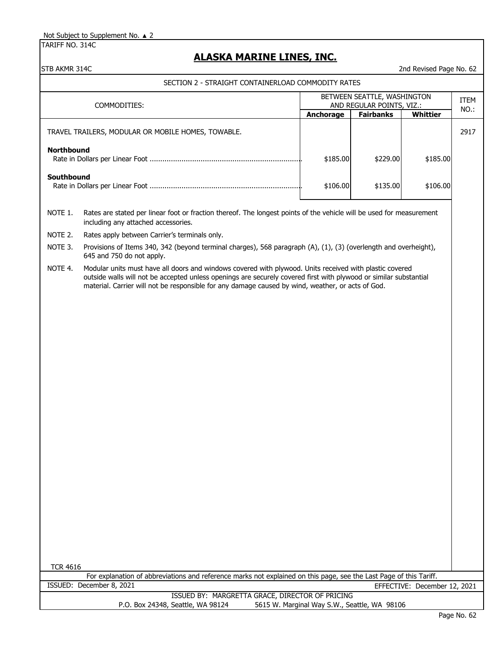TARIFF NO. 314C

## **ALASKA MARINE LINES, INC.**

| STB AKMR 314C                                            |                                                                                                                                                                                                                                                                                                                                   |           |                                              | 2nd Revised Page No. 62      |      |
|----------------------------------------------------------|-----------------------------------------------------------------------------------------------------------------------------------------------------------------------------------------------------------------------------------------------------------------------------------------------------------------------------------|-----------|----------------------------------------------|------------------------------|------|
|                                                          | SECTION 2 - STRAIGHT CONTAINERLOAD COMMODITY RATES                                                                                                                                                                                                                                                                                |           |                                              |                              |      |
| BETWEEN SEATTLE, WASHINGTON<br>AND REGULAR POINTS, VIZ.: |                                                                                                                                                                                                                                                                                                                                   |           |                                              | ITEM                         |      |
|                                                          | COMMODITIES:                                                                                                                                                                                                                                                                                                                      | Anchorage | <b>Fairbanks</b>                             | Whittier                     | NO.: |
|                                                          | TRAVEL TRAILERS, MODULAR OR MOBILE HOMES, TOWABLE.                                                                                                                                                                                                                                                                                |           |                                              |                              | 2917 |
| <b>Northbound</b>                                        |                                                                                                                                                                                                                                                                                                                                   | \$185.00  | \$229.00                                     | \$185.00                     |      |
| Southbound                                               |                                                                                                                                                                                                                                                                                                                                   | \$106.00  | \$135.00                                     | \$106.00                     |      |
| NOTE 1.                                                  | Rates are stated per linear foot or fraction thereof. The longest points of the vehicle will be used for measurement<br>including any attached accessories.                                                                                                                                                                       |           |                                              |                              |      |
| NOTE 2.                                                  | Rates apply between Carrier's terminals only.                                                                                                                                                                                                                                                                                     |           |                                              |                              |      |
| NOTE 3.                                                  | Provisions of Items 340, 342 (beyond terminal charges), 568 paragraph (A), (1), (3) (overlength and overheight),<br>645 and 750 do not apply.                                                                                                                                                                                     |           |                                              |                              |      |
| NOTE 4.                                                  | Modular units must have all doors and windows covered with plywood. Units received with plastic covered<br>outside walls will not be accepted unless openings are securely covered first with plywood or similar substantial<br>material. Carrier will not be responsible for any damage caused by wind, weather, or acts of God. |           |                                              |                              |      |
|                                                          |                                                                                                                                                                                                                                                                                                                                   |           |                                              |                              |      |
|                                                          |                                                                                                                                                                                                                                                                                                                                   |           |                                              |                              |      |
|                                                          |                                                                                                                                                                                                                                                                                                                                   |           |                                              |                              |      |
|                                                          |                                                                                                                                                                                                                                                                                                                                   |           |                                              |                              |      |
|                                                          |                                                                                                                                                                                                                                                                                                                                   |           |                                              |                              |      |
|                                                          |                                                                                                                                                                                                                                                                                                                                   |           |                                              |                              |      |
|                                                          |                                                                                                                                                                                                                                                                                                                                   |           |                                              |                              |      |
|                                                          |                                                                                                                                                                                                                                                                                                                                   |           |                                              |                              |      |
|                                                          |                                                                                                                                                                                                                                                                                                                                   |           |                                              |                              |      |
|                                                          |                                                                                                                                                                                                                                                                                                                                   |           |                                              |                              |      |
|                                                          |                                                                                                                                                                                                                                                                                                                                   |           |                                              |                              |      |
|                                                          |                                                                                                                                                                                                                                                                                                                                   |           |                                              |                              |      |
| <b>TCR 4616</b>                                          |                                                                                                                                                                                                                                                                                                                                   |           |                                              |                              |      |
|                                                          | For explanation of abbreviations and reference marks not explained on this page, see the Last Page of this Tariff.                                                                                                                                                                                                                |           |                                              |                              |      |
|                                                          | ISSUED: December 8, 2021                                                                                                                                                                                                                                                                                                          |           |                                              | EFFECTIVE: December 12, 2021 |      |
|                                                          | ISSUED BY: MARGRETTA GRACE, DIRECTOR OF PRICING<br>P.O. Box 24348, Seattle, WA 98124                                                                                                                                                                                                                                              |           | 5615 W. Marginal Way S.W., Seattle, WA 98106 |                              |      |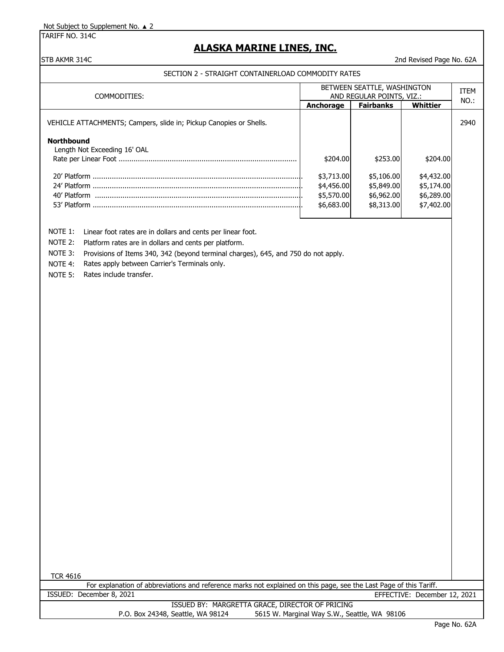TARIFF NO. 314C

## **ALASKA MARINE LINES, INC.**

#### STB AKMR 314C 2nd Revised Page No. 62A

#### SECTION 2 - STRAIGHT CONTAINERLOAD COMMODITY RATES

| COMMODITIES:                                                       | BETWEEN SEATTLE, WASHINGTON<br>AND REGULAR POINTS, VIZ.: |                                                      |                                                      | ITEM |
|--------------------------------------------------------------------|----------------------------------------------------------|------------------------------------------------------|------------------------------------------------------|------|
|                                                                    | Anchorage                                                | <b>Fairbanks</b>                                     | Whittier                                             | NO.: |
| VEHICLE ATTACHMENTS; Campers, slide in; Pickup Canopies or Shells. |                                                          |                                                      |                                                      | 2940 |
| <b>Northbound</b><br>Length Not Exceeding 16' OAL                  | \$204.00                                                 | \$253.00                                             | \$204.00                                             |      |
| 40' Platform<br>53' Platform                                       | \$3,713.00<br>\$4,456.00<br>\$5,570.00<br>\$6,683.00     | \$5,106.00<br>\$5,849.00<br>\$6,962.00<br>\$8,313.00 | \$4,432.00<br>\$5,174.00<br>\$6,289.00<br>\$7,402.00 |      |

NOTE 1: Linear foot rates are in dollars and cents per linear foot.

NOTE 2: Platform rates are in dollars and cents per platform.

NOTE 3: Provisions of Items 340, 342 (beyond terminal charges), 645, and 750 do not apply.

NOTE 4: Rates apply between Carrier's Terminals only.

NOTE 5: Rates include transfer.

TCR 4616

For explanation of abbreviations and reference marks not explained on this page, see the Last Page of this Tariff. ISSUED: December 8, 2021 EFFECTIVE: December 12, 2021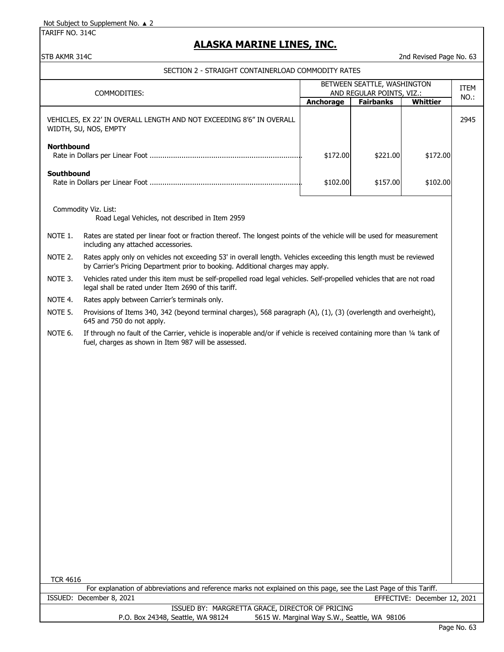TARIFF NO. 314C

## **ALASKA MARINE LINES, INC.**

#### STB AKMR 314C 2nd Revised Page No. 63

#### SECTION 2 - STRAIGHT CONTAINERLOAD COMMODITY RATES

|                               |                                                                                                                                                                                                      | BETWEEN SEATTLE, WASHINGTON                                            |          |          |  |
|-------------------------------|------------------------------------------------------------------------------------------------------------------------------------------------------------------------------------------------------|------------------------------------------------------------------------|----------|----------|--|
| COMMODITIES:                  |                                                                                                                                                                                                      | AND REGULAR POINTS, VIZ.:<br><b>Fairbanks</b><br>Whittier<br>Anchorage |          |          |  |
|                               | VEHICLES, EX 22' IN OVERALL LENGTH AND NOT EXCEEDING 8'6" IN OVERALL<br>WIDTH, SU, NOS, EMPTY                                                                                                        |                                                                        |          |          |  |
| <b>Northbound</b><br>\$172.00 |                                                                                                                                                                                                      |                                                                        | \$221.00 | \$172.00 |  |
| Southbound                    |                                                                                                                                                                                                      | \$102.00                                                               | \$157.00 | \$102.00 |  |
|                               | Commodity Viz. List:<br>Road Legal Vehicles, not described in Item 2959                                                                                                                              |                                                                        |          |          |  |
| NOTE 1.                       | Rates are stated per linear foot or fraction thereof. The longest points of the vehicle will be used for measurement<br>including any attached accessories.                                          |                                                                        |          |          |  |
| NOTE 2.                       | Rates apply only on vehicles not exceeding 53' in overall length. Vehicles exceeding this length must be reviewed<br>by Carrier's Pricing Department prior to booking. Additional charges may apply. |                                                                        |          |          |  |
| NOTE 3.                       | Vehicles rated under this item must be self-propelled road legal vehicles. Self-propelled vehicles that are not road<br>legal shall be rated under Item 2690 of this tariff.                         |                                                                        |          |          |  |
| NOTE 4.                       | Rates apply between Carrier's terminals only.                                                                                                                                                        |                                                                        |          |          |  |
| NOTE 5.                       | Provisions of Items 340, 342 (beyond terminal charges), 568 paragraph (A), (1), (3) (overlength and overheight),<br>645 and 750 do not apply.                                                        |                                                                        |          |          |  |
| NOTE 6.                       | If through no fault of the Carrier, vehicle is inoperable and/or if vehicle is received containing more than 1/4 tank of<br>fuel, charges as shown in Item 987 will be assessed.                     |                                                                        |          |          |  |
|                               |                                                                                                                                                                                                      |                                                                        |          |          |  |
|                               |                                                                                                                                                                                                      |                                                                        |          |          |  |
|                               |                                                                                                                                                                                                      |                                                                        |          |          |  |
|                               |                                                                                                                                                                                                      |                                                                        |          |          |  |
|                               |                                                                                                                                                                                                      |                                                                        |          |          |  |
|                               |                                                                                                                                                                                                      |                                                                        |          |          |  |
|                               |                                                                                                                                                                                                      |                                                                        |          |          |  |
|                               |                                                                                                                                                                                                      |                                                                        |          |          |  |
|                               |                                                                                                                                                                                                      |                                                                        |          |          |  |
|                               |                                                                                                                                                                                                      |                                                                        |          |          |  |
|                               |                                                                                                                                                                                                      |                                                                        |          |          |  |

TCR 4616

For explanation of abbreviations and reference marks not explained on this page, see the Last Page of this Tariff. ISSUED: December 8, 2021 EFFECTIVE: December 12, 2021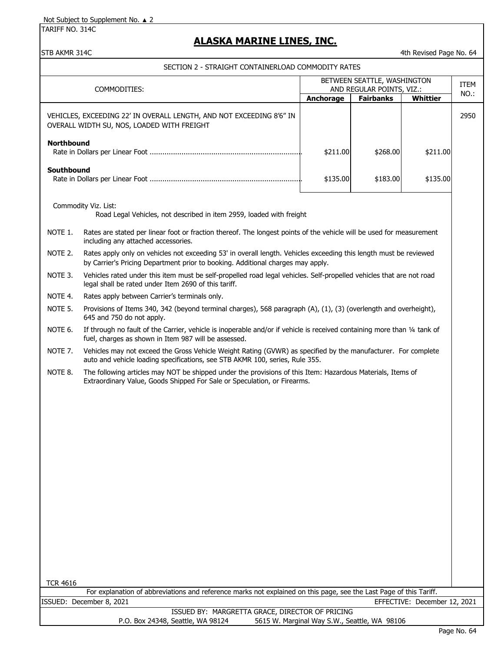TARIFF NO. 314C

### **ALASKA MARINE LINES, INC.**

STB AKMR 314C 4th Revised Page No. 64

SECTION 2 - STRAIGHT CONTAINERLOAD COMMODITY RATES

| COMMODITIES:                                                                                                                                                           | BETWEEN SEATTLE, WASHINGTON<br>AND REGULAR POINTS, VIZ.: |                  |          | <b>ITEM</b> |
|------------------------------------------------------------------------------------------------------------------------------------------------------------------------|----------------------------------------------------------|------------------|----------|-------------|
| <b>Anchorage</b>                                                                                                                                                       |                                                          | <b>Fairbanks</b> | Whittier | NO.:        |
| VEHICLES, EXCEEDING 22' IN OVERALL LENGTH, AND NOT EXCEEDING 8'6" IN<br>OVERALL WIDTH SU, NOS, LOADED WITH FREIGHT                                                     |                                                          |                  |          | 2950        |
| <b>Northbound</b>                                                                                                                                                      | \$211.00                                                 | \$268.00         | \$211.00 |             |
| Southbound                                                                                                                                                             | \$135.00                                                 | \$183.00         | \$135.00 |             |
| Commodity Viz. List:<br>Road Legal Vehicles, not described in item 2959, loaded with freight                                                                           |                                                          |                  |          |             |
| Rates are stated per linear foot or fraction thereof. The longest points of the vehicle will be used for measurement<br>NOTE 1.<br>including any attached accessories. |                                                          |                  |          |             |

NOTE 2. Rates apply only on vehicles not exceeding 53' in overall length. Vehicles exceeding this length must be reviewed by Carrier's Pricing Department prior to booking. Additional charges may apply.

NOTE 3. Vehicles rated under this item must be self-propelled road legal vehicles. Self-propelled vehicles that are not road legal shall be rated under Item 2690 of this tariff.

NOTE 4. Rates apply between Carrier's terminals only.

NOTE 5. Provisions of Items 340, 342 (beyond terminal charges), 568 paragraph (A), (1), (3) (overlength and overheight), 645 and 750 do not apply.

NOTE 6. If through no fault of the Carrier, vehicle is inoperable and/or if vehicle is received containing more than 1/4 tank of fuel, charges as shown in Item 987 will be assessed.

NOTE 7. Vehicles may not exceed the Gross Vehicle Weight Rating (GVWR) as specified by the manufacturer. For complete auto and vehicle loading specifications, see STB AKMR 100, series, Rule 355.

NOTE 8. The following articles may NOT be shipped under the provisions of this Item: Hazardous Materials, Items of Extraordinary Value, Goods Shipped For Sale or Speculation, or Firearms.

TCR 4616

ISSUED BY: MARGRETTA GRACE, DIRECTOR OF PRICING P.O. Box 24348, Seattle, WA 98124 5615 W. Marginal Way S.W., Seattle, WA 98106 For explanation of abbreviations and reference marks not explained on this page, see the Last Page of this Tariff. ISSUED: December 8, 2021 EFFECTIVE: December 12, 2021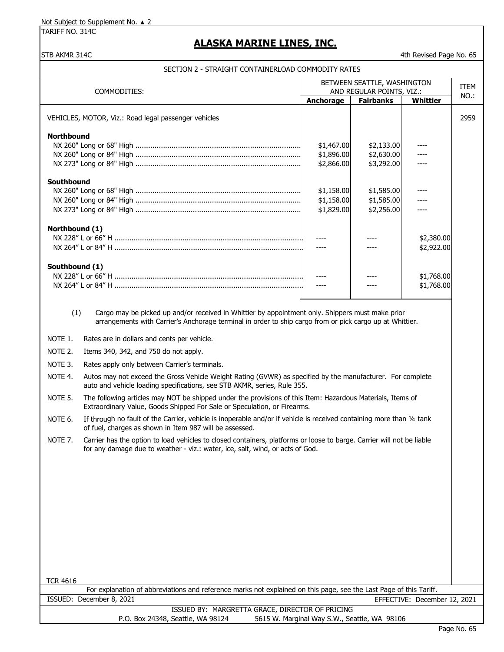TARIFF NO. 314C

## **ALASKA MARINE LINES, INC.**

#### STB AKMR 314C 4th Revised Page No. 65

#### SECTION 2 - STRAIGHT CONTAINERLOAD COMMODITY RATES

| COMMODITIES:                                                                                            | BETWEEN SEATTLE, WASHINGTON<br>AND REGULAR POINTS, VIZ.: |                                        |                          | <b>ITEM</b> |
|---------------------------------------------------------------------------------------------------------|----------------------------------------------------------|----------------------------------------|--------------------------|-------------|
|                                                                                                         | Anchorage                                                | <b>Fairbanks</b>                       | <b>Whittier</b>          | NO.:        |
| VEHICLES, MOTOR, Viz.: Road legal passenger vehicles                                                    |                                                          |                                        |                          | 2959        |
| <b>Northbound</b>                                                                                       | \$1,467.00<br>\$1,896.00<br>\$2,866.00                   | \$2,133.00<br>\$2,630.00<br>\$3,292.00 |                          |             |
| Southbound                                                                                              | \$1,158.00<br>\$1,158.00<br>\$1,829.00                   | \$1,585.00<br>\$1,585.00<br>\$2,256.00 |                          |             |
| Northbound (1)                                                                                          |                                                          |                                        | \$2,380.00<br>\$2,922.00 |             |
| Southbound (1)                                                                                          |                                                          |                                        | \$1,768.00<br>\$1,768.00 |             |
| Cargo may be picked up and/or received in Whittier by appointment only. Shippers must make prior<br>(1) |                                                          |                                        |                          |             |

arrangements with Carrier's Anchorage terminal in order to ship cargo from or pick cargo up at Whittier.

- NOTE 1. Rates are in dollars and cents per vehicle.
- NOTE 2. Items 340, 342, and 750 do not apply.
- NOTE 3. Rates apply only between Carrier's terminals.

NOTE 4. Autos may not exceed the Gross Vehicle Weight Rating (GVWR) as specified by the manufacturer. For complete auto and vehicle loading specifications, see STB AKMR, series, Rule 355.

NOTE 5. The following articles may NOT be shipped under the provisions of this Item: Hazardous Materials, Items of Extraordinary Value, Goods Shipped For Sale or Speculation, or Firearms.

NOTE 6. If through no fault of the Carrier, vehicle is inoperable and/or if vehicle is received containing more than 1/4 tank of fuel, charges as shown in Item 987 will be assessed.

NOTE 7. Carrier has the option to load vehicles to closed containers, platforms or loose to barge. Carrier will not be liable for any damage due to weather - viz.: water, ice, salt, wind, or acts of God.

ISSUED: December 8, 2021 For explanation of abbreviations and reference marks not explained on this page, see the Last Page of this Tariff. EFFECTIVE: December 12, 2021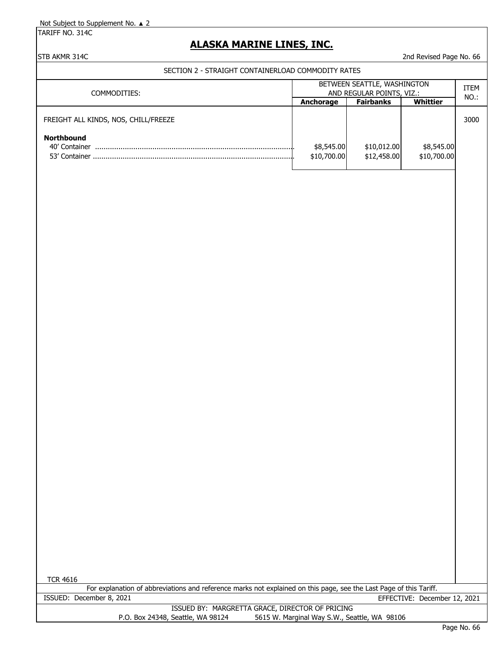TARIFF NO. 314C

## **ALASKA MARINE LINES, INC.**

STB AKMR 314C 2nd Revised Page No. 66

### SECTION 2 - STRAIGHT CONTAINERLOAD COMMODITY RATES

| COMMODITIES:                                         | BETWEEN SEATTLE, WASHINGTON<br>AND REGULAR POINTS, VIZ.: |                            |                           | <b>ITEM</b><br>$NO.$ : |
|------------------------------------------------------|----------------------------------------------------------|----------------------------|---------------------------|------------------------|
|                                                      | Anchorage                                                | <b>Fairbanks</b>           | Whittier                  |                        |
| FREIGHT ALL KINDS, NOS, CHILL/FREEZE                 |                                                          |                            |                           | 3000                   |
| <b>Northbound</b><br>40' Container<br>53' Container. | \$8,545.00<br>\$10,700.00                                | \$10,012.00<br>\$12,458.00 | \$8,545.00<br>\$10,700.00 |                        |

For explanation of abbreviations and reference marks not explained on this page, see the Last Page of this Tariff. ISSUED: December 8, 2021 EFFECTIVE: December 12, 2021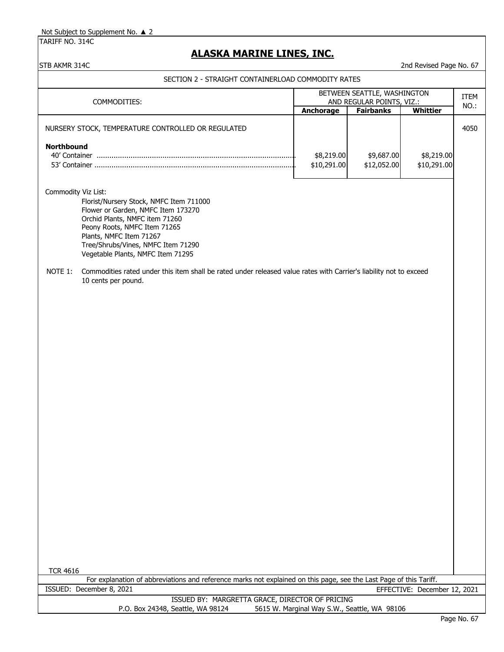TARIFF NO. 314C

## **ALASKA MARINE LINES, INC.**

STB AKMR 314C 2nd Revised Page No. 67

| SECTION 2 - STRAIGHT CONTAINERLOAD COMMODITY RATES                                                                                                                                                                                                                                                                                                                                                                                   |                                                          |                           |                              |             |
|--------------------------------------------------------------------------------------------------------------------------------------------------------------------------------------------------------------------------------------------------------------------------------------------------------------------------------------------------------------------------------------------------------------------------------------|----------------------------------------------------------|---------------------------|------------------------------|-------------|
| COMMODITIES:                                                                                                                                                                                                                                                                                                                                                                                                                         | BETWEEN SEATTLE, WASHINGTON<br>AND REGULAR POINTS, VIZ.: |                           |                              | <b>ITEM</b> |
|                                                                                                                                                                                                                                                                                                                                                                                                                                      | <b>Anchorage</b>                                         | <b>Fairbanks</b>          | <b>Whittier</b>              | NO.:        |
| NURSERY STOCK, TEMPERATURE CONTROLLED OR REGULATED                                                                                                                                                                                                                                                                                                                                                                                   |                                                          |                           |                              | 4050        |
| Northbound                                                                                                                                                                                                                                                                                                                                                                                                                           | \$8,219.00<br>\$10,291.00                                | \$9,687.00<br>\$12,052.00 | \$8,219.00<br>\$10,291.00    |             |
| Commodity Viz List:<br>Florist/Nursery Stock, NMFC Item 711000<br>Flower or Garden, NMFC Item 173270<br>Orchid Plants, NMFC item 71260<br>Peony Roots, NMFC Item 71265<br>Plants, NMFC Item 71267<br>Tree/Shrubs/Vines, NMFC Item 71290<br>Vegetable Plants, NMFC Item 71295<br>NOTE 1:<br>Commodities rated under this item shall be rated under released value rates with Carrier's liability not to exceed<br>10 cents per pound. |                                                          |                           |                              |             |
| <b>TCR 4616</b><br>For explanation of abbreviations and reference marks not explained on this page, see the Last Page of this Tariff.                                                                                                                                                                                                                                                                                                |                                                          |                           |                              |             |
| ISSUED: December 8, 2021                                                                                                                                                                                                                                                                                                                                                                                                             |                                                          |                           | EFFECTIVE: December 12, 2021 |             |
| ISSUED BY: MARGRETTA GRACE, DIRECTOR OF PRICING<br>P.O. Box 24348, Seattle, WA 98124                                                                                                                                                                                                                                                                                                                                                 | 5615 W. Marginal Way S.W., Seattle, WA 98106             |                           |                              |             |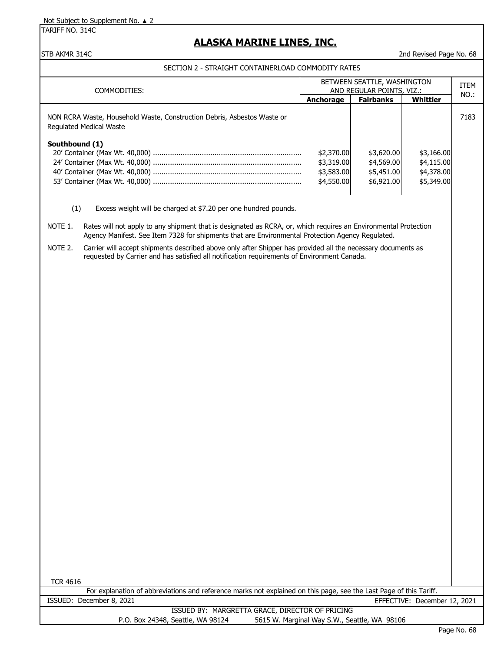TARIFF NO. 314C

# **ALASKA MARINE LINES, INC.**

STB AKMR 314C 2nd Revised Page No. 68

#### SECTION 2 - STRAIGHT CONTAINERLOAD COMMODITY RATES

| COMMODITIES:                                                                                              | BETWEEN SEATTLE, WASHINGTON<br>AND REGULAR POINTS, VIZ.: |                  |            | ITEM<br>NO.: |
|-----------------------------------------------------------------------------------------------------------|----------------------------------------------------------|------------------|------------|--------------|
|                                                                                                           | Anchorage                                                | <b>Fairbanks</b> | Whittier   |              |
| NON RCRA Waste, Household Waste, Construction Debris, Asbestos Waste or<br><b>Regulated Medical Waste</b> |                                                          |                  |            | 7183         |
| Southbound (1)                                                                                            |                                                          |                  |            |              |
|                                                                                                           | \$2,370.00                                               | \$3,620.00       | \$3,166.00 |              |
|                                                                                                           | \$3,319.00                                               | \$4,569.00       | \$4,115.00 |              |
|                                                                                                           | \$3,583.00                                               | \$5,451.00       | \$4,378.00 |              |
|                                                                                                           | \$4,550,00                                               | \$6,921,00       | \$5,349.00 |              |
|                                                                                                           |                                                          |                  |            |              |

(1) Excess weight will be charged at \$7.20 per one hundred pounds.

NOTE 1. Rates will not apply to any shipment that is designated as RCRA, or, which requires an Environmental Protection Agency Manifest. See Item 7328 for shipments that are Environmental Protection Agency Regulated.

NOTE 2. Carrier will accept shipments described above only after Shipper has provided all the necessary documents as requested by Carrier and has satisfied all notification requirements of Environment Canada.

TCR 4616

For explanation of abbreviations and reference marks not explained on this page, see the Last Page of this Tariff. ISSUED: December 8, 2021 EFFECTIVE: December 12, 2021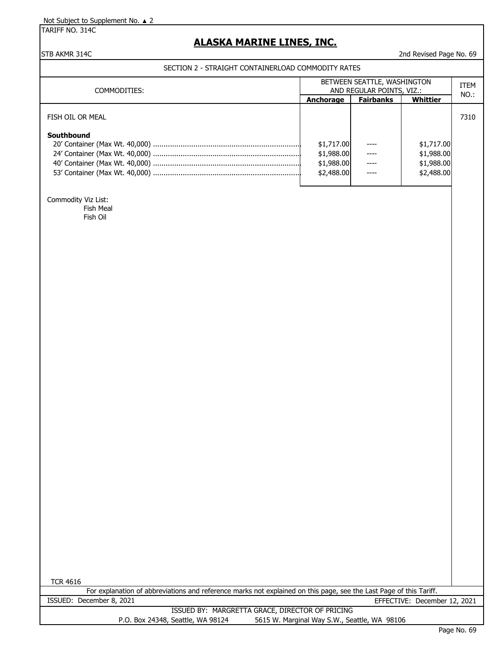TARIFF NO. 314C

## **ALASKA MARINE LINES, INC.**

### STB AKMR 314C 2nd Revised Page No. 69

#### SECTION 2 - STRAIGHT CONTAINERLOAD COMMODITY RATES

| COMMODITIES:     | BETWEEN SEATTLE, WASHINGTON<br>AND REGULAR POINTS, VIZ.: | <b>ITEM</b><br>NO.: |            |      |
|------------------|----------------------------------------------------------|---------------------|------------|------|
|                  | Anchorage                                                | <b>Fairbanks</b>    | Whittier   |      |
| FISH OIL OR MEAL |                                                          |                     |            | 7310 |
| Southbound       |                                                          |                     |            |      |
|                  | \$1,717.00                                               |                     | \$1,717.00 |      |
|                  | \$1,988.00                                               | $---$               | \$1,988.00 |      |
|                  | \$1,988.00                                               | ----                | \$1,988.00 |      |
|                  | \$2,488.00                                               | ----                | \$2,488.00 |      |
|                  |                                                          |                     |            |      |

Commodity Viz List: Fish Meal

Fish Oil

| TCR 4616 |                          |                                                                                                                    |  |  |  |                  |  |
|----------|--------------------------|--------------------------------------------------------------------------------------------------------------------|--|--|--|------------------|--|
|          |                          | For explanation of abbreviations and reference marks not explained on this page, see the Last Page of this Tariff. |  |  |  |                  |  |
|          | ISSUED: December 8, 2021 |                                                                                                                    |  |  |  | EFFECTIVE: Decem |  |

EFFECTIVE: December 12, 2021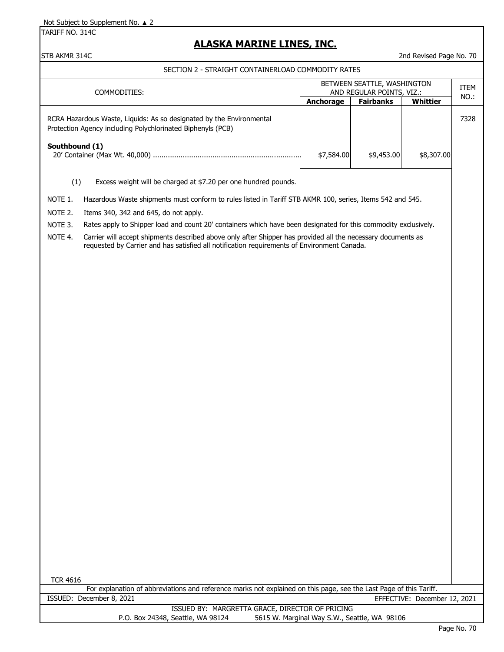TARIFF NO. 314C

### **ALASKA MARINE LINES, INC.**

STB AKMR 314C 2nd Revised Page No. 70

SECTION 2 - STRAIGHT CONTAINERLOAD COMMODITY RATES

| COMMODITIES:                                                                                                                        | BETWEEN SEATTLE, WASHINGTON<br>AND REGULAR POINTS, VIZ.: | <b>ITEM</b><br>NO.: |            |      |
|-------------------------------------------------------------------------------------------------------------------------------------|----------------------------------------------------------|---------------------|------------|------|
|                                                                                                                                     | Anchorage                                                | <b>Fairbanks</b>    | Whittier   |      |
| RCRA Hazardous Waste, Liquids: As so designated by the Environmental<br>Protection Agency including Polychlorinated Biphenyls (PCB) |                                                          |                     |            | 7328 |
| Southbound (1)                                                                                                                      | \$7,584.00                                               | \$9,453.00          | \$8,307,00 |      |
| Excess weight will be charged at \$7.20 per one hundred pounds.<br>$\left( 1\right)$                                                |                                                          |                     |            |      |

- NOTE 1. Hazardous Waste shipments must conform to rules listed in Tariff STB AKMR 100, series, Items 542 and 545.
- NOTE 2. Items 340, 342 and 645, do not apply.
- NOTE 3. Rates apply to Shipper load and count 20' containers which have been designated for this commodity exclusively.
- NOTE 4. Carrier will accept shipments described above only after Shipper has provided all the necessary documents as requested by Carrier and has satisfied all notification requirements of Environment Canada.

TCR 4616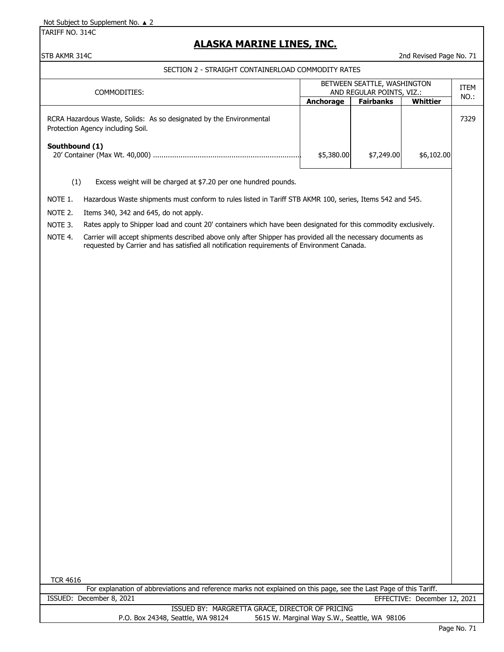TARIFF NO. 314C

## **ALASKA MARINE LINES, INC.**

STB AKMR 314C 2nd Revised Page No. 71

SECTION 2 - STRAIGHT CONTAINERLOAD COMMODITY RATES

| COMMODITIES:                                                                                             | BETWEEN SEATTLE, WASHINGTON<br>AND REGULAR POINTS, VIZ.: | <b>ITEM</b><br>NO.: |            |      |
|----------------------------------------------------------------------------------------------------------|----------------------------------------------------------|---------------------|------------|------|
|                                                                                                          | Anchorage                                                | <b>Fairbanks</b>    | Whittier   |      |
| RCRA Hazardous Waste, Solids: As so designated by the Environmental<br>Protection Agency including Soil. |                                                          |                     |            | 7329 |
| Southbound (1)                                                                                           | \$5,380.00                                               | \$7,249.00          | \$6,102.00 |      |
| Excess weight will be charged at \$7.20 per one hundred pounds.<br>(1)                                   |                                                          |                     |            |      |

NOTE 1. Hazardous Waste shipments must conform to rules listed in Tariff STB AKMR 100, series, Items 542 and 545.

NOTE 2. Items 340, 342 and 645, do not apply.

NOTE 3. Rates apply to Shipper load and count 20' containers which have been designated for this commodity exclusively.

NOTE 4. Carrier will accept shipments described above only after Shipper has provided all the necessary documents as requested by Carrier and has satisfied all notification requirements of Environment Canada.

TCR 4616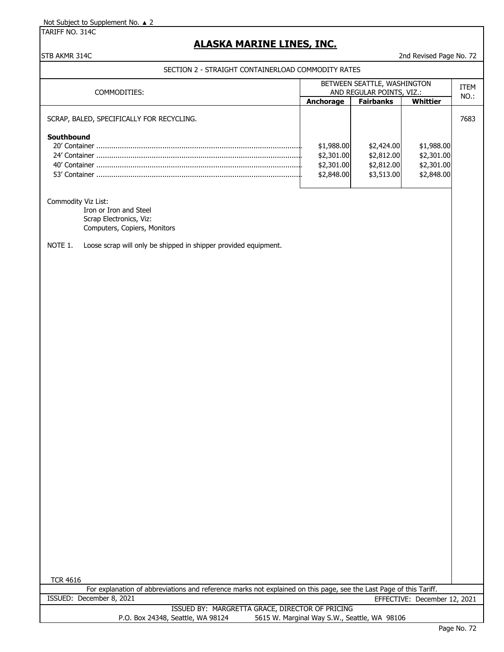TARIFF NO. 314C

### **ALASKA MARINE LINES, INC.**

#### STB AKMR 314C 2nd Revised Page No. 72

SECTION 2 - STRAIGHT CONTAINERLOAD COMMODITY RATES

| COMMODITIES:                              | BETWEEN SEATTLE, WASHINGTON<br>AND REGULAR POINTS, VIZ.: | <b>ITEM</b><br>NO.:                                  |                                                      |      |
|-------------------------------------------|----------------------------------------------------------|------------------------------------------------------|------------------------------------------------------|------|
|                                           | <b>Anchorage</b>                                         | <b>Fairbanks</b>                                     | Whittier                                             |      |
| SCRAP, BALED, SPECIFICALLY FOR RECYCLING. |                                                          |                                                      |                                                      | 7683 |
| Southbound<br>53' Container               | \$1,988.00<br>\$2,301.00<br>\$2,301.00<br>\$2,848.00     | \$2,424.00<br>\$2,812.00<br>\$2,812.00<br>\$3,513.00 | \$1,988.00<br>\$2,301.00<br>\$2,301.00<br>\$2,848.00 |      |

Commodity Viz List:

Iron or Iron and Steel Scrap Electronics, Viz: Computers, Copiers, Monitors

NOTE 1. Loose scrap will only be shipped in shipper provided equipment.

TCR 4616

ISSUED: December 8, 2021 EFFECTIVE: December 12, 2021 For explanation of abbreviations and reference marks not explained on this page, see the Last Page of this Tariff.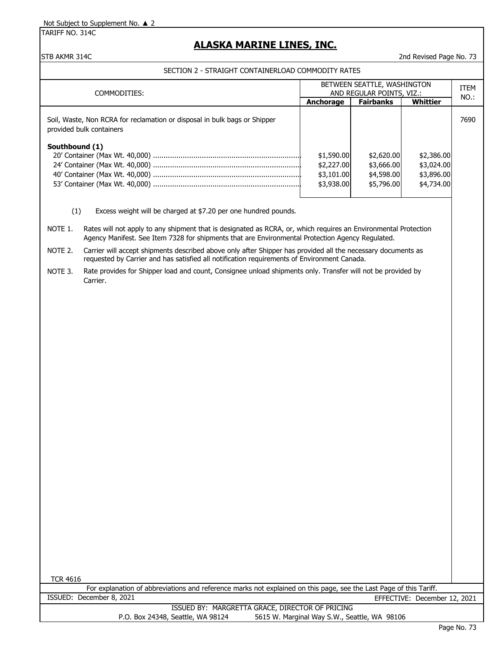TARIFF NO. 314C

### **ALASKA MARINE LINES, INC.**

#### STB AKMR 314C 2012 2012 2013 2014 2022 2023 2034 204 205 206 207 208 209 200 2014 2023 204 205 206 207 208 209 201

#### SECTION 2 - STRAIGHT CONTAINERLOAD COMMODITY RATES

| COMMODITIES:                                                                                          | BETWEEN SEATTLE, WASHINGTON<br>AND REGULAR POINTS, VIZ.: | ITEM<br>NO.:                                         |                                                      |      |
|-------------------------------------------------------------------------------------------------------|----------------------------------------------------------|------------------------------------------------------|------------------------------------------------------|------|
|                                                                                                       | <b>Anchorage</b>                                         | <b>Fairbanks</b>                                     | Whittier                                             |      |
| Soil, Waste, Non RCRA for reclamation or disposal in bulk bags or Shipper<br>provided bulk containers |                                                          |                                                      |                                                      | 7690 |
| Southbound (1)                                                                                        | \$1,590.00<br>\$2,227.00<br>\$3,101.00<br>\$3,938.00     | \$2,620.00<br>\$3,666.00<br>\$4,598.00<br>\$5,796.00 | \$2,386.00<br>\$3,024.00<br>\$3,896.00<br>\$4,734.00 |      |
| (1)<br>Excess weight will be charged at \$7.20 per one hundred pounds.                                |                                                          |                                                      |                                                      |      |

NOTE 1. Rates will not apply to any shipment that is designated as RCRA, or, which requires an Environmental Protection Agency Manifest. See Item 7328 for shipments that are Environmental Protection Agency Regulated.

NOTE 2. Carrier will accept shipments described above only after Shipper has provided all the necessary documents as requested by Carrier and has satisfied all notification requirements of Environment Canada.

NOTE 3. Rate provides for Shipper load and count, Consignee unload shipments only. Transfer will not be provided by Carrier.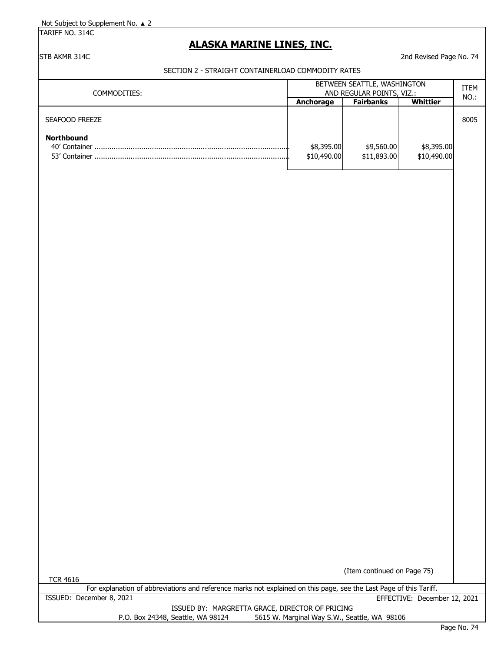TARIFF NO. 314C

## **ALASKA MARINE LINES, INC.**

STB AKMR 314C 2nd Revised Page No. 74

| COMMODITIES:                                                                                                                          | BETWEEN SEATTLE, WASHINGTON<br>AND REGULAR POINTS, VIZ.: |                                              |                              |      |
|---------------------------------------------------------------------------------------------------------------------------------------|----------------------------------------------------------|----------------------------------------------|------------------------------|------|
|                                                                                                                                       | Anchorage                                                | <b>Fairbanks</b>                             | <b>Whittier</b>              | NO.: |
| SEAFOOD FREEZE<br>Northbound                                                                                                          | \$8,395.00<br>\$10,490.00                                | \$9,560.00<br>\$11,893.00                    | \$8,395.00<br>\$10,490.00    | 8005 |
|                                                                                                                                       |                                                          |                                              |                              |      |
|                                                                                                                                       |                                                          |                                              |                              |      |
| <b>TCR 4616</b><br>For explanation of abbreviations and reference marks not explained on this page, see the Last Page of this Tariff. |                                                          | (Item continued on Page 75)                  |                              |      |
| ISSUED: December 8, 2021                                                                                                              |                                                          |                                              | EFFECTIVE: December 12, 2021 |      |
| ISSUED BY: MARGRETTA GRACE, DIRECTOR OF PRICING<br>P.O. Box 24348, Seattle, WA 98124                                                  |                                                          | 5615 W. Marginal Way S.W., Seattle, WA 98106 |                              |      |
|                                                                                                                                       |                                                          |                                              |                              |      |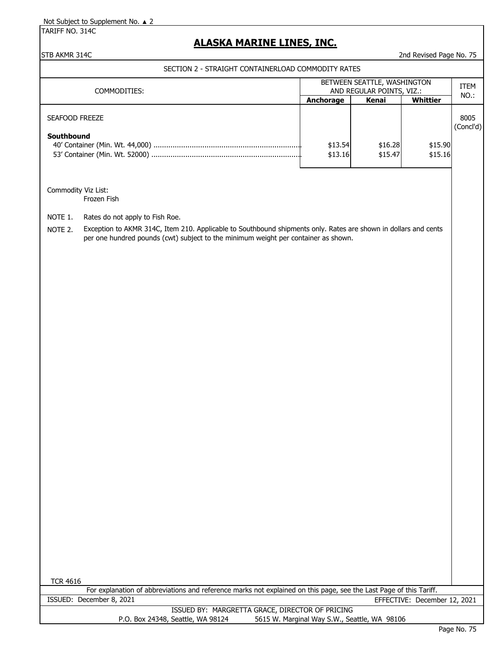TARIFF NO. 314C

# **ALASKA MARINE LINES, INC.**

#### STB AKMR 314C 2nd Revised Page No. 75

SECTION 2 - STRAIGHT CONTAINERLOAD COMMODITY RATES

| SECTION Z - STRAIGHT CONTAINERLOAD COMMODITT RATES<br>COMMODITIES: |                                                                                                                                                                                                       | BETWEEN SEATTLE, WASHINGTON<br>AND REGULAR POINTS, VIZ.: |                    |                    | ITEM              |  |
|--------------------------------------------------------------------|-------------------------------------------------------------------------------------------------------------------------------------------------------------------------------------------------------|----------------------------------------------------------|--------------------|--------------------|-------------------|--|
|                                                                    |                                                                                                                                                                                                       | Anchorage                                                | <b>Kenai</b>       | <b>Whittier</b>    | NO.:              |  |
| SEAFOOD FREEZE<br>Southbound                                       |                                                                                                                                                                                                       | \$13.54<br>\$13.16                                       | \$16.28<br>\$15.47 | \$15.90<br>\$15.16 | 8005<br>(Concl'd) |  |
| Commodity Viz List:                                                | Frozen Fish                                                                                                                                                                                           |                                                          |                    |                    |                   |  |
| NOTE 1.                                                            | Rates do not apply to Fish Roe.                                                                                                                                                                       |                                                          |                    |                    |                   |  |
| NOTE 2.                                                            | Exception to AKMR 314C, Item 210. Applicable to Southbound shipments only. Rates are shown in dollars and cents<br>per one hundred pounds (cwt) subject to the minimum weight per container as shown. |                                                          |                    |                    |                   |  |